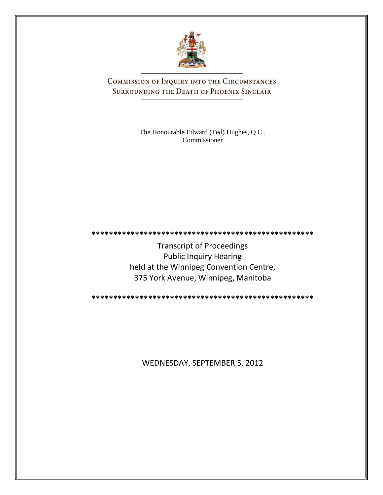

COMMISSION OF INQUIRY INTO THE CIRCUMSTANCES SURROUNDING THE DEATH OF PHOENIX SINCLAIR

> The Honourable Edward (Ted) Hughes, Q.C., Commissioner

**\*\*\*\*\*\*\*\*\*\*\*\*\*\*\*\*\*\*\*\*\*\*\*\*\*\*\*\*\*\*\*\*\*\*\*\*\*\*\*\*\*\*\*\*\*\*\*\*\*\*\***

Transcript of Proceedings Public Inquiry Hearing held at the Winnipeg Convention Centre, 375 York Avenue, Winnipeg, Manitoba

**\*\*\*\*\*\*\*\*\*\*\*\*\*\*\*\*\*\*\*\*\*\*\*\*\*\*\*\*\*\*\*\*\*\*\*\*\*\*\*\*\*\*\*\*\*\*\*\*\*\*\***

WEDNESDAY, SEPTEMBER 5, 2012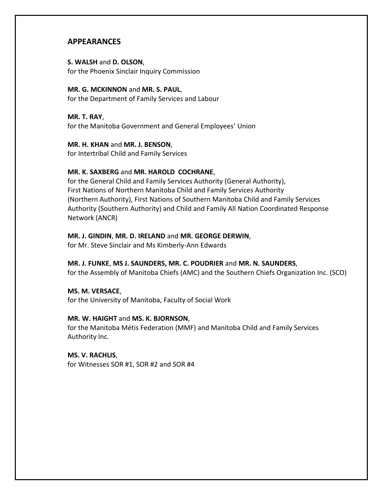## **APPEARANCES**

### **S. WALSH** and **D. OLSON**, for the Phoenix Sinclair Inquiry Commission

#### **MR. G. MCKINNON** and **MR. S. PAUL**,

for the Department of Family Services and Labour

**MR. T. RAY**, for the Manitoba Government and General Employees' Union

### **MR. H. KHAN** and **MR. J. BENSON**,

for Intertribal Child and Family Services

### **MR. K. SAXBERG** and **MR. HAROLD COCHRANE**,

for the General Child and Family Services Authority (General Authority), First Nations of Northern Manitoba Child and Family Services Authority (Northern Authority), First Nations of Southern Manitoba Child and Family Services Authority (Southern Authority) and Child and Family All Nation Coordinated Response Network (ANCR)

### **MR. J. GINDIN**, **MR. D. IRELAND** and **MR. GEORGE DERWIN**,

for Mr. Steve Sinclair and Ms Kimberly-Ann Edwards

### **MR. J. FUNKE**, **MS J. SAUNDERS, MR. C. POUDRIER** and **MR. N. SAUNDERS**,

for the Assembly of Manitoba Chiefs (AMC) and the Southern Chiefs Organization Inc. (SCO)

### **MS. M. VERSACE**,

for the University of Manitoba, Faculty of Social Work

### **MR. W. HAIGHT** and **MS. K. BJORNSON**,

for the Manitoba Métis Federation (MMF) and Manitoba Child and Family Services Authority Inc.

### **MS. V. RACHLIS**,

for Witnesses SOR #1, SOR #2 and SOR #4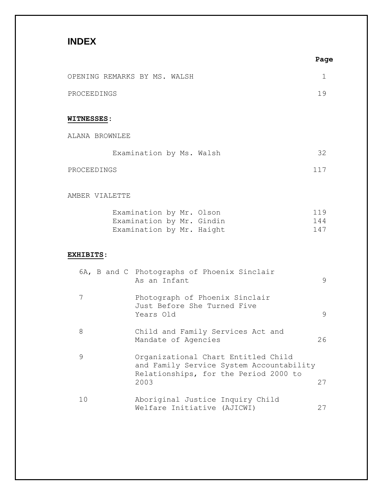# **INDEX**

|                              |                                                                                                                                  | ray               |
|------------------------------|----------------------------------------------------------------------------------------------------------------------------------|-------------------|
| OPENING REMARKS BY MS. WALSH |                                                                                                                                  | 1                 |
| PROCEEDINGS                  |                                                                                                                                  | 19                |
| <b>WITNESSES:</b>            |                                                                                                                                  |                   |
| ALANA BROWNLEE               |                                                                                                                                  |                   |
|                              | Examination by Ms. Walsh                                                                                                         | 32                |
| PROCEEDINGS                  |                                                                                                                                  | 117               |
| AMBER VIALETTE               |                                                                                                                                  |                   |
|                              | Examination by Mr. Olson<br>Examination by Mr. Gindin<br>Examination by Mr. Haight                                               | 119<br>144<br>147 |
| <b>EXHIBITS:</b>             |                                                                                                                                  |                   |
|                              | 6A, B and C Photographs of Phoenix Sinclair<br>As an Infant                                                                      | 9                 |
| 7                            | Photograph of Phoenix Sinclair<br>Just Before She Turned Five<br>Years Old                                                       | 9                 |
| 8                            | Child and Family Services Act and<br>Mandate of Agencies                                                                         | 26                |
| 9                            | Organizational Chart Entitled Child<br>and Family Service System Accountability<br>Relationships, for the Period 2000 to<br>2003 | 27                |
| 10                           | Aboriginal Justice Inquiry Child<br>Welfare Initiative (AJICWI)                                                                  | 27                |

**Page**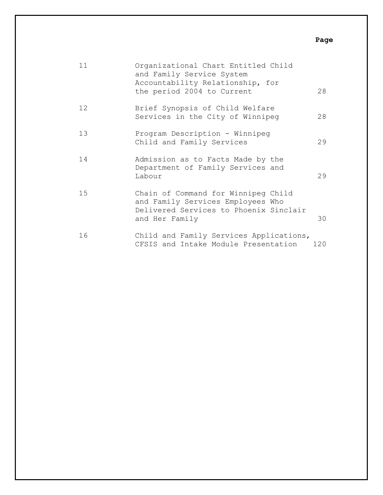### **Page**

| 11 | Organizational Chart Entitled Child<br>and Family Service System<br>Accountability Relationship, for<br>the period 2004 to Current   | 28  |
|----|--------------------------------------------------------------------------------------------------------------------------------------|-----|
| 12 | Brief Synopsis of Child Welfare<br>Services in the City of Winnipeg                                                                  | 28  |
| 13 | Program Description - Winnipeg<br>Child and Family Services                                                                          | 29  |
| 14 | Admission as to Facts Made by the<br>Department of Family Services and<br>Labour                                                     | 29  |
| 15 | Chain of Command for Winnipeg Child<br>and Family Services Employees Who<br>Delivered Services to Phoenix Sinclair<br>and Her Family | 30  |
| 16 | Child and Family Services Applications,<br>CFSIS and Intake Module Presentation                                                      | 120 |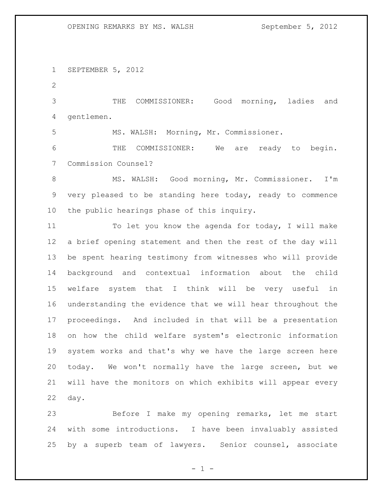SEPTEMBER 5, 2012

 THE COMMISSIONER: Good morning, ladies and gentlemen.

MS. WALSH: Morning, Mr. Commissioner.

 THE COMMISSIONER: We are ready to begin. Commission Counsel?

 MS. WALSH: Good morning, Mr. Commissioner. I'm very pleased to be standing here today, ready to commence the public hearings phase of this inquiry.

11 To let you know the agenda for today, I will make a brief opening statement and then the rest of the day will be spent hearing testimony from witnesses who will provide background and contextual information about the child welfare system that I think will be very useful in understanding the evidence that we will hear throughout the proceedings. And included in that will be a presentation on how the child welfare system's electronic information system works and that's why we have the large screen here today. We won't normally have the large screen, but we will have the monitors on which exhibits will appear every day.

 Before I make my opening remarks, let me start with some introductions. I have been invaluably assisted by a superb team of lawyers. Senior counsel, associate

 $- 1 -$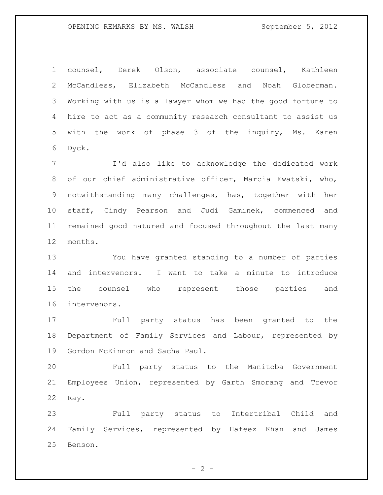counsel, Derek Olson, associate counsel, Kathleen McCandless, Elizabeth McCandless and Noah Globerman. Working with us is a lawyer whom we had the good fortune to hire to act as a community research consultant to assist us with the work of phase 3 of the inquiry, Ms. Karen Dyck.

 I'd also like to acknowledge the dedicated work of our chief administrative officer, Marcia Ewatski, who, notwithstanding many challenges, has, together with her staff, Cindy Pearson and Judi Gaminek, commenced and remained good natured and focused throughout the last many months.

 You have granted standing to a number of parties and intervenors. I want to take a minute to introduce the counsel who represent those parties and intervenors.

 Full party status has been granted to the Department of Family Services and Labour, represented by Gordon McKinnon and Sacha Paul.

 Full party status to the Manitoba Government Employees Union, represented by Garth Smorang and Trevor Ray.

 Full party status to Intertribal Child and Family Services, represented by Hafeez Khan and James Benson.

 $- 2 -$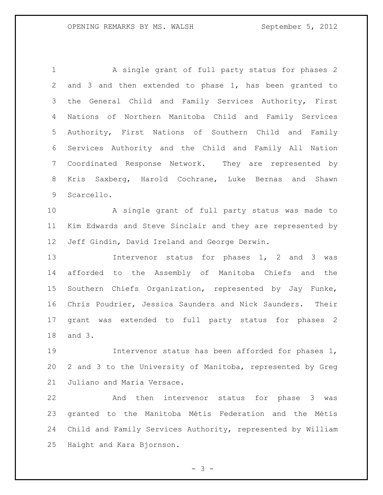A single grant of full party status for phases 2 and 3 and then extended to phase 1, has been granted to the General Child and Family Services Authority, First Nations of Northern Manitoba Child and Family Services Authority, First Nations of Southern Child and Family Services Authority and the Child and Family All Nation Coordinated Response Network. They are represented by Kris Saxberg, Harold Cochrane, Luke Bernas and Shawn Scarcello.

 A single grant of full party status was made to Kim Edwards and Steve Sinclair and they are represented by Jeff Gindin, David Ireland and George Derwin.

13 13 Intervenor status for phases 1, 2 and 3 was afforded to the Assembly of Manitoba Chiefs and the Southern Chiefs Organization, represented by Jay Funke, Chris Poudrier, Jessica Saunders and Nick Saunders. Their grant was extended to full party status for phases 2 and 3.

 Intervenor status has been afforded for phases 1, 2 and 3 to the University of Manitoba, represented by Greg Juliano and Maria Versace.

 And then intervenor status for phase 3 was granted to the Manitoba Métis Federation and the Métis Child and Family Services Authority, represented by William Haight and Kara Bjornson.

 $- 3 -$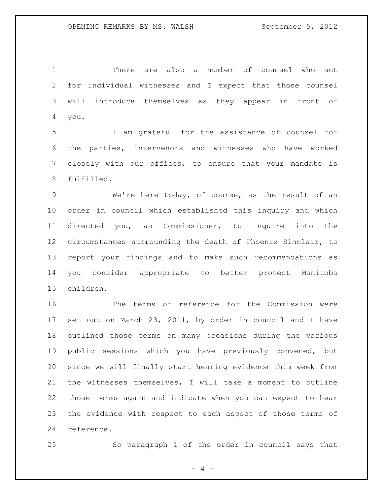There are also a number of counsel who act for individual witnesses and I expect that those counsel will introduce themselves as they appear in front of you.

 I am grateful for the assistance of counsel for the parties, intervenors and witnesses who have worked closely with our offices, to ensure that your mandate is fulfilled.

 We're here today, of course, as the result of an order in council which established this inquiry and which directed you, as Commissioner, to inquire into the circumstances surrounding the death of Phoenix Sinclair, to report your findings and to make such recommendations as you consider appropriate to better protect Manitoba children.

 The terms of reference for the Commission were set out on March 23, 2011, by order in council and I have outlined those terms on many occasions during the various public sessions which you have previously convened, but since we will finally start hearing evidence this week from the witnesses themselves, I will take a moment to outline those terms again and indicate when you can expect to hear the evidence with respect to each aspect of those terms of reference.

So paragraph 1 of the order in council says that

 $- 4 -$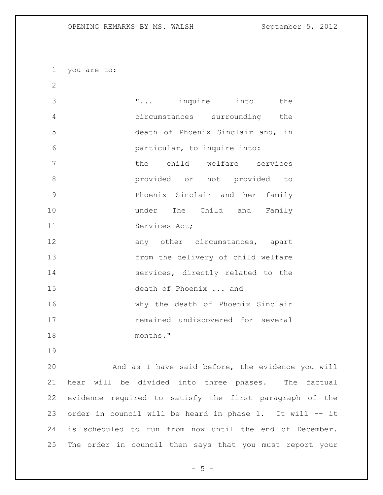you are to:

 "... inquire into the circumstances surrounding the death of Phoenix Sinclair and, in particular, to inquire into: the child welfare services provided or not provided to Phoenix Sinclair and her family under The Child and Family Services Act; 12 any other circumstances, apart from the delivery of child welfare services, directly related to the death of Phoenix ... and why the death of Phoenix Sinclair remained undiscovered for several months."

 And as I have said before, the evidence you will hear will be divided into three phases. The factual evidence required to satisfy the first paragraph of the order in council will be heard in phase 1. It will -- it is scheduled to run from now until the end of December. The order in council then says that you must report your

 $- 5 -$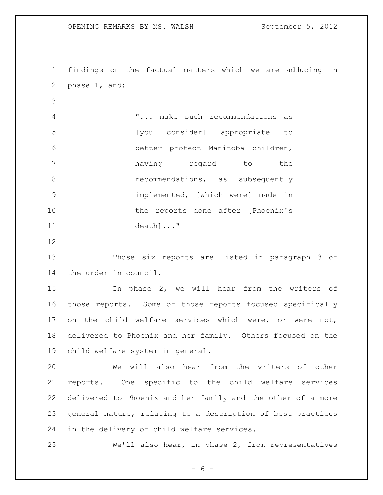findings on the factual matters which we are adducing in phase 1, and: "... make such recommendations as [you consider] appropriate to better protect Manitoba children, having regard to the **8 recommendations**, as subsequently implemented, [which were] made in 10 the reports done after [Phoenix's death]..." Those six reports are listed in paragraph 3 of the order in council. In phase 2, we will hear from the writers of those reports. Some of those reports focused specifically on the child welfare services which were, or were not, delivered to Phoenix and her family. Others focused on the child welfare system in general. We will also hear from the writers of other reports. One specific to the child welfare services delivered to Phoenix and her family and the other of a more general nature, relating to a description of best practices in the delivery of child welfare services. We'll also hear, in phase 2, from representatives

 $- 6 -$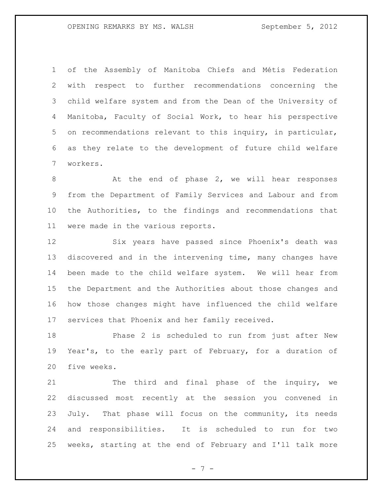of the Assembly of Manitoba Chiefs and Métis Federation with respect to further recommendations concerning the child welfare system and from the Dean of the University of Manitoba, Faculty of Social Work, to hear his perspective on recommendations relevant to this inquiry, in particular, as they relate to the development of future child welfare workers.

8 At the end of phase 2, we will hear responses from the Department of Family Services and Labour and from the Authorities, to the findings and recommendations that were made in the various reports.

 Six years have passed since Phoenix's death was discovered and in the intervening time, many changes have been made to the child welfare system. We will hear from the Department and the Authorities about those changes and how those changes might have influenced the child welfare services that Phoenix and her family received.

 Phase 2 is scheduled to run from just after New Year's, to the early part of February, for a duration of five weeks.

21 The third and final phase of the inquiry, we discussed most recently at the session you convened in July. That phase will focus on the community, its needs and responsibilities. It is scheduled to run for two weeks, starting at the end of February and I'll talk more

- 7 -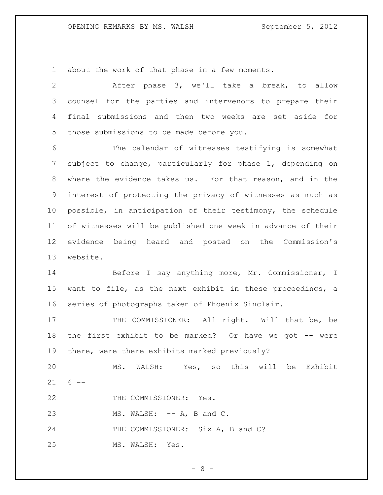about the work of that phase in a few moments.

 After phase 3, we'll take a break, to allow counsel for the parties and intervenors to prepare their final submissions and then two weeks are set aside for those submissions to be made before you.

 The calendar of witnesses testifying is somewhat subject to change, particularly for phase 1, depending on where the evidence takes us. For that reason, and in the interest of protecting the privacy of witnesses as much as possible, in anticipation of their testimony, the schedule of witnesses will be published one week in advance of their evidence being heard and posted on the Commission's website.

 Before I say anything more, Mr. Commissioner, I want to file, as the next exhibit in these proceedings, a series of photographs taken of Phoenix Sinclair.

17 THE COMMISSIONER: All right. Will that be, be 18 the first exhibit to be marked? Or have we got -- were there, were there exhibits marked previously?

 MS. WALSH: Yes, so this will be Exhibit  $21 6 - -$ 

22 THE COMMISSIONER: Yes.

23 MS. WALSH: -- A, B and C.

24 THE COMMISSIONER: Six A, B and C?

MS. WALSH: Yes.

 $- 8 -$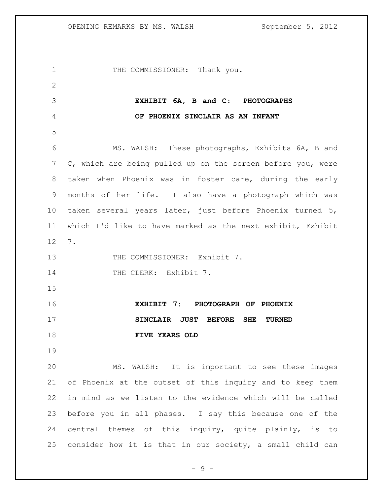| $\mathbf 1$  | THE COMMISSIONER: Thank you.                                |
|--------------|-------------------------------------------------------------|
| $\mathbf{2}$ |                                                             |
| 3            | EXHIBIT 6A, B and C: PHOTOGRAPHS                            |
| 4            | OF PHOENIX SINCLAIR AS AN INFANT                            |
| 5            |                                                             |
| 6            | MS. WALSH: These photographs, Exhibits 6A, B and            |
| 7            | C, which are being pulled up on the screen before you, were |
| 8            | taken when Phoenix was in foster care, during the early     |
| $\mathsf 9$  | months of her life. I also have a photograph which was      |
| 10           | taken several years later, just before Phoenix turned 5,    |
| 11           | which I'd like to have marked as the next exhibit, Exhibit  |
| 12           | 7.                                                          |
| 13           | THE COMMISSIONER: Exhibit 7.                                |
| 14           | THE CLERK: Exhibit 7.                                       |
| 15           |                                                             |
| 16           | EXHIBIT 7: PHOTOGRAPH OF PHOENIX                            |
| 17           | SINCLAIR JUST<br><b>BEFORE</b><br>SHE<br><b>TURNED</b>      |
| 18           | FIVE YEARS OLD                                              |
| 19           |                                                             |
| 20           | MS. WALSH: It is important to see these images              |
| 21           | of Phoenix at the outset of this inquiry and to keep them   |
| 22           | in mind as we listen to the evidence which will be called   |
| 23           | before you in all phases. I say this because one of the     |
| 24           | central themes of this inquiry, quite plainly, is to        |
| 25           | consider how it is that in our society, a small child can   |

- 9 -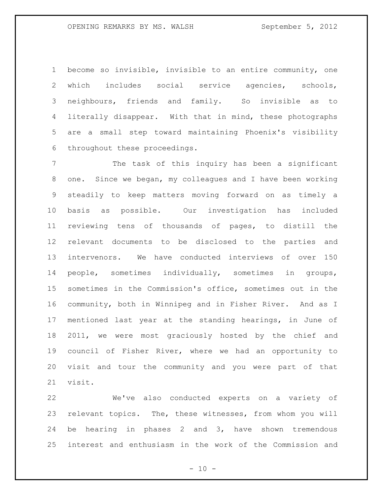become so invisible, invisible to an entire community, one which includes social service agencies, schools, neighbours, friends and family. So invisible as to literally disappear. With that in mind, these photographs are a small step toward maintaining Phoenix's visibility throughout these proceedings.

 The task of this inquiry has been a significant one. Since we began, my colleagues and I have been working steadily to keep matters moving forward on as timely a basis as possible. Our investigation has included reviewing tens of thousands of pages, to distill the relevant documents to be disclosed to the parties and intervenors. We have conducted interviews of over 150 people, sometimes individually, sometimes in groups, sometimes in the Commission's office, sometimes out in the community, both in Winnipeg and in Fisher River. And as I mentioned last year at the standing hearings, in June of 2011, we were most graciously hosted by the chief and council of Fisher River, where we had an opportunity to visit and tour the community and you were part of that visit.

 We've also conducted experts on a variety of relevant topics. The, these witnesses, from whom you will be hearing in phases 2 and 3, have shown tremendous interest and enthusiasm in the work of the Commission and

 $- 10 -$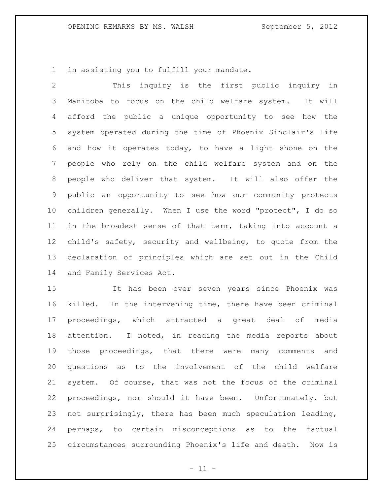in assisting you to fulfill your mandate.

 This inquiry is the first public inquiry in Manitoba to focus on the child welfare system. It will afford the public a unique opportunity to see how the system operated during the time of Phoenix Sinclair's life and how it operates today, to have a light shone on the people who rely on the child welfare system and on the people who deliver that system. It will also offer the public an opportunity to see how our community protects children generally. When I use the word "protect", I do so in the broadest sense of that term, taking into account a child's safety, security and wellbeing, to quote from the declaration of principles which are set out in the Child and Family Services Act.

 It has been over seven years since Phoenix was killed. In the intervening time, there have been criminal proceedings, which attracted a great deal of media attention. I noted, in reading the media reports about those proceedings, that there were many comments and questions as to the involvement of the child welfare system. Of course, that was not the focus of the criminal proceedings, nor should it have been. Unfortunately, but not surprisingly, there has been much speculation leading, perhaps, to certain misconceptions as to the factual circumstances surrounding Phoenix's life and death. Now is

 $- 11 -$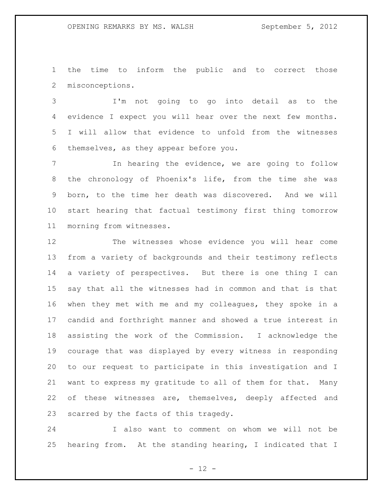the time to inform the public and to correct those misconceptions.

 I'm not going to go into detail as to the evidence I expect you will hear over the next few months. I will allow that evidence to unfold from the witnesses themselves, as they appear before you.

 In hearing the evidence, we are going to follow the chronology of Phoenix's life, from the time she was born, to the time her death was discovered. And we will start hearing that factual testimony first thing tomorrow morning from witnesses.

 The witnesses whose evidence you will hear come from a variety of backgrounds and their testimony reflects a variety of perspectives. But there is one thing I can say that all the witnesses had in common and that is that when they met with me and my colleagues, they spoke in a candid and forthright manner and showed a true interest in assisting the work of the Commission. I acknowledge the courage that was displayed by every witness in responding to our request to participate in this investigation and I want to express my gratitude to all of them for that. Many 22 of these witnesses are, themselves, deeply affected and scarred by the facts of this tragedy.

 I also want to comment on whom we will not be hearing from. At the standing hearing, I indicated that I

 $- 12 -$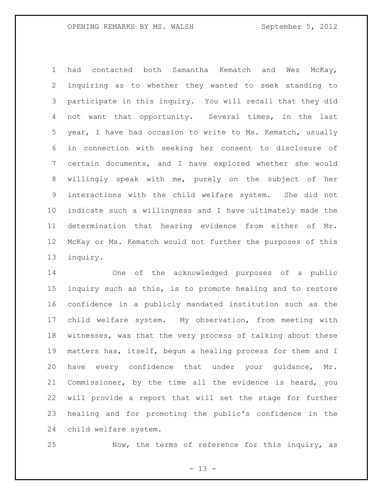had contacted both Samantha Kematch and Wes McKay, inquiring as to whether they wanted to seek standing to participate in this inquiry. You will recall that they did not want that opportunity. Several times, in the last year, I have had occasion to write to Ms. Kematch, usually in connection with seeking her consent to disclosure of certain documents, and I have explored whether she would willingly speak with me, purely on the subject of her interactions with the child welfare system. She did not indicate such a willingness and I have ultimately made the determination that hearing evidence from either of Mr. McKay or Ms. Kematch would not further the purposes of this inquiry.

 One of the acknowledged purposes of a public inquiry such as this, is to promote healing and to restore confidence in a publicly mandated institution such as the child welfare system. My observation, from meeting with witnesses, was that the very process of talking about these matters has, itself, begun a healing process for them and I have every confidence that under your guidance, Mr. Commissioner, by the time all the evidence is heard, you will provide a report that will set the stage for further healing and for promoting the public's confidence in the child welfare system.

Now, the terms of reference for this inquiry, as

 $- 13 -$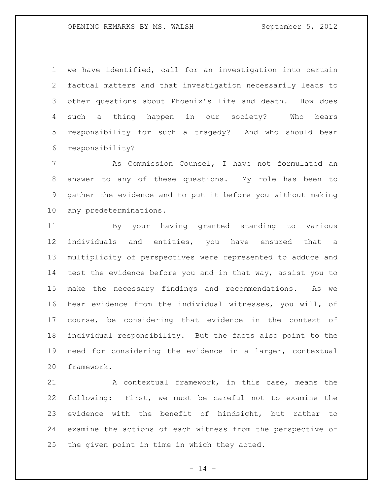we have identified, call for an investigation into certain factual matters and that investigation necessarily leads to other questions about Phoenix's life and death. How does such a thing happen in our society? Who bears responsibility for such a tragedy? And who should bear responsibility?

 As Commission Counsel, I have not formulated an answer to any of these questions. My role has been to gather the evidence and to put it before you without making any predeterminations.

 By your having granted standing to various individuals and entities, you have ensured that a multiplicity of perspectives were represented to adduce and test the evidence before you and in that way, assist you to make the necessary findings and recommendations. As we hear evidence from the individual witnesses, you will, of course, be considering that evidence in the context of individual responsibility. But the facts also point to the need for considering the evidence in a larger, contextual framework.

21 A contextual framework, in this case, means the following: First, we must be careful not to examine the evidence with the benefit of hindsight, but rather to examine the actions of each witness from the perspective of the given point in time in which they acted.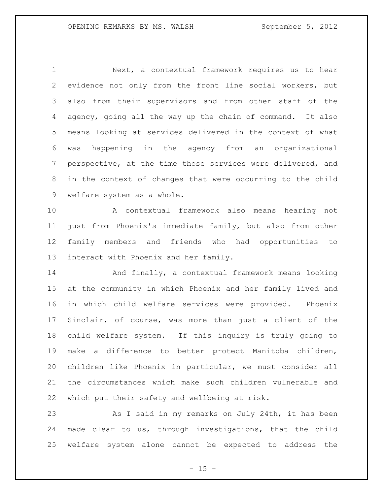Next, a contextual framework requires us to hear evidence not only from the front line social workers, but also from their supervisors and from other staff of the agency, going all the way up the chain of command. It also means looking at services delivered in the context of what was happening in the agency from an organizational perspective, at the time those services were delivered, and in the context of changes that were occurring to the child welfare system as a whole.

 A contextual framework also means hearing not just from Phoenix's immediate family, but also from other family members and friends who had opportunities to interact with Phoenix and her family.

 And finally, a contextual framework means looking at the community in which Phoenix and her family lived and in which child welfare services were provided. Phoenix Sinclair, of course, was more than just a client of the child welfare system. If this inquiry is truly going to make a difference to better protect Manitoba children, children like Phoenix in particular, we must consider all the circumstances which make such children vulnerable and which put their safety and wellbeing at risk.

23 As I said in my remarks on July 24th, it has been made clear to us, through investigations, that the child welfare system alone cannot be expected to address the

 $- 15 -$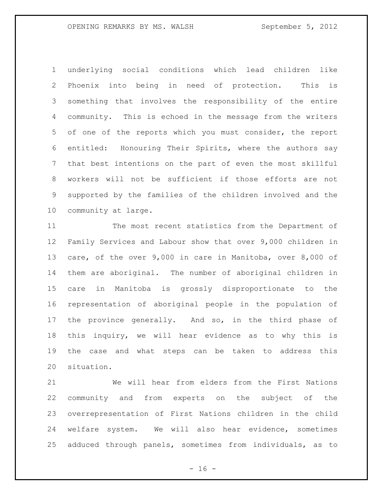underlying social conditions which lead children like Phoenix into being in need of protection. This is something that involves the responsibility of the entire community. This is echoed in the message from the writers of one of the reports which you must consider, the report entitled: Honouring Their Spirits, where the authors say that best intentions on the part of even the most skillful workers will not be sufficient if those efforts are not supported by the families of the children involved and the community at large.

 The most recent statistics from the Department of Family Services and Labour show that over 9,000 children in care, of the over 9,000 in care in Manitoba, over 8,000 of them are aboriginal. The number of aboriginal children in care in Manitoba is grossly disproportionate to the representation of aboriginal people in the population of the province generally. And so, in the third phase of this inquiry, we will hear evidence as to why this is the case and what steps can be taken to address this situation.

 We will hear from elders from the First Nations community and from experts on the subject of the overrepresentation of First Nations children in the child welfare system. We will also hear evidence, sometimes adduced through panels, sometimes from individuals, as to

 $- 16 -$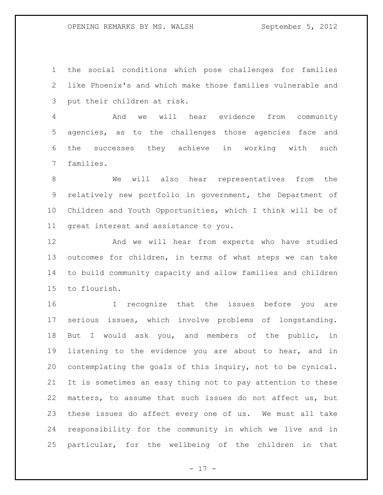the social conditions which pose challenges for families like Phoenix's and which make those families vulnerable and put their children at risk.

 And we will hear evidence from community agencies, as to the challenges those agencies face and the successes they achieve in working with such families.

 We will also hear representatives from the relatively new portfolio in government, the Department of Children and Youth Opportunities, which I think will be of great interest and assistance to you.

 And we will hear from experts who have studied outcomes for children, in terms of what steps we can take to build community capacity and allow families and children to flourish.

 I recognize that the issues before you are serious issues, which involve problems of longstanding. But I would ask you, and members of the public, in listening to the evidence you are about to hear, and in contemplating the goals of this inquiry, not to be cynical. It is sometimes an easy thing not to pay attention to these matters, to assume that such issues do not affect us, but these issues do affect every one of us. We must all take responsibility for the community in which we live and in particular, for the wellbeing of the children in that

 $- 17 -$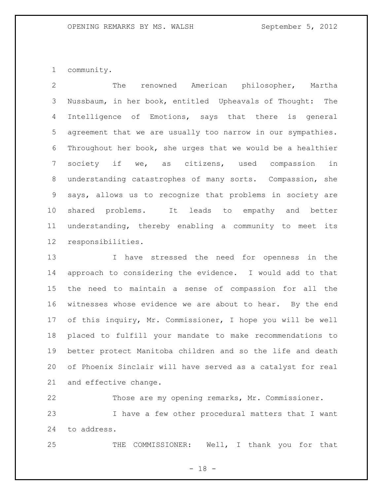community.

 The renowned American philosopher, Martha Nussbaum, in her book, entitled Upheavals of Thought: The Intelligence of Emotions, says that there is general agreement that we are usually too narrow in our sympathies. Throughout her book, she urges that we would be a healthier society if we, as citizens, used compassion in understanding catastrophes of many sorts. Compassion, she says, allows us to recognize that problems in society are shared problems. It leads to empathy and better understanding, thereby enabling a community to meet its responsibilities.

 I have stressed the need for openness in the approach to considering the evidence. I would add to that the need to maintain a sense of compassion for all the witnesses whose evidence we are about to hear. By the end of this inquiry, Mr. Commissioner, I hope you will be well placed to fulfill your mandate to make recommendations to better protect Manitoba children and so the life and death of Phoenix Sinclair will have served as a catalyst for real and effective change.

 Those are my opening remarks, Mr. Commissioner. I have a few other procedural matters that I want to address.

THE COMMISSIONER: Well, I thank you for that

- 18 -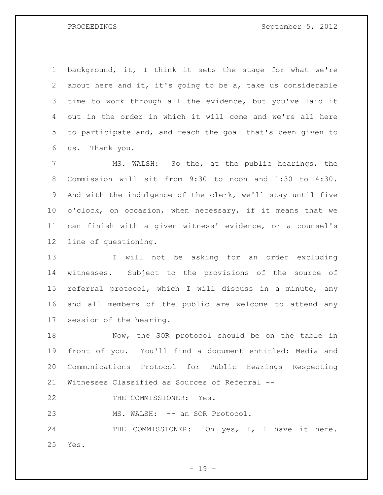background, it, I think it sets the stage for what we're about here and it, it's going to be a, take us considerable time to work through all the evidence, but you've laid it out in the order in which it will come and we're all here to participate and, and reach the goal that's been given to us. Thank you.

 MS. WALSH: So the, at the public hearings, the Commission will sit from 9:30 to noon and 1:30 to 4:30. And with the indulgence of the clerk, we'll stay until five o'clock, on occasion, when necessary, if it means that we can finish with a given witness' evidence, or a counsel's line of questioning.

 I will not be asking for an order excluding witnesses. Subject to the provisions of the source of referral protocol, which I will discuss in a minute, any and all members of the public are welcome to attend any session of the hearing.

18 Now, the SOR protocol should be on the table in front of you. You'll find a document entitled: Media and Communications Protocol for Public Hearings Respecting Witnesses Classified as Sources of Referral --

22 THE COMMISSIONER: Yes.

23 MS. WALSH: -- an SOR Protocol.

24 THE COMMISSIONER: Oh yes, I, I have it here. Yes.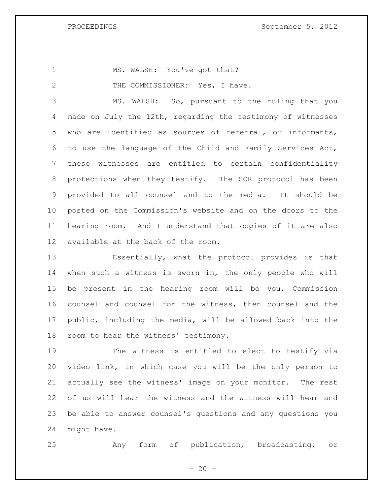1 MS. WALSH: You've got that?

2 THE COMMISSIONER: Yes, I have.

 MS. WALSH: So, pursuant to the ruling that you made on July the 12th, regarding the testimony of witnesses who are identified as sources of referral, or informants, to use the language of the Child and Family Services Act, these witnesses are entitled to certain confidentiality protections when they testify. The SOR protocol has been provided to all counsel and to the media. It should be posted on the Commission's website and on the doors to the hearing room. And I understand that copies of it are also available at the back of the room.

 Essentially, what the protocol provides is that when such a witness is sworn in, the only people who will be present in the hearing room will be you, Commission counsel and counsel for the witness, then counsel and the public, including the media, will be allowed back into the room to hear the witness' testimony.

 The witness is entitled to elect to testify via video link, in which case you will be the only person to actually see the witness' image on your monitor. The rest of us will hear the witness and the witness will hear and be able to answer counsel's questions and any questions you might have.

Any form of publication, broadcasting, or

 $- 20 -$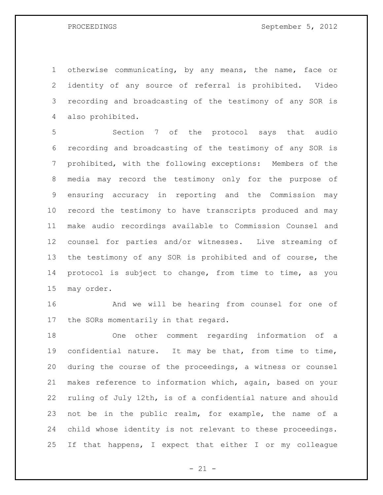otherwise communicating, by any means, the name, face or identity of any source of referral is prohibited. Video recording and broadcasting of the testimony of any SOR is also prohibited.

 Section 7 of the protocol says that audio recording and broadcasting of the testimony of any SOR is prohibited, with the following exceptions: Members of the media may record the testimony only for the purpose of ensuring accuracy in reporting and the Commission may record the testimony to have transcripts produced and may make audio recordings available to Commission Counsel and counsel for parties and/or witnesses. Live streaming of the testimony of any SOR is prohibited and of course, the protocol is subject to change, from time to time, as you may order.

 And we will be hearing from counsel for one of the SORs momentarily in that regard.

 One other comment regarding information of a confidential nature. It may be that, from time to time, during the course of the proceedings, a witness or counsel makes reference to information which, again, based on your ruling of July 12th, is of a confidential nature and should not be in the public realm, for example, the name of a child whose identity is not relevant to these proceedings. If that happens, I expect that either I or my colleague

 $- 21 -$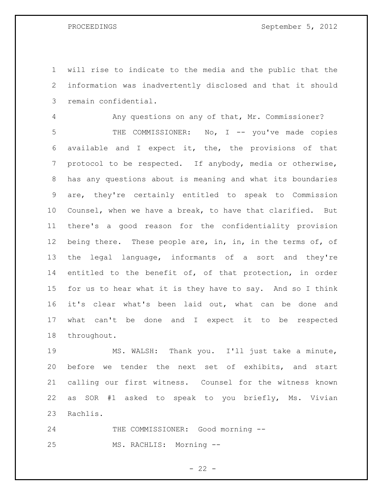will rise to indicate to the media and the public that the information was inadvertently disclosed and that it should remain confidential.

 Any questions on any of that, Mr. Commissioner? THE COMMISSIONER: No, I -- you've made copies available and I expect it, the, the provisions of that protocol to be respected. If anybody, media or otherwise, has any questions about is meaning and what its boundaries are, they're certainly entitled to speak to Commission Counsel, when we have a break, to have that clarified. But there's a good reason for the confidentiality provision 12 being there. These people are, in, in, in the terms of, of the legal language, informants of a sort and they're entitled to the benefit of, of that protection, in order for us to hear what it is they have to say. And so I think it's clear what's been laid out, what can be done and what can't be done and I expect it to be respected throughout.

 MS. WALSH: Thank you. I'll just take a minute, before we tender the next set of exhibits, and start calling our first witness. Counsel for the witness known as SOR #1 asked to speak to you briefly, Ms. Vivian Rachlis.

24 THE COMMISSIONER: Good morning --MS. RACHLIS: Morning --

 $- 22 -$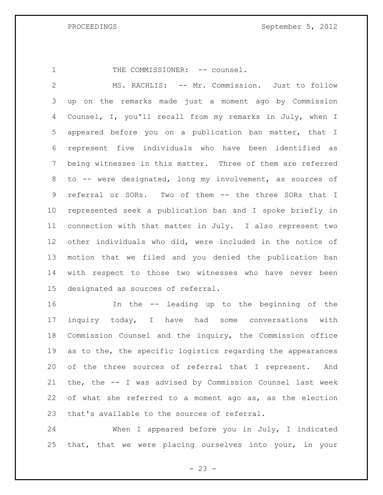1 THE COMMISSIONER: -- counsel.

 MS. RACHLIS: -- Mr. Commission. Just to follow up on the remarks made just a moment ago by Commission Counsel, I, you'll recall from my remarks in July, when I appeared before you on a publication ban matter, that I represent five individuals who have been identified as being witnesses in this matter. Three of them are referred to -- were designated, long my involvement, as sources of referral or SORs. Two of them -- the three SORs that I represented seek a publication ban and I spoke briefly in connection with that matter in July. I also represent two other individuals who did, were included in the notice of motion that we filed and you denied the publication ban with respect to those two witnesses who have never been designated as sources of referral.

 In the -- leading up to the beginning of the inquiry today, I have had some conversations with Commission Counsel and the inquiry, the Commission office as to the, the specific logistics regarding the appearances of the three sources of referral that I represent. And the, the -- I was advised by Commission Counsel last week of what she referred to a moment ago as, as the election that's available to the sources of referral.

 When I appeared before you in July, I indicated that, that we were placing ourselves into your, in your

 $- 23 -$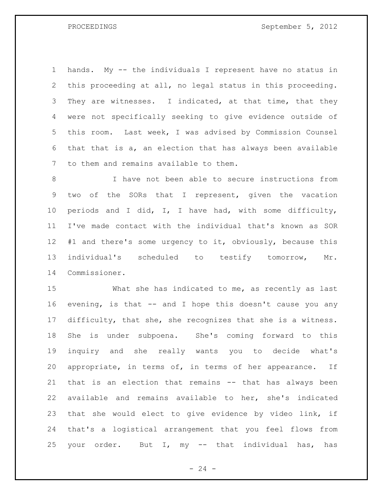hands. My -- the individuals I represent have no status in this proceeding at all, no legal status in this proceeding. 3 They are witnesses. I indicated, at that time, that they were not specifically seeking to give evidence outside of this room. Last week, I was advised by Commission Counsel that that is a, an election that has always been available to them and remains available to them.

 I have not been able to secure instructions from two of the SORs that I represent, given the vacation periods and I did, I, I have had, with some difficulty, I've made contact with the individual that's known as SOR #1 and there's some urgency to it, obviously, because this individual's scheduled to testify tomorrow, Mr. Commissioner.

 What she has indicated to me, as recently as last evening, is that -- and I hope this doesn't cause you any difficulty, that she, she recognizes that she is a witness. She is under subpoena. She's coming forward to this inquiry and she really wants you to decide what's appropriate, in terms of, in terms of her appearance. If that is an election that remains -- that has always been available and remains available to her, she's indicated that she would elect to give evidence by video link, if that's a logistical arrangement that you feel flows from your order. But I, my -- that individual has, has

 $- 24 -$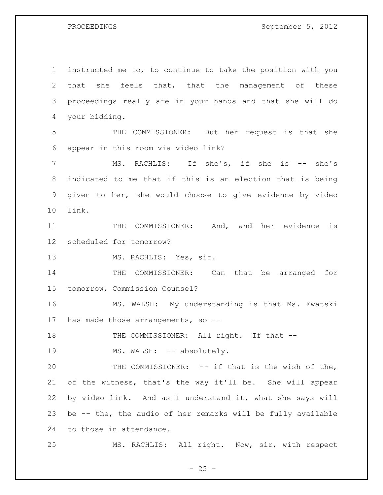instructed me to, to continue to take the position with you that she feels that, that the management of these proceedings really are in your hands and that she will do your bidding. THE COMMISSIONER: But her request is that she appear in this room via video link? 7 MS. RACHLIS: If she's, if she is -- she's indicated to me that if this is an election that is being given to her, she would choose to give evidence by video link. 11 THE COMMISSIONER: And, and her evidence is scheduled for tomorrow? 13 MS. RACHLIS: Yes, sir. THE COMMISSIONER: Can that be arranged for tomorrow, Commission Counsel? MS. WALSH: My understanding is that Ms. Ewatski has made those arrangements, so -- 18 THE COMMISSIONER: All right. If that --19 MS. WALSH: -- absolutely. 20 THE COMMISSIONER: -- if that is the wish of the, of the witness, that's the way it'll be. She will appear by video link. And as I understand it, what she says will be -- the, the audio of her remarks will be fully available to those in attendance. MS. RACHLIS: All right. Now, sir, with respect

 $- 25 -$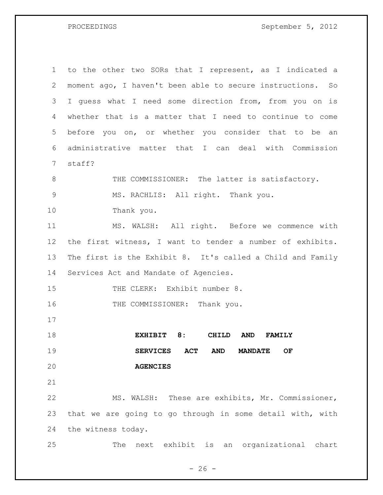| $\mathbf 1$  | to the other two SORs that I represent, as I indicated a            |
|--------------|---------------------------------------------------------------------|
| $\mathbf{2}$ | moment ago, I haven't been able to secure instructions. So          |
| 3            | I quess what I need some direction from, from you on is             |
| 4            | whether that is a matter that I need to continue to come            |
| 5            | before you on, or whether you consider that to be an                |
| 6            | administrative matter that I can deal with Commission               |
| 7            | staff?                                                              |
| 8            | THE COMMISSIONER: The latter is satisfactory.                       |
| $\mathsf 9$  | MS. RACHLIS: All right. Thank you.                                  |
| 10           | Thank you.                                                          |
| 11           | MS. WALSH: All right. Before we commence with                       |
| 12           | the first witness, I want to tender a number of exhibits.           |
| 13           | The first is the Exhibit 8. It's called a Child and Family          |
| 14           | Services Act and Mandate of Agencies.                               |
| 15           | THE CLERK: Exhibit number 8.                                        |
| 16           | THE COMMISSIONER: Thank you.                                        |
| 17           |                                                                     |
| 18           | EXHIBIT 8:<br>CHILD<br><b>AND</b><br><b>FAMILY</b>                  |
| 19           | <b>ACT</b><br><b>AND</b><br><b>SERVICES</b><br>OF<br><b>MANDATE</b> |
| 20           | <b>AGENCIES</b>                                                     |
| 21           |                                                                     |
| 22           | MS. WALSH: These are exhibits, Mr. Commissioner,                    |
| 23           | that we are going to go through in some detail with, with           |
| 24           | the witness today.                                                  |
| 25           |                                                                     |

 $- 26 -$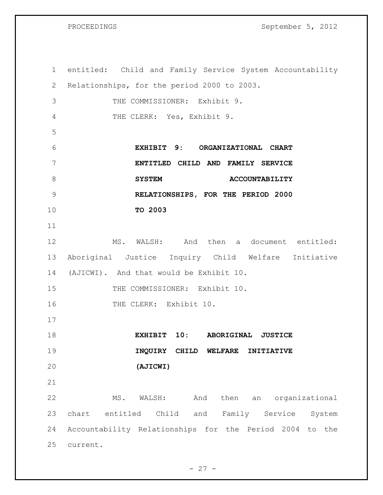| $\mathbf 1$ | entitled: Child and Family Service System Accountability |
|-------------|----------------------------------------------------------|
| 2           | Relationships, for the period 2000 to 2003.              |
| 3           | THE COMMISSIONER: Exhibit 9.                             |
| 4           | THE CLERK: Yes, Exhibit 9.                               |
| 5           |                                                          |
| 6           | EXHIBIT 9: ORGANIZATIONAL CHART                          |
| 7           | ENTITLED CHILD AND FAMILY SERVICE                        |
| 8           | <b>SYSTEM</b><br><b>ACCOUNTABILITY</b>                   |
| 9           | RELATIONSHIPS, FOR THE PERIOD 2000                       |
| 10          | TO 2003                                                  |
| 11          |                                                          |
| 12          | MS. WALSH: And then a document entitled:                 |
| 13          | Aboriginal Justice Inquiry Child Welfare Initiative      |
| 14          | (AJICWI). And that would be Exhibit 10.                  |
| 15          | THE COMMISSIONER: Exhibit 10.                            |
| 16          | THE CLERK: Exhibit 10.                                   |
| 17          |                                                          |
| 18          | EXHIBIT 10: ABORIGINAL JUSTICE                           |
| 19          | INQUIRY CHILD WELFARE<br>INITIATIVE                      |
| 20          | (AJICWI)                                                 |
| 21          |                                                          |
| 22          | then<br>an organizational<br>MS.<br>WALSH:<br>And        |
| 23          | chart entitled Child and Family Service<br>System        |
| 24          | Accountability Relationships for the Period 2004 to the  |
| 25          | current.                                                 |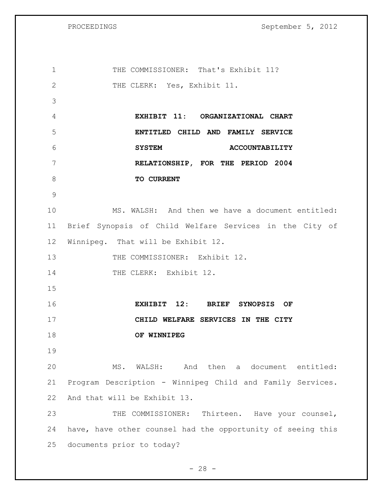| $\mathbf 1$  | THE COMMISSIONER: That's Exhibit 11?                        |
|--------------|-------------------------------------------------------------|
| $\mathbf{2}$ | THE CLERK: Yes, Exhibit 11.                                 |
| 3            |                                                             |
| 4            | EXHIBIT 11: ORGANIZATIONAL CHART                            |
| 5            | ENTITLED CHILD AND FAMILY SERVICE                           |
| 6            | <b>SYSTEM</b><br><b>ACCOUNTABILITY</b>                      |
| 7            | RELATIONSHIP, FOR THE PERIOD 2004                           |
| 8            | TO CURRENT                                                  |
| 9            |                                                             |
| 10           | MS. WALSH: And then we have a document entitled:            |
| 11           | Brief Synopsis of Child Welfare Services in the City of     |
| 12           | Winnipeg. That will be Exhibit 12.                          |
| 13           | THE COMMISSIONER: Exhibit 12.                               |
| 14           | THE CLERK: Exhibit 12.                                      |
| 15           |                                                             |
| 16           | EXHIBIT 12: BRIEF SYNOPSIS OF                               |
| 17           | CHILD WELFARE SERVICES IN THE CITY                          |
| 18           | OF WINNIPEG                                                 |
| 19           |                                                             |
| 20           | MS. WALSH: And then a document entitled:                    |
| 21           | Program Description - Winnipeg Child and Family Services.   |
| 22           | And that will be Exhibit 13.                                |
| 23           | THE COMMISSIONER: Thirteen. Have your counsel,              |
| 24           | have, have other counsel had the opportunity of seeing this |
| 25           | documents prior to today?                                   |

- 28 -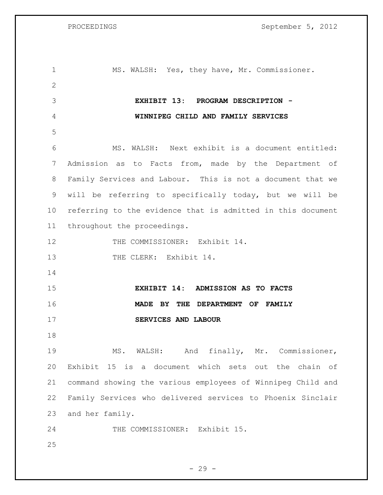| 1            | MS. WALSH: Yes, they have, Mr. Commissioner.                |
|--------------|-------------------------------------------------------------|
| $\mathbf{2}$ |                                                             |
| 3            | EXHIBIT 13: PROGRAM DESCRIPTION -                           |
| 4            | WINNIPEG CHILD AND FAMILY SERVICES                          |
| 5            |                                                             |
| 6            | MS. WALSH: Next exhibit is a document entitled:             |
| 7            | Admission as to Facts from, made by the Department of       |
| 8            | Family Services and Labour. This is not a document that we  |
| 9            | will be referring to specifically today, but we will be     |
| 10           | referring to the evidence that is admitted in this document |
| 11           | throughout the proceedings.                                 |
| 12           | THE COMMISSIONER: Exhibit 14.                               |
| 13           | THE CLERK: Exhibit 14.                                      |
| 14           |                                                             |
| 15           | EXHIBIT 14: ADMISSION AS TO FACTS                           |
| 16           | MADE BY THE DEPARTMENT OF FAMILY                            |
| 17           | SERVICES AND LABOUR                                         |
| 18           |                                                             |
| 19           | MS. WALSH: And finally, Mr. Commissioner,                   |
| 20           | Exhibit 15 is a document which sets out the chain of        |
| 21           | command showing the various employees of Winnipeg Child and |
| 22           | Family Services who delivered services to Phoenix Sinclair  |
| 23           | and her family.                                             |
| 24           | THE COMMISSIONER: Exhibit 15.                               |
| 25           |                                                             |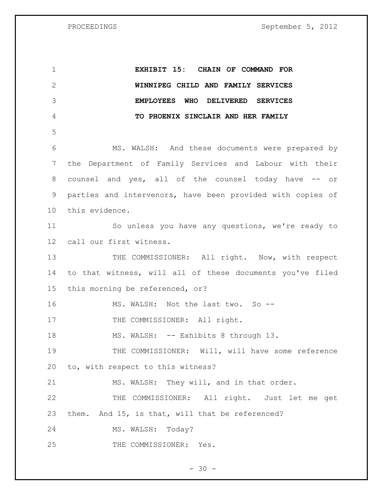**EXHIBIT 15: CHAIN OF COMMAND FOR WINNIPEG CHILD AND FAMILY SERVICES EMPLOYEES WHO DELIVERED SERVICES TO PHOENIX SINCLAIR AND HER FAMILY** MS. WALSH: And these documents were prepared by the Department of Family Services and Labour with their 8 counsel and yes, all of the counsel today have -- or parties and intervenors, have been provided with copies of this evidence. So unless you have any questions, we're ready to call our first witness. 13 THE COMMISSIONER: All right. Now, with respect to that witness, will all of these documents you've filed this morning be referenced, or? 16 MS. WALSH: Not the last two. So --17 THE COMMISSIONER: All right. 18 MS. WALSH: -- Exhibits 8 through 13. THE COMMISSIONER: Will, will have some reference to, with respect to this witness? MS. WALSH: They will, and in that order. THE COMMISSIONER: All right. Just let me get them. And 15, is that, will that be referenced? MS. WALSH: Today? THE COMMISSIONER: Yes.

 $- 30 -$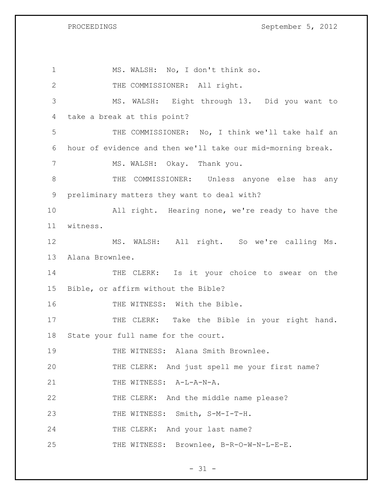1 MS. WALSH: No, I don't think so. 2 THE COMMISSIONER: All right. 3 MS. WALSH: Eight through 13. Did you want to 4 take a break at this point? 5 THE COMMISSIONER: No, I think we'll take half an 6 hour of evidence and then we'll take our mid-morning break. 7 MS. WALSH: Okay. Thank you. 8 THE COMMISSIONER: Unless anyone else has any 9 preliminary matters they want to deal with? 10 All right. Hearing none, we're ready to have the 11 witness. 12 MS. WALSH: All right. So we're calling Ms. 13 Alana Brownlee. 14 THE CLERK: Is it your choice to swear on the 15 Bible, or affirm without the Bible? 16 THE WITNESS: With the Bible. 17 THE CLERK: Take the Bible in your right hand. 18 State your full name for the court. 19 THE WITNESS: Alana Smith Brownlee. 20 THE CLERK: And just spell me your first name? 21 THE WITNESS: A-L-A-N-A. 22 THE CLERK: And the middle name please? 23 THE WITNESS: Smith, S-M-I-T-H. 24 THE CLERK: And your last name? 25 THE WITNESS: Brownlee, B-R-O-W-N-L-E-E.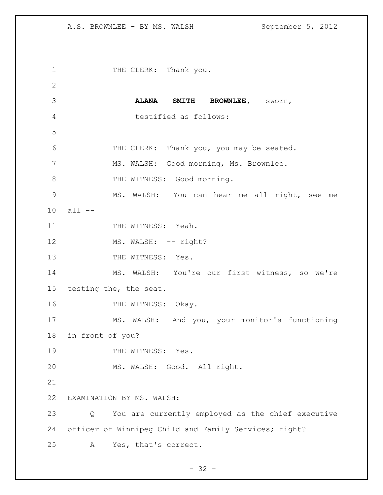1 THE CLERK: Thank you. **ALANA SMITH BROWNLEE,** sworn, testified as follows: THE CLERK: Thank you, you may be seated. MS. WALSH: Good morning, Ms. Brownlee. 8 THE WITNESS: Good morning. MS. WALSH: You can hear me all right, see me all -- 11 THE WITNESS: Yeah. 12 MS. WALSH: -- right? 13 THE WITNESS: Yes. MS. WALSH: You're our first witness, so we're testing the, the seat. 16 THE WITNESS: Okay. MS. WALSH: And you, your monitor's functioning in front of you? 19 THE WITNESS: Yes. MS. WALSH: Good. All right. EXAMINATION BY MS. WALSH: Q You are currently employed as the chief executive officer of Winnipeg Child and Family Services; right? A Yes, that's correct.

 $- 32 -$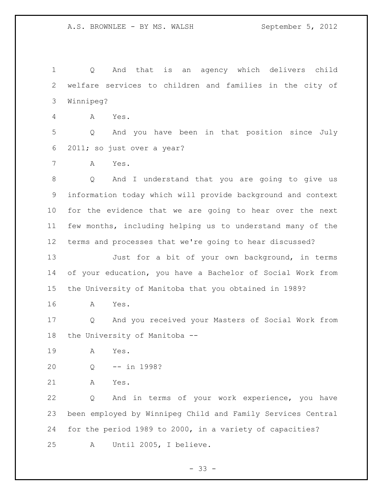Q And that is an agency which delivers child welfare services to children and families in the city of Winnipeg?

A Yes.

 Q And you have been in that position since July 2011; so just over a year?

A Yes.

 Q And I understand that you are going to give us information today which will provide background and context for the evidence that we are going to hear over the next few months, including helping us to understand many of the terms and processes that we're going to hear discussed?

 Just for a bit of your own background, in terms of your education, you have a Bachelor of Social Work from the University of Manitoba that you obtained in 1989?

A Yes.

 Q And you received your Masters of Social Work from the University of Manitoba --

A Yes.

- Q -- in 1998?
- A Yes.

 Q And in terms of your work experience, you have been employed by Winnipeg Child and Family Services Central for the period 1989 to 2000, in a variety of capacities? A Until 2005, I believe.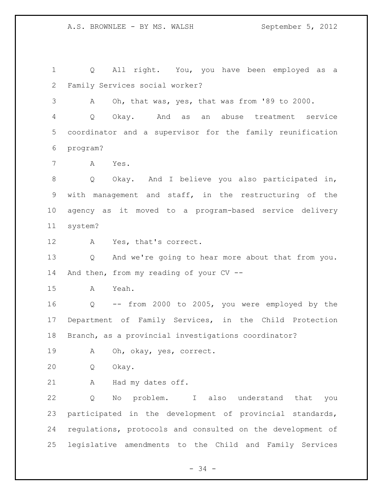Q All right. You, you have been employed as a Family Services social worker? A Oh, that was, yes, that was from '89 to 2000. Q Okay. And as an abuse treatment service coordinator and a supervisor for the family reunification program? A Yes. Q Okay. And I believe you also participated in, with management and staff, in the restructuring of the agency as it moved to a program-based service delivery system? A Yes, that's correct. Q And we're going to hear more about that from you. And then, from my reading of your CV -- A Yeah. Q -- from 2000 to 2005, you were employed by the Department of Family Services, in the Child Protection Branch, as a provincial investigations coordinator? A Oh, okay, yes, correct. Q Okay. A Had my dates off. Q No problem. I also understand that you participated in the development of provincial standards, regulations, protocols and consulted on the development of legislative amendments to the Child and Family Services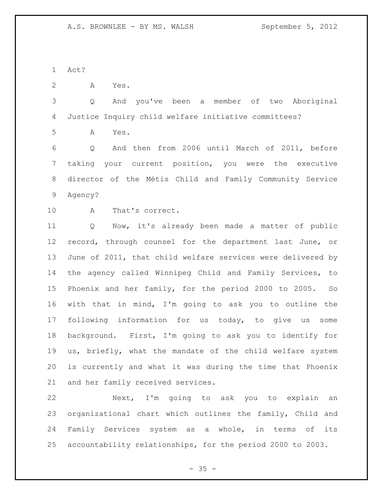Act?

A Yes.

 Q And you've been a member of two Aboriginal Justice Inquiry child welfare initiative committees?

A Yes.

 Q And then from 2006 until March of 2011, before taking your current position, you were the executive director of the Métis Child and Family Community Service Agency?

A That's correct.

 Q Now, it's already been made a matter of public record, through counsel for the department last June, or June of 2011, that child welfare services were delivered by the agency called Winnipeg Child and Family Services, to Phoenix and her family, for the period 2000 to 2005. So with that in mind, I'm going to ask you to outline the following information for us today, to give us some background. First, I'm going to ask you to identify for us, briefly, what the mandate of the child welfare system is currently and what it was during the time that Phoenix and her family received services.

 Next, I'm going to ask you to explain an organizational chart which outlines the family, Child and Family Services system as a whole, in terms of its accountability relationships, for the period 2000 to 2003.

 $- 35 -$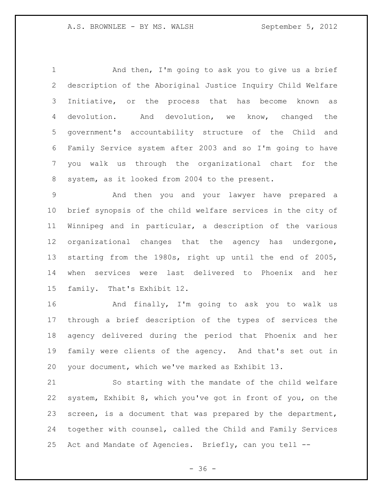1 And then, I'm going to ask you to give us a brief description of the Aboriginal Justice Inquiry Child Welfare Initiative, or the process that has become known as devolution. And devolution, we know, changed the government's accountability structure of the Child and Family Service system after 2003 and so I'm going to have you walk us through the organizational chart for the system, as it looked from 2004 to the present.

 And then you and your lawyer have prepared a brief synopsis of the child welfare services in the city of Winnipeg and in particular, a description of the various organizational changes that the agency has undergone, starting from the 1980s, right up until the end of 2005, when services were last delivered to Phoenix and her family. That's Exhibit 12.

 And finally, I'm going to ask you to walk us through a brief description of the types of services the agency delivered during the period that Phoenix and her family were clients of the agency. And that's set out in your document, which we've marked as Exhibit 13.

 So starting with the mandate of the child welfare system, Exhibit 8, which you've got in front of you, on the screen, is a document that was prepared by the department, together with counsel, called the Child and Family Services Act and Mandate of Agencies. Briefly, can you tell --

 $- 36 -$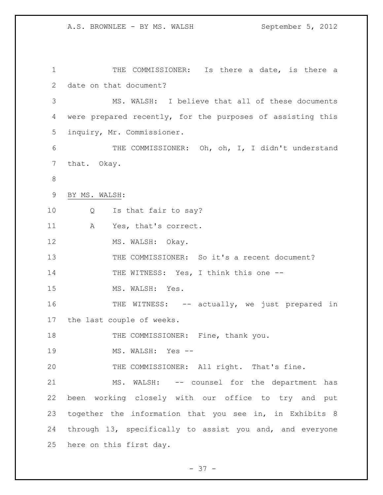THE COMMISSIONER: Is there a date, is there a date on that document? MS. WALSH: I believe that all of these documents were prepared recently, for the purposes of assisting this inquiry, Mr. Commissioner. THE COMMISSIONER: Oh, oh, I, I didn't understand that. Okay. BY MS. WALSH: Q Is that fair to say? A Yes, that's correct. 12 MS. WALSH: Okay. THE COMMISSIONER: So it's a recent document? 14 THE WITNESS: Yes, I think this one --15 MS. WALSH: Yes. 16 THE WITNESS: -- actually, we just prepared in the last couple of weeks. 18 THE COMMISSIONER: Fine, thank you. 19 MS. WALSH: Yes -- THE COMMISSIONER: All right. That's fine. MS. WALSH: -- counsel for the department has been working closely with our office to try and put together the information that you see in, in Exhibits 8 through 13, specifically to assist you and, and everyone here on this first day.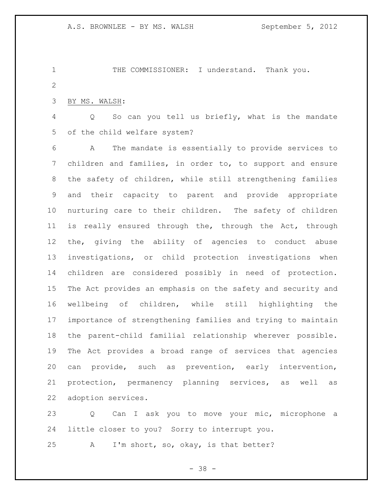1 THE COMMISSIONER: I understand. Thank you. 

BY MS. WALSH:

 Q So can you tell us briefly, what is the mandate of the child welfare system?

 A The mandate is essentially to provide services to children and families, in order to, to support and ensure the safety of children, while still strengthening families and their capacity to parent and provide appropriate nurturing care to their children. The safety of children is really ensured through the, through the Act, through the, giving the ability of agencies to conduct abuse investigations, or child protection investigations when children are considered possibly in need of protection. The Act provides an emphasis on the safety and security and wellbeing of children, while still highlighting the importance of strengthening families and trying to maintain the parent-child familial relationship wherever possible. The Act provides a broad range of services that agencies can provide, such as prevention, early intervention, protection, permanency planning services, as well as adoption services.

23 Q Can I ask you to move your mic, microphone a little closer to you? Sorry to interrupt you.

A I'm short, so, okay, is that better?

- 38 -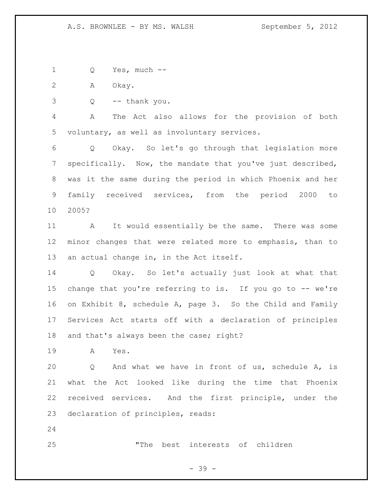Q Yes, much --

A Okay.

Q -- thank you.

 A The Act also allows for the provision of both voluntary, as well as involuntary services.

 Q Okay. So let's go through that legislation more specifically. Now, the mandate that you've just described, was it the same during the period in which Phoenix and her family received services, from the period 2000 to 2005?

 A It would essentially be the same. There was some minor changes that were related more to emphasis, than to an actual change in, in the Act itself.

 Q Okay. So let's actually just look at what that change that you're referring to is. If you go to -- we're on Exhibit 8, schedule A, page 3. So the Child and Family Services Act starts off with a declaration of principles 18 and that's always been the case; right?

A Yes.

 Q And what we have in front of us, schedule A, is what the Act looked like during the time that Phoenix received services. And the first principle, under the declaration of principles, reads:

"The best interests of children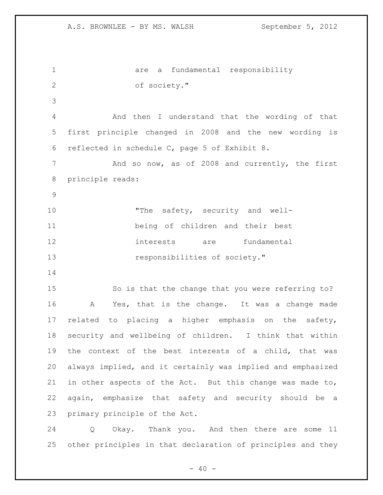are a fundamental responsibility of society." And then I understand that the wording of that first principle changed in 2008 and the new wording is reflected in schedule C, page 5 of Exhibit 8. 7 And so now, as of 2008 and currently, the first principle reads: 10 The safety, security and well- being of children and their best interests are fundamental **responsibilities of society."**  So is that the change that you were referring to? A Yes, that is the change. It was a change made related to placing a higher emphasis on the safety, security and wellbeing of children. I think that within the context of the best interests of a child, that was always implied, and it certainly was implied and emphasized in other aspects of the Act. But this change was made to, again, emphasize that safety and security should be a primary principle of the Act.

 Q Okay. Thank you. And then there are some 11 other principles in that declaration of principles and they

 $- 40 -$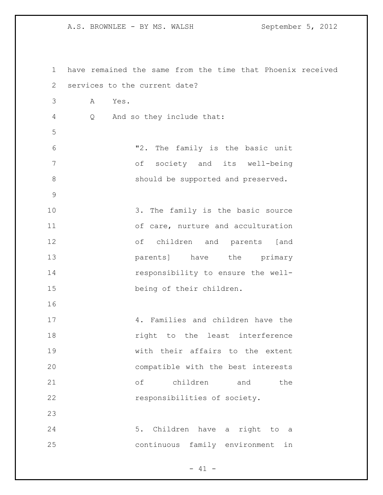| 1           |                               | have remained the same from the time that Phoenix received |
|-------------|-------------------------------|------------------------------------------------------------|
| 2           | services to the current date? |                                                            |
| 3           | Α<br>Yes.                     |                                                            |
| 4           | Q                             | And so they include that:                                  |
| 5           |                               |                                                            |
| 6           |                               | "2. The family is the basic unit                           |
| 7           |                               | of society and its well-being                              |
| 8           |                               | should be supported and preserved.                         |
| $\mathsf 9$ |                               |                                                            |
| 10          |                               | 3. The family is the basic source                          |
| 11          |                               | of care, nurture and acculturation                         |
| 12          |                               | of children and parents [and                               |
| 13          |                               | parents] have the primary                                  |
| 14          |                               | responsibility to ensure the well-                         |
| 15          |                               | being of their children.                                   |
| 16          |                               |                                                            |
| 17          |                               | 4. Families and children have the                          |
| 18          |                               | right to the least interference                            |
| 19          |                               | with their affairs to the extent                           |
| 20          |                               | compatible with the best interests                         |
| 21          |                               | $\circ$ f<br>children and<br>the                           |
| 22          |                               | responsibilities of society.                               |
| 23          |                               |                                                            |
| 24          |                               | 5. Children have a right to a                              |
| 25          |                               | continuous family environment in                           |
|             |                               |                                                            |

- 41 -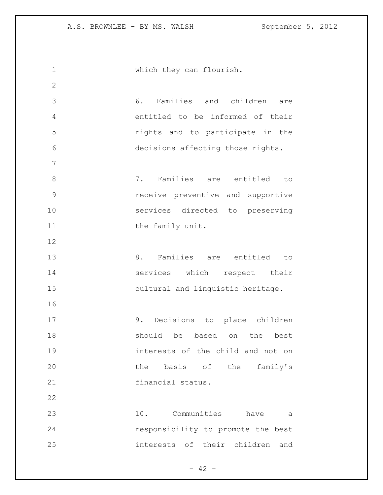| 1             | which they can flourish.             |
|---------------|--------------------------------------|
| $\mathbf{2}$  |                                      |
| 3             | 6. Families and children are         |
| 4             | entitled to be informed of their     |
| 5             | rights and to participate in the     |
| 6             | decisions affecting those rights.    |
| 7             |                                      |
| 8             | 7.<br>Families are entitled<br>to    |
| $\mathcal{G}$ | receive preventive and supportive    |
| 10            | services directed to preserving      |
| 11            | the family unit.                     |
| 12            |                                      |
| 13            | Families are<br>8.<br>entitled<br>to |
| 14            | services which respect their         |
| 15            | cultural and linguistic heritage.    |
| 16            |                                      |
| 17            | 9. Decisions to place children       |
| 18            | should be based on the best          |
| 19            | interests of the child and not on    |
| 20            | the basis of the<br>family's         |
| 21            | financial status.                    |
| 22            |                                      |
| 23            | 10. Communities have<br>а            |
| 24            | responsibility to promote the best   |
| 25            | interests of their children<br>and   |
|               |                                      |

- 42 -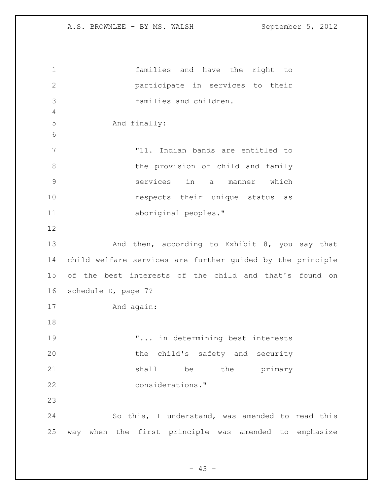families and have the right to participate in services to their families and children. And finally: "11. Indian bands are entitled to 8 b the provision of child and family services in a manner which **respects** their unique status as aboriginal peoples." 13 And then, according to Exhibit 8, you say that child welfare services are further guided by the principle of the best interests of the child and that's found on schedule D, page 7? And again: "... in determining best interests the child's safety and security 21 shall be the primary considerations." So this, I understand, was amended to read this way when the first principle was amended to emphasize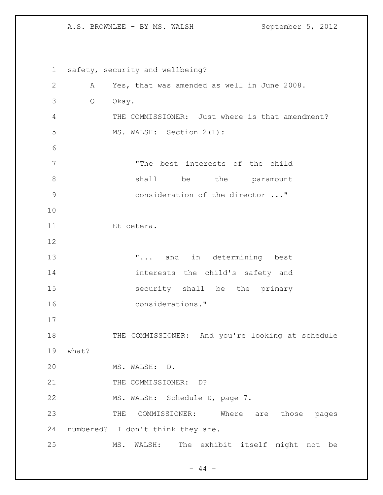safety, security and wellbeing? A Yes, that was amended as well in June 2008. Q Okay. THE COMMISSIONER: Just where is that amendment? MS. WALSH: Section 2(1): "The best interests of the child 8 shall be the paramount consideration of the director ..." Et cetera. **...** and in determining best interests the child's safety and security shall be the primary considerations." 18 THE COMMISSIONER: And you're looking at schedule what? MS. WALSH: D. 21 THE COMMISSIONER: D? MS. WALSH: Schedule D, page 7. THE COMMISSIONER: Where are those pages numbered? I don't think they are. MS. WALSH: The exhibit itself might not be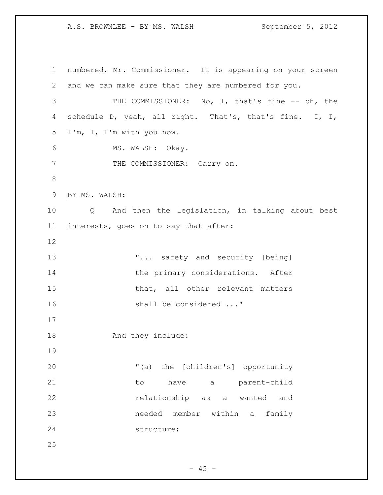numbered, Mr. Commissioner. It is appearing on your screen and we can make sure that they are numbered for you. THE COMMISSIONER: No, I, that's fine -- oh, the schedule D, yeah, all right. That's, that's fine. I, I, I'm, I, I'm with you now. MS. WALSH: Okay. 7 THE COMMISSIONER: Carry on. BY MS. WALSH: Q And then the legislation, in talking about best interests, goes on to say that after: **"...** safety and security [being] 14 the primary considerations. After 15 that, all other relevant matters 16 shall be considered ..." 18 And they include: "(a) the [children's] opportunity 21 to have a parent-child **relationship** as a wanted and needed member within a family structure; 

 $- 45 -$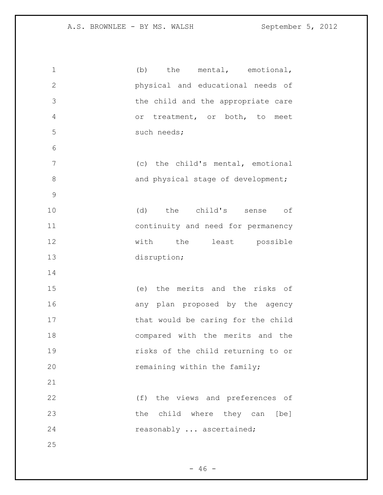| $\mathbf 1$      | (b)<br>the mental, emotional,      |
|------------------|------------------------------------|
| $\mathbf{2}$     | physical and educational needs of  |
| 3                | the child and the appropriate care |
| 4                | or treatment, or both, to meet     |
| 5                | such needs;                        |
| 6                |                                    |
| $\boldsymbol{7}$ | (c) the child's mental, emotional  |
| $\,8\,$          | and physical stage of development; |
| $\mathcal{G}$    |                                    |
| 10               | (d) the child's sense of           |
| 11               | continuity and need for permanency |
| 12               | with the least possible            |
| 13               | disruption;                        |
| 14               |                                    |
| 15               | (e) the merits and the risks of    |
| 16               | any plan proposed by the agency    |
| 17               | that would be caring for the child |
| 18               | compared with the merits and the   |
| 19               | risks of the child returning to or |
| 20               | remaining within the family;       |
| 21               |                                    |
| 22               | (f) the views and preferences of   |
| 23               | the child where they can [be]      |
| 24               | reasonably  ascertained;           |
| 25               |                                    |

- 46 -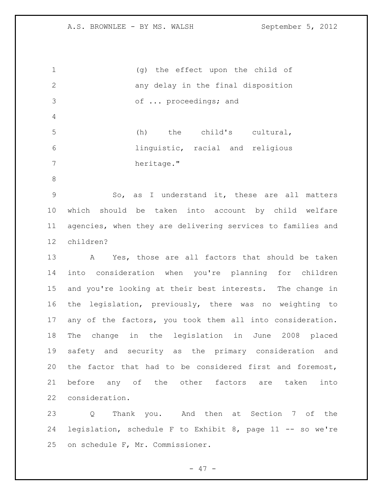(g) the effect upon the child of any delay in the final disposition of ... proceedings; and (h) the child's cultural, linguistic, racial and religious 7 heritage." So, as I understand it, these are all matters which should be taken into account by child welfare agencies, when they are delivering services to families and children? A Yes, those are all factors that should be taken into consideration when you're planning for children and you're looking at their best interests. The change in

 the legislation, previously, there was no weighting to any of the factors, you took them all into consideration. The change in the legislation in June 2008 placed safety and security as the primary consideration and the factor that had to be considered first and foremost, before any of the other factors are taken into consideration.

 Q Thank you. And then at Section 7 of the legislation, schedule F to Exhibit 8, page 11 -- so we're on schedule F, Mr. Commissioner.

- 47 -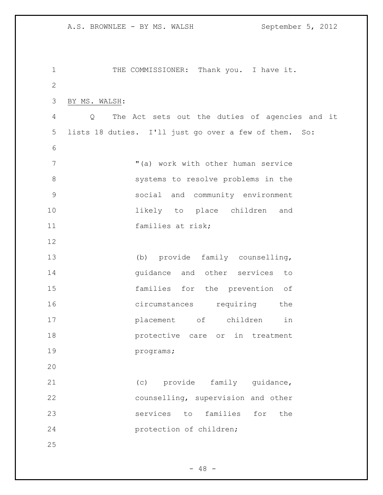| $\mathbf 1$   | THE COMMISSIONER: Thank you. I have it.               |
|---------------|-------------------------------------------------------|
| $\mathbf{2}$  |                                                       |
| 3             | BY MS. WALSH:                                         |
| 4             | Q The Act sets out the duties of agencies and it      |
| 5             | lists 18 duties. I'll just go over a few of them. So: |
| 6             |                                                       |
| 7             | "(a) work with other human service                    |
| 8             | systems to resolve problems in the                    |
| $\mathcal{G}$ | social and community environment                      |
| 10            | likely to place children and                          |
| 11            | families at risk;                                     |
| 12            |                                                       |
| 13            | (b) provide family counselling,                       |
| 14            | quidance and other services to                        |
| 15            | families for the prevention of                        |
| 16            | circumstances requiring the                           |
| 17            | placement of children<br>in                           |
| 18            | protective care or in treatment                       |
| 19            | programs;                                             |
| 20            |                                                       |
| 21            | (c) provide family guidance,                          |
| 22            | counselling, supervision and other                    |
| 23            | services to families for the                          |
| 24            | protection of children;                               |
| 25            |                                                       |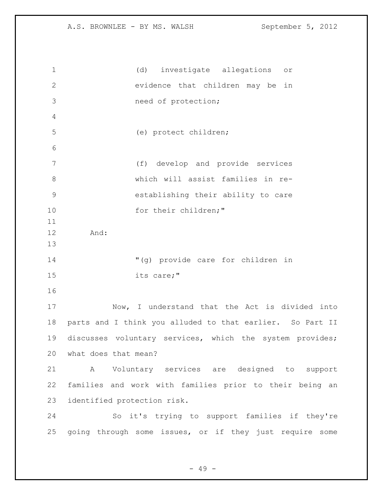| $\mathbf{1}$   | (d) investigate allegations<br>O <sub>T</sub>             |
|----------------|-----------------------------------------------------------|
| $\mathbf{2}$   | evidence that children may be in                          |
| 3              | need of protection;                                       |
| 4              |                                                           |
| 5              | (e) protect children;                                     |
| 6              |                                                           |
| 7              | (f) develop and provide services                          |
| 8              | which will assist families in re-                         |
| $\overline{9}$ | establishing their ability to care                        |
| 10             | for their children;"                                      |
| 11             |                                                           |
| 12             | And:                                                      |
| 13             |                                                           |
| 14             | "(g) provide care for children in                         |
| 15             | its care;"                                                |
| 16             |                                                           |
| 17             | Now, I understand that the Act is divided into            |
| 18             | parts and I think you alluded to that earlier. So Part II |
| 19             | discusses voluntary services, which the system provides;  |
| 20             | what does that mean?                                      |
| 21             | A Voluntary services are designed to support              |
| 22             | families and work with families prior to their being an   |
| 23             | identified protection risk.                               |
| 24             | So it's trying to support families if they're             |
| 25             | going through some issues, or if they just require some   |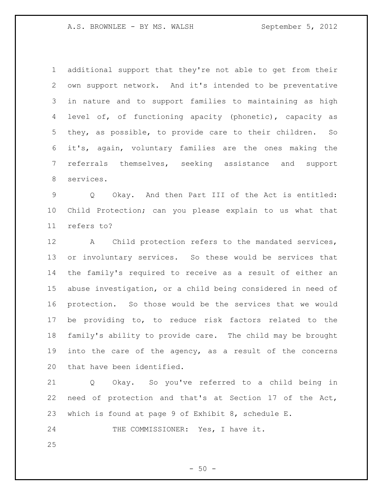additional support that they're not able to get from their own support network. And it's intended to be preventative in nature and to support families to maintaining as high level of, of functioning apacity (phonetic), capacity as they, as possible, to provide care to their children. So it's, again, voluntary families are the ones making the referrals themselves, seeking assistance and support services.

 Q Okay. And then Part III of the Act is entitled: Child Protection; can you please explain to us what that refers to?

 A Child protection refers to the mandated services, or involuntary services. So these would be services that the family's required to receive as a result of either an abuse investigation, or a child being considered in need of protection. So those would be the services that we would be providing to, to reduce risk factors related to the family's ability to provide care. The child may be brought into the care of the agency, as a result of the concerns that have been identified.

 Q Okay. So you've referred to a child being in need of protection and that's at Section 17 of the Act, which is found at page 9 of Exhibit 8, schedule E.

24 THE COMMISSIONER: Yes, I have it.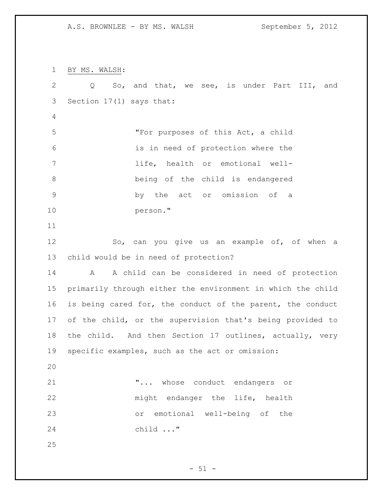BY MS. WALSH: Q So, and that, we see, is under Part III, and Section 17(1) says that: "For purposes of this Act, a child is in need of protection where the life, health or emotional well- being of the child is endangered by the act or omission of a person." So, can you give us an example of, of when a child would be in need of protection? A A child can be considered in need of protection primarily through either the environment in which the child is being cared for, the conduct of the parent, the conduct of the child, or the supervision that's being provided to the child. And then Section 17 outlines, actually, very specific examples, such as the act or omission: "... whose conduct endangers or 22 might endanger the life, health or emotional well-being of the child ..." 

 $-51 -$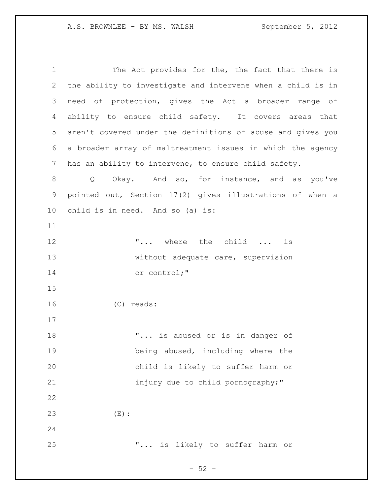1 The Act provides for the, the fact that there is the ability to investigate and intervene when a child is in need of protection, gives the Act a broader range of ability to ensure child safety. It covers areas that aren't covered under the definitions of abuse and gives you a broader array of maltreatment issues in which the agency has an ability to intervene, to ensure child safety. 8 Q Okay. And so, for instance, and as you've pointed out, Section 17(2) gives illustrations of when a child is in need. And so (a) is: 12 T... where the child ... is 13 without adequate care, supervision or control;" (C) reads: 18 T... is abused or is in danger of being abused, including where the child is likely to suffer harm or 21 injury due to child pornography;" (E): "... is likely to suffer harm or

 $-52 -$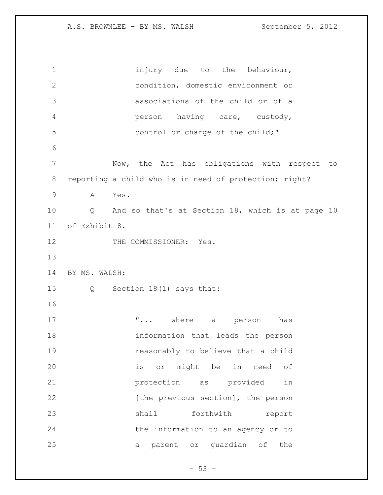1 injury due to the behaviour, condition, domestic environment or associations of the child or of a person having care, custody, control or charge of the child;" Now, the Act has obligations with respect to reporting a child who is in need of protection; right? A Yes. Q And so that's at Section 18, which is at page 10 of Exhibit 8. 12 THE COMMISSIONER: Yes. BY MS. WALSH: Q Section 18(1) says that: **"...** where a person has information that leads the person reasonably to believe that a child is or might be in need of protection as provided in 22 [the previous section], the person 23 shall forthwith report the information to an agency or to a parent or guardian of the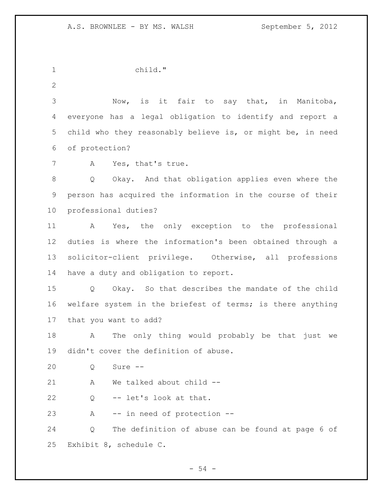child."

 Now, is it fair to say that, in Manitoba, everyone has a legal obligation to identify and report a child who they reasonably believe is, or might be, in need of protection?

A Yes, that's true.

 Q Okay. And that obligation applies even where the person has acquired the information in the course of their professional duties?

 A Yes, the only exception to the professional duties is where the information's been obtained through a solicitor-client privilege. Otherwise, all professions have a duty and obligation to report.

 Q Okay. So that describes the mandate of the child welfare system in the briefest of terms; is there anything that you want to add?

 A The only thing would probably be that just we didn't cover the definition of abuse.

Q Sure --

A We talked about child --

Q -- let's look at that.

A -- in need of protection --

 Q The definition of abuse can be found at page 6 of Exhibit 8, schedule C.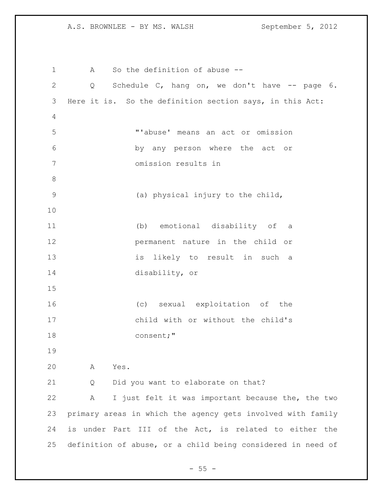A So the definition of abuse -- Q Schedule C, hang on, we don't have -- page 6. Here it is. So the definition section says, in this Act: "'abuse' means an act or omission by any person where the act or omission results in (a) physical injury to the child, (b) emotional disability of a permanent nature in the child or is likely to result in such a disability, or (c) sexual exploitation of the child with or without the child's consent;" A Yes. Q Did you want to elaborate on that? A I just felt it was important because the, the two primary areas in which the agency gets involved with family is under Part III of the Act, is related to either the definition of abuse, or a child being considered in need of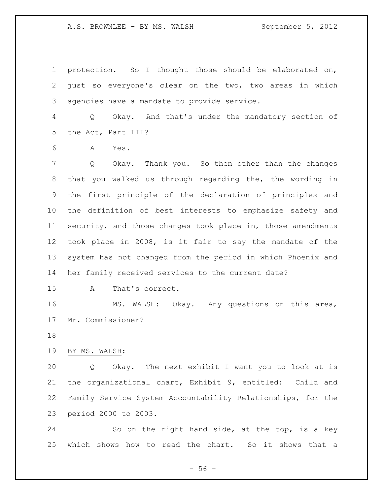protection. So I thought those should be elaborated on, just so everyone's clear on the two, two areas in which agencies have a mandate to provide service.

 Q Okay. And that's under the mandatory section of the Act, Part III?

A Yes.

 Q Okay. Thank you. So then other than the changes that you walked us through regarding the, the wording in the first principle of the declaration of principles and the definition of best interests to emphasize safety and security, and those changes took place in, those amendments took place in 2008, is it fair to say the mandate of the system has not changed from the period in which Phoenix and her family received services to the current date?

A That's correct.

 MS. WALSH: Okay. Any questions on this area, Mr. Commissioner?

BY MS. WALSH:

 Q Okay. The next exhibit I want you to look at is the organizational chart, Exhibit 9, entitled: Child and Family Service System Accountability Relationships, for the period 2000 to 2003.

 So on the right hand side, at the top, is a key which shows how to read the chart. So it shows that a

 $- 56 -$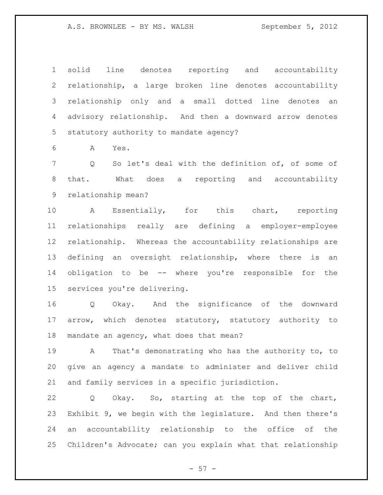solid line denotes reporting and accountability relationship, a large broken line denotes accountability relationship only and a small dotted line denotes an advisory relationship. And then a downward arrow denotes statutory authority to mandate agency?

A Yes.

 Q So let's deal with the definition of, of some of that. What does a reporting and accountability relationship mean?

 A Essentially, for this chart, reporting relationships really are defining a employer-employee relationship. Whereas the accountability relationships are defining an oversight relationship, where there is an obligation to be -- where you're responsible for the services you're delivering.

 Q Okay. And the significance of the downward arrow, which denotes statutory, statutory authority to 18 mandate an agency, what does that mean?

 A That's demonstrating who has the authority to, to give an agency a mandate to administer and deliver child and family services in a specific jurisdiction.

 Q Okay. So, starting at the top of the chart, Exhibit 9, we begin with the legislature. And then there's an accountability relationship to the office of the Children's Advocate; can you explain what that relationship

 $- 57 -$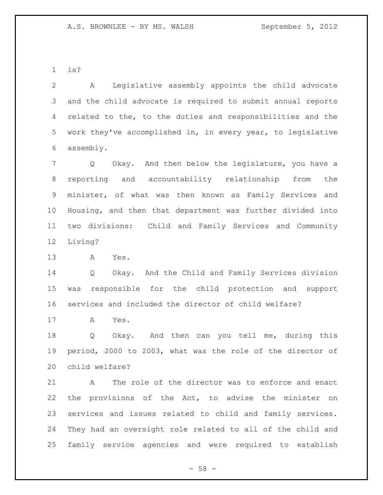is?

 A Legislative assembly appoints the child advocate and the child advocate is required to submit annual reports related to the, to the duties and responsibilities and the work they've accomplished in, in every year, to legislative assembly.

 Q Okay. And then below the legislature, you have a reporting and accountability relationship from the minister, of what was then known as Family Services and Housing, and then that department was further divided into two divisions: Child and Family Services and Community Living?

A Yes.

 Q Okay. And the Child and Family Services division was responsible for the child protection and support services and included the director of child welfare?

A Yes.

 Q Okay. And then can you tell me, during this period, 2000 to 2003, what was the role of the director of child welfare?

 A The role of the director was to enforce and enact the provisions of the Act, to advise the minister on services and issues related to child and family services. They had an oversight role related to all of the child and family service agencies and were required to establish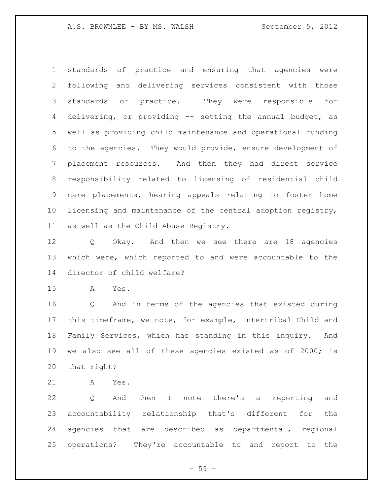standards of practice and ensuring that agencies were following and delivering services consistent with those standards of practice. They were responsible for delivering, or providing -- setting the annual budget, as well as providing child maintenance and operational funding to the agencies. They would provide, ensure development of placement resources. And then they had direct service responsibility related to licensing of residential child care placements, hearing appeals relating to foster home licensing and maintenance of the central adoption registry, as well as the Child Abuse Registry.

 Q Okay. And then we see there are 18 agencies which were, which reported to and were accountable to the director of child welfare?

A Yes.

 Q And in terms of the agencies that existed during this timeframe, we note, for example, Intertribal Child and Family Services, which has standing in this inquiry. And we also see all of these agencies existed as of 2000; is that right?

A Yes.

 Q And then I note there's a reporting and accountability relationship that's different for the agencies that are described as departmental, regional operations? They're accountable to and report to the

 $-59 -$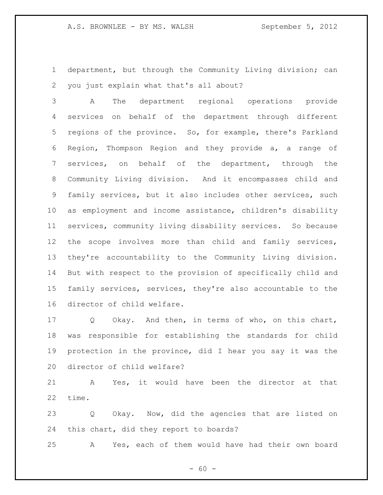department, but through the Community Living division; can you just explain what that's all about?

 A The department regional operations provide services on behalf of the department through different regions of the province. So, for example, there's Parkland Region, Thompson Region and they provide a, a range of services, on behalf of the department, through the Community Living division. And it encompasses child and family services, but it also includes other services, such as employment and income assistance, children's disability services, community living disability services. So because the scope involves more than child and family services, they're accountability to the Community Living division. But with respect to the provision of specifically child and family services, services, they're also accountable to the director of child welfare.

 Q Okay. And then, in terms of who, on this chart, was responsible for establishing the standards for child protection in the province, did I hear you say it was the director of child welfare?

 A Yes, it would have been the director at that time.

 Q Okay. Now, did the agencies that are listed on this chart, did they report to boards?

A Yes, each of them would have had their own board

 $- 60 -$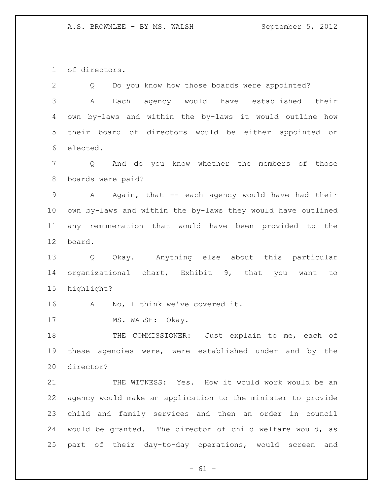of directors.

| Do you know how those boards were appointed?<br>Q                 |  |
|-------------------------------------------------------------------|--|
| Each agency would have established their<br>Α                     |  |
| own by-laws and within the by-laws it would outline how           |  |
| their board of directors would be either appointed or             |  |
| elected.                                                          |  |
| And do you know whether the members of those<br>$Q \qquad \qquad$ |  |
| boards were paid?                                                 |  |
| Again, that -- each agency would have had their<br>$\mathbf{A}$   |  |
| own by-laws and within the by-laws they would have outlined       |  |
| any remuneration that would have been provided to the             |  |
| board.                                                            |  |
| Okay. Anything else about this particular<br>Q                    |  |
| organizational chart, Exhibit 9, that you want to                 |  |
| highlight?                                                        |  |
| No, I think we've covered it.<br>$\mathbf{A}$                     |  |
|                                                                   |  |
| MS. WALSH: Okay.                                                  |  |
| THE COMMISSIONER: Just explain to me, each of                     |  |
| these agencies were, were established under and by the            |  |
| director?                                                         |  |
| THE WITNESS: Yes. How it would work would be an                   |  |
| agency would make an application to the minister to provide       |  |
| child and family services and then an order in council            |  |
| would be granted. The director of child welfare would, as         |  |
|                                                                   |  |

- 61 -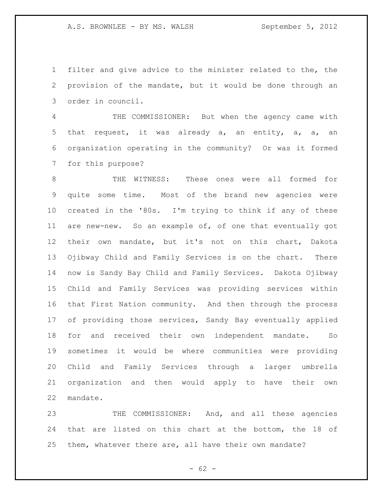filter and give advice to the minister related to the, the provision of the mandate, but it would be done through an order in council.

 THE COMMISSIONER: But when the agency came with that request, it was already a, an entity, a, a, an organization operating in the community? Or was it formed for this purpose?

 THE WITNESS: These ones were all formed for quite some time. Most of the brand new agencies were created in the '80s. I'm trying to think if any of these are new-new. So an example of, of one that eventually got their own mandate, but it's not on this chart, Dakota Ojibway Child and Family Services is on the chart. There now is Sandy Bay Child and Family Services. Dakota Ojibway Child and Family Services was providing services within that First Nation community. And then through the process of providing those services, Sandy Bay eventually applied for and received their own independent mandate. So sometimes it would be where communities were providing Child and Family Services through a larger umbrella organization and then would apply to have their own mandate.

 THE COMMISSIONER: And, and all these agencies that are listed on this chart at the bottom, the 18 of them, whatever there are, all have their own mandate?

 $- 62 -$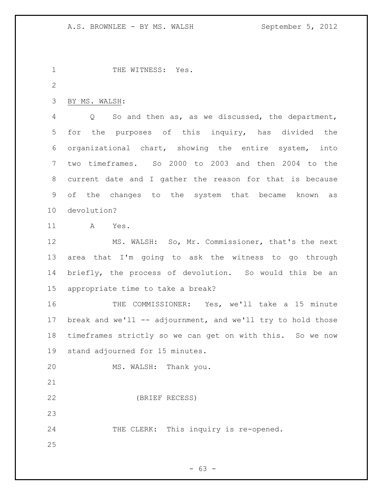1 THE WITNESS: Yes. BY MS. WALSH: Q So and then as, as we discussed, the department, for the purposes of this inquiry, has divided the organizational chart, showing the entire system, into two timeframes. So 2000 to 2003 and then 2004 to the current date and I gather the reason for that is because of the changes to the system that became known as devolution? A Yes. MS. WALSH: So, Mr. Commissioner, that's the next area that I'm going to ask the witness to go through briefly, the process of devolution. So would this be an appropriate time to take a break?

 THE COMMISSIONER: Yes, we'll take a 15 minute 17 break and we'll -- adjournment, and we'll try to hold those timeframes strictly so we can get on with this. So we now stand adjourned for 15 minutes.

MS. WALSH: Thank you.

(BRIEF RECESS)

THE CLERK: This inquiry is re-opened.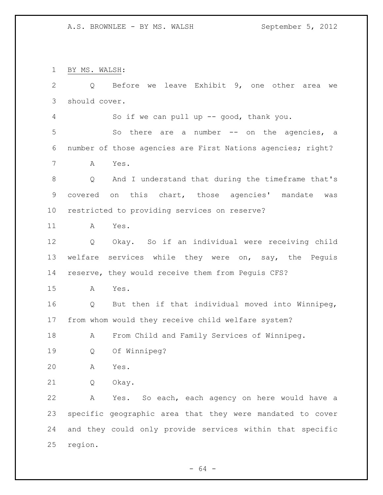BY MS. WALSH:

| $\overline{2}$ | Before we leave Exhibit 9, one other area<br>Q<br>we        |
|----------------|-------------------------------------------------------------|
|                |                                                             |
| 3              | should cover.                                               |
| 4              | So if we can pull up -- good, thank you.                    |
| 5              | So there are a number -- on the agencies, a                 |
| 6              | number of those agencies are First Nations agencies; right? |
| 7              | Yes.<br>Α                                                   |
| $\,8\,$        | And I understand that during the timeframe that's<br>Q      |
| $\mathsf 9$    | covered on this chart, those agencies' mandate<br>was       |
| 10             | restricted to providing services on reserve?                |
| 11             | Yes.<br>Α                                                   |
| 12             | Okay. So if an individual were receiving child<br>Q         |
| 13             | welfare services while they were on, say, the Peguis        |
| 14             | reserve, they would receive them from Peguis CFS?           |
| 15             | Yes.<br>A                                                   |
| 16             | But then if that individual moved into Winnipeg,<br>Q       |
| 17             | from whom would they receive child welfare system?          |
| 18             | From Child and Family Services of Winnipeg.<br>A            |
| 19             | Of Winnipeg?<br>Q                                           |
| 20             | Α<br>Yes.                                                   |
| 21             | Q<br>Okay.                                                  |
| 22             | Α<br>Yes. So each, each agency on here would have a         |
| 23             | specific geographic area that they were mandated to cover   |
| 24             | and they could only provide services within that specific   |
| 25             | region.                                                     |
|                |                                                             |

- 64 -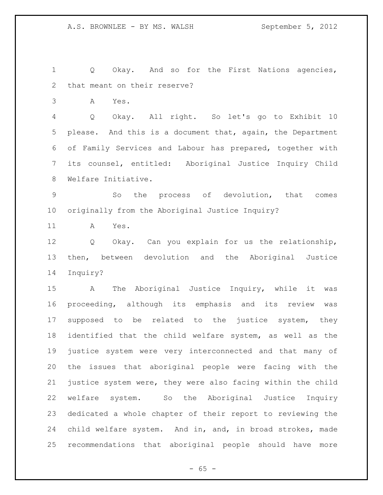Q Okay. And so for the First Nations agencies, that meant on their reserve?

A Yes.

 Q Okay. All right. So let's go to Exhibit 10 please. And this is a document that, again, the Department of Family Services and Labour has prepared, together with its counsel, entitled: Aboriginal Justice Inquiry Child Welfare Initiative.

 So the process of devolution, that comes originally from the Aboriginal Justice Inquiry?

A Yes.

 Q Okay. Can you explain for us the relationship, then, between devolution and the Aboriginal Justice Inquiry?

 A The Aboriginal Justice Inquiry, while it was proceeding, although its emphasis and its review was supposed to be related to the justice system, they identified that the child welfare system, as well as the justice system were very interconnected and that many of the issues that aboriginal people were facing with the justice system were, they were also facing within the child welfare system. So the Aboriginal Justice Inquiry dedicated a whole chapter of their report to reviewing the child welfare system. And in, and, in broad strokes, made recommendations that aboriginal people should have more

 $- 65 -$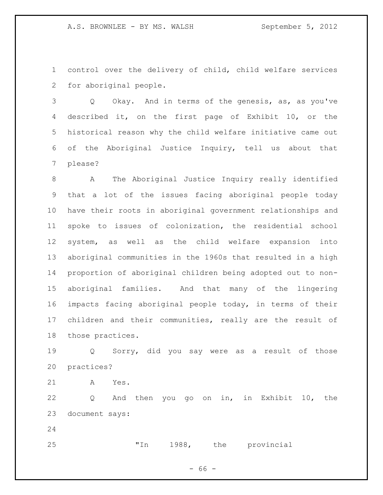control over the delivery of child, child welfare services for aboriginal people.

 Q Okay. And in terms of the genesis, as, as you've described it, on the first page of Exhibit 10, or the historical reason why the child welfare initiative came out of the Aboriginal Justice Inquiry, tell us about that please?

 A The Aboriginal Justice Inquiry really identified that a lot of the issues facing aboriginal people today have their roots in aboriginal government relationships and spoke to issues of colonization, the residential school system, as well as the child welfare expansion into aboriginal communities in the 1960s that resulted in a high proportion of aboriginal children being adopted out to non- aboriginal families. And that many of the lingering impacts facing aboriginal people today, in terms of their children and their communities, really are the result of those practices.

 Q Sorry, did you say were as a result of those practices?

A Yes.

 Q And then you go on in, in Exhibit 10, the document says:

"In 1988, the provincial

- 66 -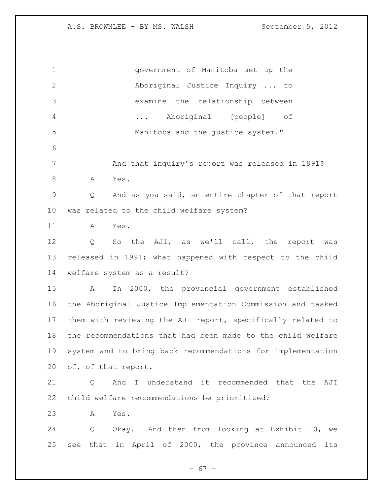| $\mathbf 1$  | government of Manitoba set up the                                 |
|--------------|-------------------------------------------------------------------|
| $\mathbf{2}$ | Aboriginal Justice Inquiry  to                                    |
| 3            | examine the relationship between                                  |
| 4            | Aboriginal [people] of<br>$\cdots$                                |
| 5            | Manitoba and the justice system."                                 |
| 6            |                                                                   |
| 7            | And that inquiry's report was released in 1991?                   |
| $\,8\,$      | Yes.<br>A                                                         |
| $\mathsf 9$  | And as you said, an entire chapter of that report<br>Q            |
| 10           | was related to the child welfare system?                          |
| 11           | Yes.<br>A                                                         |
| 12           | So the AJI, as we'll call, the<br>$Q \qquad \qquad$<br>report was |
| 13           | released in 1991; what happened with respect to the child         |
| 14           | welfare system as a result?                                       |
| 15           | In 2000, the provincial government established<br>A               |
| 16           | the Aboriginal Justice Implementation Commission and tasked       |
| 17           | them with reviewing the AJI report, specifically related to       |
| 18           | the recommendations that had been made to the child welfare       |
| 19           | system and to bring back recommendations for implementation       |
| 20           | of, of that report.                                               |
| 21           | And I understand it recommended that the AJI<br>Q                 |
| 22           | child welfare recommendations be prioritized?                     |
| 23           | A<br>Yes.                                                         |
| 24           | Q Okay. And then from looking at Exhibit 10, we                   |
| 25           | see that in April of 2000, the province announced its             |
|              |                                                                   |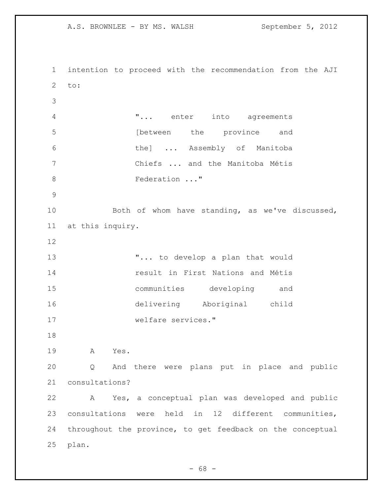intention to proceed with the recommendation from the AJI to: "... enter into agreements **between** the province and the] ... Assembly of Manitoba Chiefs ... and the Manitoba Métis 8 Federation ..." Both of whom have standing, as we've discussed, at this inquiry. "... to develop a plan that would result in First Nations and Métis communities developing and delivering Aboriginal child welfare services." A Yes. Q And there were plans put in place and public consultations? A Yes, a conceptual plan was developed and public consultations were held in 12 different communities, throughout the province, to get feedback on the conceptual plan.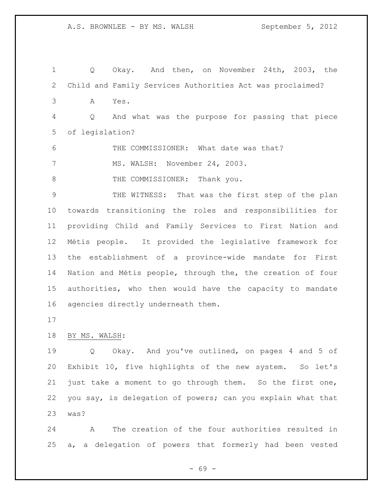Q Okay. And then, on November 24th, 2003, the Child and Family Services Authorities Act was proclaimed? A Yes. Q And what was the purpose for passing that piece of legislation? THE COMMISSIONER: What date was that? 7 MS. WALSH: November 24, 2003. 8 THE COMMISSIONER: Thank you. THE WITNESS: That was the first step of the plan towards transitioning the roles and responsibilities for providing Child and Family Services to First Nation and Métis people. It provided the legislative framework for the establishment of a province-wide mandate for First Nation and Métis people, through the, the creation of four authorities, who then would have the capacity to mandate agencies directly underneath them. BY MS. WALSH:

 Q Okay. And you've outlined, on pages 4 and 5 of Exhibit 10, five highlights of the new system. So let's just take a moment to go through them. So the first one, you say, is delegation of powers; can you explain what that was?

 A The creation of the four authorities resulted in a, a delegation of powers that formerly had been vested

- 69 -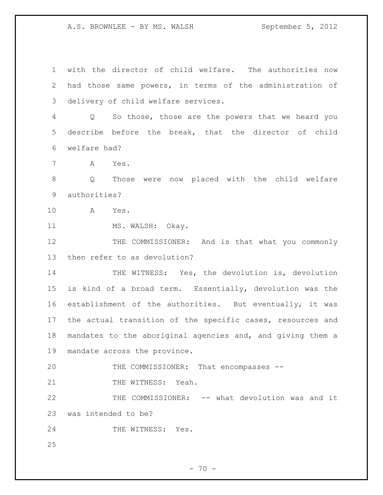with the director of child welfare. The authorities now had those same powers, in terms of the administration of delivery of child welfare services.

 Q So those, those are the powers that we heard you describe before the break, that the director of child welfare had?

A Yes.

 Q Those were now placed with the child welfare authorities?

A Yes.

11 MS. WALSH: Okay.

12 THE COMMISSIONER: And is that what you commonly then refer to as devolution?

14 THE WITNESS: Yes, the devolution is, devolution is kind of a broad term. Essentially, devolution was the establishment of the authorities. But eventually, it was the actual transition of the specific cases, resources and mandates to the aboriginal agencies and, and giving them a mandate across the province.

 THE COMMISSIONER: That encompasses -- 21 THE WITNESS: Yeah.

 THE COMMISSIONER: -- what devolution was and it was intended to be?

24 THE WITNESS: Yes.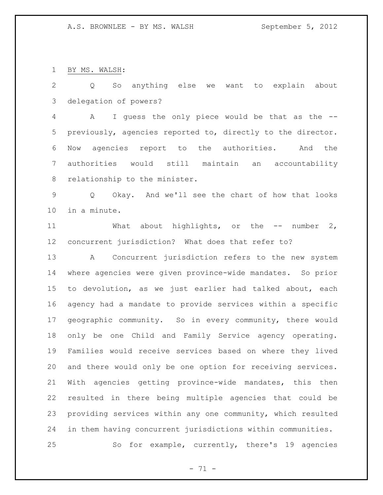BY MS. WALSH:

 Q So anything else we want to explain about delegation of powers?

 A I guess the only piece would be that as the -- previously, agencies reported to, directly to the director. Now agencies report to the authorities. And the authorities would still maintain an accountability relationship to the minister.

 Q Okay. And we'll see the chart of how that looks in a minute.

11 What about highlights, or the -- number 2, concurrent jurisdiction? What does that refer to?

 A Concurrent jurisdiction refers to the new system where agencies were given province-wide mandates. So prior to devolution, as we just earlier had talked about, each agency had a mandate to provide services within a specific geographic community. So in every community, there would only be one Child and Family Service agency operating. Families would receive services based on where they lived and there would only be one option for receiving services. With agencies getting province-wide mandates, this then resulted in there being multiple agencies that could be providing services within any one community, which resulted in them having concurrent jurisdictions within communities. So for example, currently, there's 19 agencies

 $- 71 -$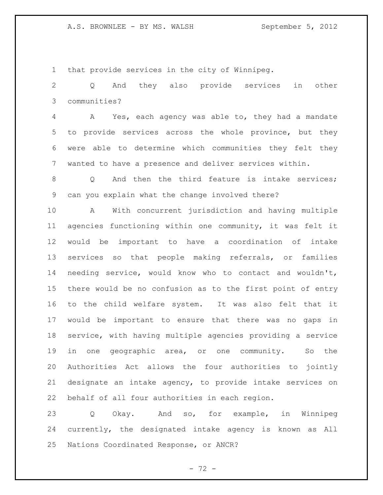that provide services in the city of Winnipeg.

 Q And they also provide services in other communities?

 A Yes, each agency was able to, they had a mandate to provide services across the whole province, but they were able to determine which communities they felt they wanted to have a presence and deliver services within.

8 0 And then the third feature is intake services; can you explain what the change involved there?

 A With concurrent jurisdiction and having multiple agencies functioning within one community, it was felt it would be important to have a coordination of intake services so that people making referrals, or families needing service, would know who to contact and wouldn't, there would be no confusion as to the first point of entry to the child welfare system. It was also felt that it would be important to ensure that there was no gaps in service, with having multiple agencies providing a service in one geographic area, or one community. So the Authorities Act allows the four authorities to jointly designate an intake agency, to provide intake services on behalf of all four authorities in each region.

 Q Okay. And so, for example, in Winnipeg currently, the designated intake agency is known as All Nations Coordinated Response, or ANCR?

 $- 72 -$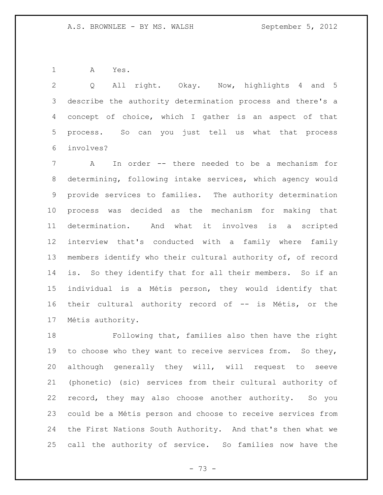A Yes.

 Q All right. Okay. Now, highlights 4 and 5 describe the authority determination process and there's a concept of choice, which I gather is an aspect of that process. So can you just tell us what that process involves?

 A In order -- there needed to be a mechanism for determining, following intake services, which agency would provide services to families. The authority determination process was decided as the mechanism for making that determination. And what it involves is a scripted interview that's conducted with a family where family members identify who their cultural authority of, of record is. So they identify that for all their members. So if an individual is a Métis person, they would identify that their cultural authority record of -- is Métis, or the Métis authority.

 Following that, families also then have the right to choose who they want to receive services from. So they, although generally they will, will request to seeve (phonetic) (sic) services from their cultural authority of record, they may also choose another authority. So you could be a Métis person and choose to receive services from the First Nations South Authority. And that's then what we call the authority of service. So families now have the

- 73 -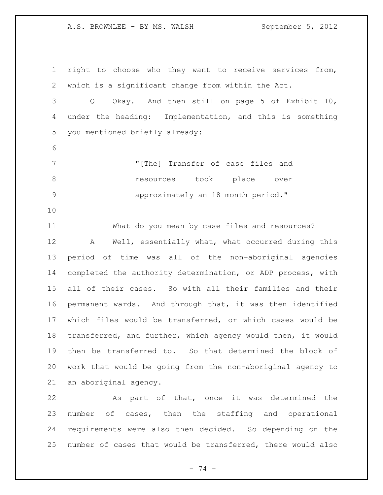right to choose who they want to receive services from, which is a significant change from within the Act.

 Q Okay. And then still on page 5 of Exhibit 10, under the heading: Implementation, and this is something you mentioned briefly already:

- "[The] Transfer of case files and **8** *resources* took place over **18 approximately an 18 month period.**"
- 

 What do you mean by case files and resources? A Well, essentially what, what occurred during this period of time was all of the non-aboriginal agencies completed the authority determination, or ADP process, with all of their cases. So with all their families and their permanent wards. And through that, it was then identified which files would be transferred, or which cases would be transferred, and further, which agency would then, it would then be transferred to. So that determined the block of work that would be going from the non-aboriginal agency to an aboriginal agency.

 As part of that, once it was determined the number of cases, then the staffing and operational requirements were also then decided. So depending on the number of cases that would be transferred, there would also

- 74 -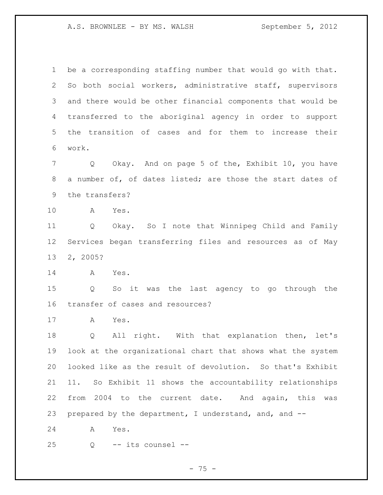be a corresponding staffing number that would go with that. So both social workers, administrative staff, supervisors and there would be other financial components that would be transferred to the aboriginal agency in order to support the transition of cases and for them to increase their work.

 Q Okay. And on page 5 of the, Exhibit 10, you have a number of, of dates listed; are those the start dates of the transfers?

A Yes.

 Q Okay. So I note that Winnipeg Child and Family Services began transferring files and resources as of May 2, 2005?

A Yes.

 Q So it was the last agency to go through the transfer of cases and resources?

A Yes.

 Q All right. With that explanation then, let's look at the organizational chart that shows what the system looked like as the result of devolution. So that's Exhibit 11. So Exhibit 11 shows the accountability relationships from 2004 to the current date. And again, this was prepared by the department, I understand, and, and --

A Yes.

Q -- its counsel --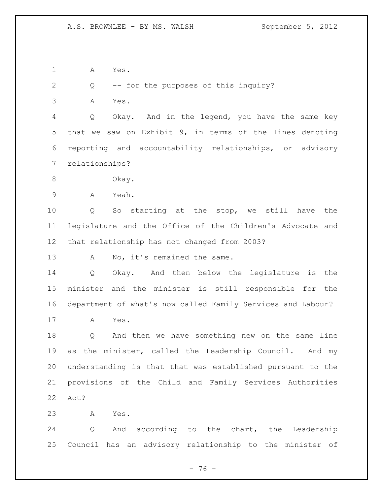A Yes.

Q -- for the purposes of this inquiry?

A Yes.

 Q Okay. And in the legend, you have the same key that we saw on Exhibit 9, in terms of the lines denoting reporting and accountability relationships, or advisory relationships?

Okay.

A Yeah.

 Q So starting at the stop, we still have the legislature and the Office of the Children's Advocate and that relationship has not changed from 2003?

13 A No, it's remained the same.

 Q Okay. And then below the legislature is the minister and the minister is still responsible for the department of what's now called Family Services and Labour?

A Yes.

 Q And then we have something new on the same line as the minister, called the Leadership Council. And my understanding is that that was established pursuant to the provisions of the Child and Family Services Authorities Act?

A Yes.

 Q And according to the chart, the Leadership Council has an advisory relationship to the minister of

 $- 76 -$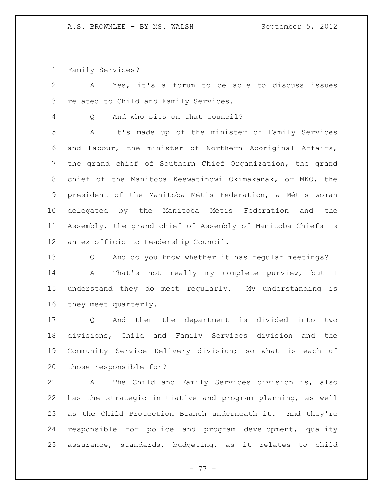Family Services?

 A Yes, it's a forum to be able to discuss issues related to Child and Family Services. Q And who sits on that council? A It's made up of the minister of Family Services and Labour, the minister of Northern Aboriginal Affairs, the grand chief of Southern Chief Organization, the grand chief of the Manitoba Keewatinowi Okimakanak, or MKO, the president of the Manitoba Métis Federation, a Métis woman delegated by the Manitoba Métis Federation and the Assembly, the grand chief of Assembly of Manitoba Chiefs is an ex officio to Leadership Council. Q And do you know whether it has regular meetings? A That's not really my complete purview, but I understand they do meet regularly. My understanding is they meet quarterly. Q And then the department is divided into two divisions, Child and Family Services division and the Community Service Delivery division; so what is each of those responsible for? A The Child and Family Services division is, also has the strategic initiative and program planning, as well

 responsible for police and program development, quality assurance, standards, budgeting, as it relates to child

as the Child Protection Branch underneath it. And they're

- 77 -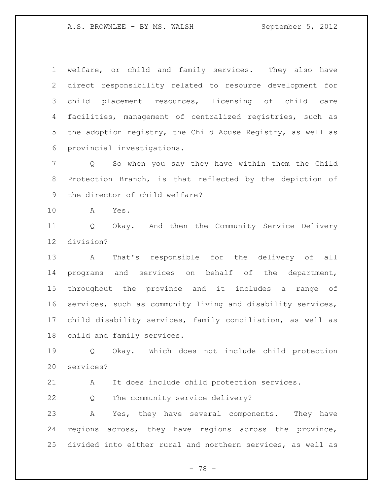welfare, or child and family services. They also have direct responsibility related to resource development for child placement resources, licensing of child care facilities, management of centralized registries, such as the adoption registry, the Child Abuse Registry, as well as provincial investigations.

 Q So when you say they have within them the Child Protection Branch, is that reflected by the depiction of the director of child welfare?

A Yes.

 Q Okay. And then the Community Service Delivery division?

 A That's responsible for the delivery of all programs and services on behalf of the department, throughout the province and it includes a range of services, such as community living and disability services, child disability services, family conciliation, as well as child and family services.

 Q Okay. Which does not include child protection services?

A It does include child protection services.

Q The community service delivery?

 A Yes, they have several components. They have regions across, they have regions across the province, divided into either rural and northern services, as well as

- 78 -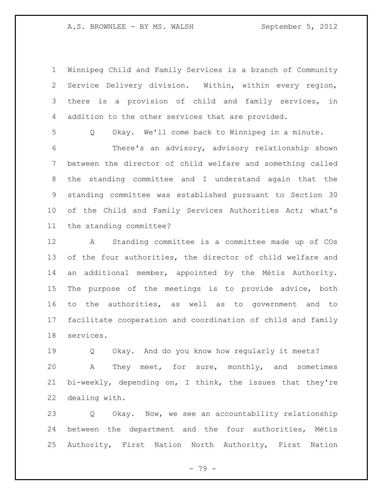Winnipeg Child and Family Services is a branch of Community Service Delivery division. Within, within every region, there is a provision of child and family services, in addition to the other services that are provided.

Q Okay. We'll come back to Winnipeg in a minute.

 There's an advisory, advisory relationship shown between the director of child welfare and something called the standing committee and I understand again that the standing committee was established pursuant to Section 30 of the Child and Family Services Authorities Act; what's the standing committee?

 A Standing committee is a committee made up of COs 13 of the four authorities, the director of child welfare and an additional member, appointed by the Métis Authority. The purpose of the meetings is to provide advice, both to the authorities, as well as to government and to facilitate cooperation and coordination of child and family services.

 Q Okay. And do you know how regularly it meets? A They meet, for sure, monthly, and sometimes bi-weekly, depending on, I think, the issues that they're dealing with.

 Q Okay. Now, we see an accountability relationship between the department and the four authorities, Métis Authority, First Nation North Authority, First Nation

 $- 79 -$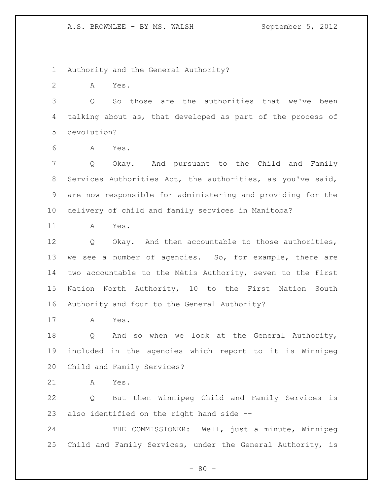Authority and the General Authority?

A Yes.

 Q So those are the authorities that we've been talking about as, that developed as part of the process of devolution?

A Yes.

 Q Okay. And pursuant to the Child and Family Services Authorities Act, the authorities, as you've said, are now responsible for administering and providing for the delivery of child and family services in Manitoba?

A Yes.

 Q Okay. And then accountable to those authorities, we see a number of agencies. So, for example, there are two accountable to the Métis Authority, seven to the First Nation North Authority, 10 to the First Nation South Authority and four to the General Authority?

A Yes.

 Q And so when we look at the General Authority, included in the agencies which report to it is Winnipeg Child and Family Services?

A Yes.

 Q But then Winnipeg Child and Family Services is also identified on the right hand side --

24 THE COMMISSIONER: Well, just a minute, Winnipeg Child and Family Services, under the General Authority, is

 $- 80 -$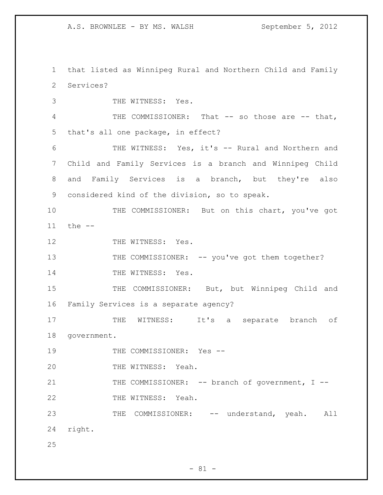1 that listed as Winnipeg Rural and Northern Child and Family 2 Services?

3 THE WITNESS: Yes. 4 THE COMMISSIONER: That -- so those are -- that, 5 that's all one package, in effect? 6 THE WITNESS: Yes, it's -- Rural and Northern and 7 Child and Family Services is a branch and Winnipeg Child 8 and Family Services is a branch, but they're also 9 considered kind of the division, so to speak. 10 THE COMMISSIONER: But on this chart, you've got 11 the -- 12 THE WITNESS: Yes. 13 THE COMMISSIONER: -- you've got them together? 14 THE WITNESS: Yes. 15 THE COMMISSIONER: But, but Winnipeg Child and 16 Family Services is a separate agency? 17 THE WITNESS: It's a separate branch of 18 government. 19 THE COMMISSIONER: Yes --20 THE WITNESS: Yeah. 21 THE COMMISSIONER: -- branch of government, I --22 THE WITNESS: Yeah. 23 THE COMMISSIONER: -- understand, yeah. All 24 right. 25

 $- 81 -$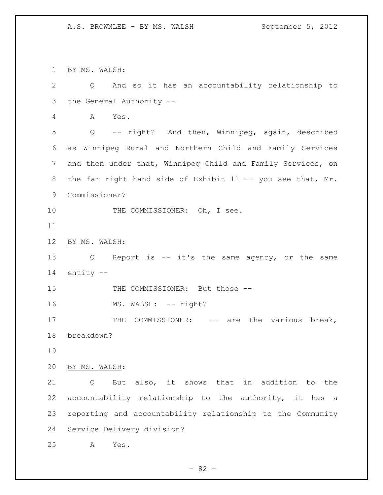BY MS. WALSH: Q And so it has an accountability relationship to the General Authority -- A Yes. Q -- right? And then, Winnipeg, again, described as Winnipeg Rural and Northern Child and Family Services and then under that, Winnipeg Child and Family Services, on 8 the far right hand side of Exhibit 11 -- you see that, Mr. Commissioner? 10 THE COMMISSIONER: Oh, I see. BY MS. WALSH: Q Report is -- it's the same agency, or the same entity -- 15 THE COMMISSIONER: But those --16 MS. WALSH: -- right? 17 THE COMMISSIONER: -- are the various break, breakdown? BY MS. WALSH: Q But also, it shows that in addition to the accountability relationship to the authority, it has a reporting and accountability relationship to the Community Service Delivery division? A Yes.

 $- 82 -$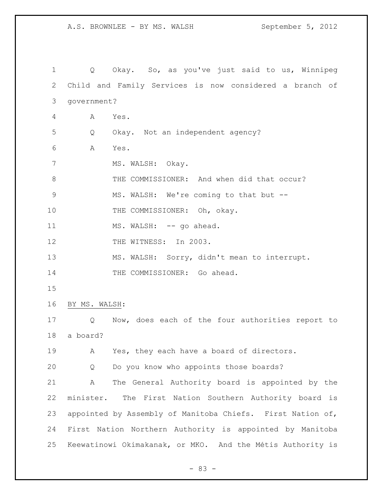Q Okay. So, as you've just said to us, Winnipeg Child and Family Services is now considered a branch of government? A Yes. Q Okay. Not an independent agency? A Yes. 7 MS. WALSH: Okay. 8 THE COMMISSIONER: And when did that occur? MS. WALSH: We're coming to that but -- 10 THE COMMISSIONER: Oh, okay. 11 MS. WALSH: -- go ahead. 12 THE WITNESS: In 2003. MS. WALSH: Sorry, didn't mean to interrupt. 14 THE COMMISSIONER: Go ahead. BY MS. WALSH: Q Now, does each of the four authorities report to a board? A Yes, they each have a board of directors. Q Do you know who appoints those boards? A The General Authority board is appointed by the minister. The First Nation Southern Authority board is appointed by Assembly of Manitoba Chiefs. First Nation of, First Nation Northern Authority is appointed by Manitoba Keewatinowi Okimakanak, or MKO. And the Métis Authority is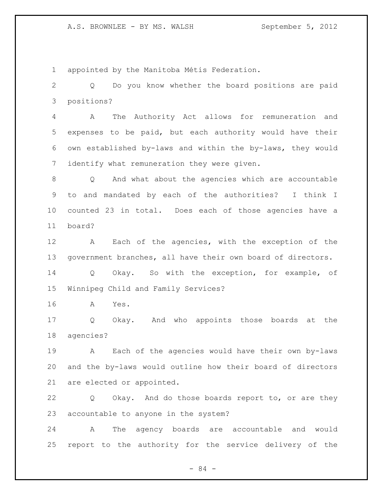appointed by the Manitoba Métis Federation.

 Q Do you know whether the board positions are paid positions?

 A The Authority Act allows for remuneration and expenses to be paid, but each authority would have their own established by-laws and within the by-laws, they would identify what remuneration they were given.

 Q And what about the agencies which are accountable to and mandated by each of the authorities? I think I counted 23 in total. Does each of those agencies have a board?

 A Each of the agencies, with the exception of the government branches, all have their own board of directors.

 Q Okay. So with the exception, for example, of Winnipeg Child and Family Services?

A Yes.

 Q Okay. And who appoints those boards at the agencies?

 A Each of the agencies would have their own by-laws and the by-laws would outline how their board of directors are elected or appointed.

 Q Okay. And do those boards report to, or are they accountable to anyone in the system?

 A The agency boards are accountable and would report to the authority for the service delivery of the

- 84 -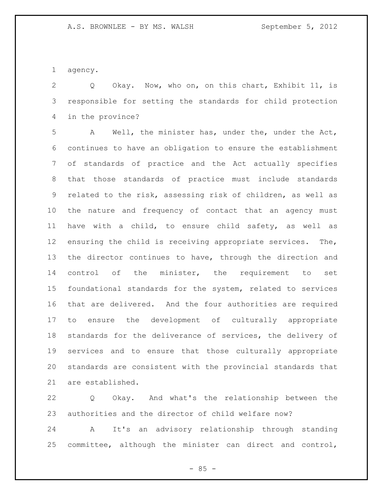agency.

 Q Okay. Now, who on, on this chart, Exhibit 11, is responsible for setting the standards for child protection in the province?

 A Well, the minister has, under the, under the Act, continues to have an obligation to ensure the establishment of standards of practice and the Act actually specifies that those standards of practice must include standards related to the risk, assessing risk of children, as well as the nature and frequency of contact that an agency must have with a child, to ensure child safety, as well as ensuring the child is receiving appropriate services. The, the director continues to have, through the direction and control of the minister, the requirement to set foundational standards for the system, related to services that are delivered. And the four authorities are required to ensure the development of culturally appropriate standards for the deliverance of services, the delivery of services and to ensure that those culturally appropriate standards are consistent with the provincial standards that are established.

 Q Okay. And what's the relationship between the authorities and the director of child welfare now?

 A It's an advisory relationship through standing committee, although the minister can direct and control,

 $-85 -$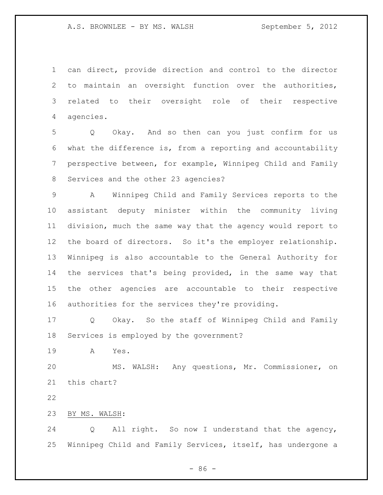can direct, provide direction and control to the director to maintain an oversight function over the authorities, related to their oversight role of their respective agencies.

 Q Okay. And so then can you just confirm for us what the difference is, from a reporting and accountability perspective between, for example, Winnipeg Child and Family Services and the other 23 agencies?

 A Winnipeg Child and Family Services reports to the assistant deputy minister within the community living division, much the same way that the agency would report to the board of directors. So it's the employer relationship. Winnipeg is also accountable to the General Authority for the services that's being provided, in the same way that the other agencies are accountable to their respective authorities for the services they're providing.

 Q Okay. So the staff of Winnipeg Child and Family Services is employed by the government?

A Yes.

 MS. WALSH: Any questions, Mr. Commissioner, on this chart?

BY MS. WALSH:

 Q All right. So now I understand that the agency, Winnipeg Child and Family Services, itself, has undergone a

 $-86 -$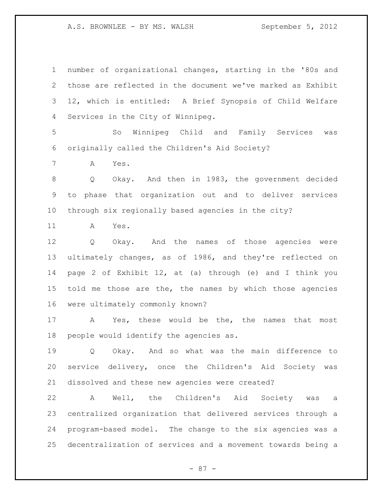number of organizational changes, starting in the '80s and those are reflected in the document we've marked as Exhibit 12, which is entitled: A Brief Synopsis of Child Welfare Services in the City of Winnipeg.

 So Winnipeg Child and Family Services was originally called the Children's Aid Society?

A Yes.

 Q Okay. And then in 1983, the government decided to phase that organization out and to deliver services through six regionally based agencies in the city?

A Yes.

 Q Okay. And the names of those agencies were ultimately changes, as of 1986, and they're reflected on page 2 of Exhibit 12, at (a) through (e) and I think you told me those are the, the names by which those agencies were ultimately commonly known?

 A Yes, these would be the, the names that most people would identify the agencies as.

 Q Okay. And so what was the main difference to service delivery, once the Children's Aid Society was dissolved and these new agencies were created?

 A Well, the Children's Aid Society was a centralized organization that delivered services through a program-based model. The change to the six agencies was a decentralization of services and a movement towards being a

- 87 -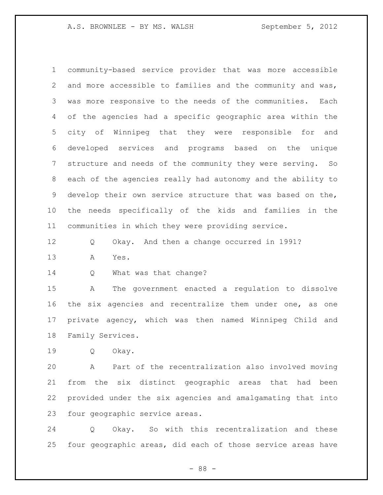community-based service provider that was more accessible and more accessible to families and the community and was, was more responsive to the needs of the communities. Each of the agencies had a specific geographic area within the city of Winnipeg that they were responsible for and developed services and programs based on the unique structure and needs of the community they were serving. So each of the agencies really had autonomy and the ability to develop their own service structure that was based on the, the needs specifically of the kids and families in the communities in which they were providing service.

Q Okay. And then a change occurred in 1991?

A Yes.

14 Q What was that change?

 A The government enacted a regulation to dissolve the six agencies and recentralize them under one, as one private agency, which was then named Winnipeg Child and Family Services.

Q Okay.

 A Part of the recentralization also involved moving from the six distinct geographic areas that had been provided under the six agencies and amalgamating that into four geographic service areas.

 Q Okay. So with this recentralization and these four geographic areas, did each of those service areas have

- 88 -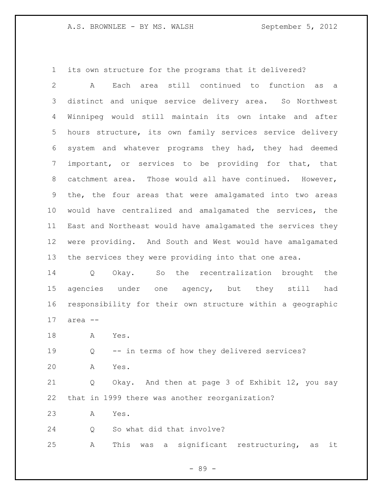its own structure for the programs that it delivered?

 A Each area still continued to function as a distinct and unique service delivery area. So Northwest Winnipeg would still maintain its own intake and after hours structure, its own family services service delivery system and whatever programs they had, they had deemed important, or services to be providing for that, that catchment area. Those would all have continued. However, the, the four areas that were amalgamated into two areas would have centralized and amalgamated the services, the East and Northeast would have amalgamated the services they were providing. And South and West would have amalgamated the services they were providing into that one area.

 Q Okay. So the recentralization brought the agencies under one agency, but they still had responsibility for their own structure within a geographic area --

A Yes.

 Q -- in terms of how they delivered services? A Yes.

 Q Okay. And then at page 3 of Exhibit 12, you say that in 1999 there was another reorganization?

A Yes.

Q So what did that involve?

A This was a significant restructuring, as it

- 89 -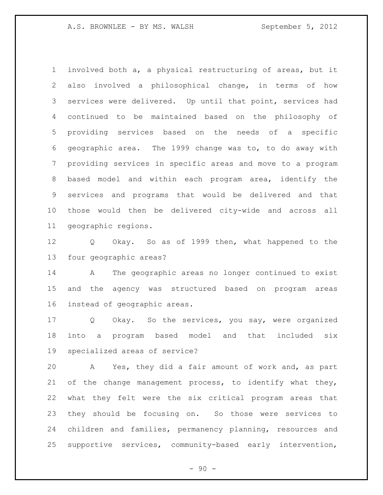involved both a, a physical restructuring of areas, but it also involved a philosophical change, in terms of how services were delivered. Up until that point, services had continued to be maintained based on the philosophy of providing services based on the needs of a specific geographic area. The 1999 change was to, to do away with providing services in specific areas and move to a program based model and within each program area, identify the services and programs that would be delivered and that those would then be delivered city-wide and across all geographic regions.

 Q Okay. So as of 1999 then, what happened to the four geographic areas?

 A The geographic areas no longer continued to exist and the agency was structured based on program areas instead of geographic areas.

 Q Okay. So the services, you say, were organized into a program based model and that included six specialized areas of service?

 A Yes, they did a fair amount of work and, as part of the change management process, to identify what they, what they felt were the six critical program areas that they should be focusing on. So those were services to children and families, permanency planning, resources and supportive services, community-based early intervention,

 $-90 -$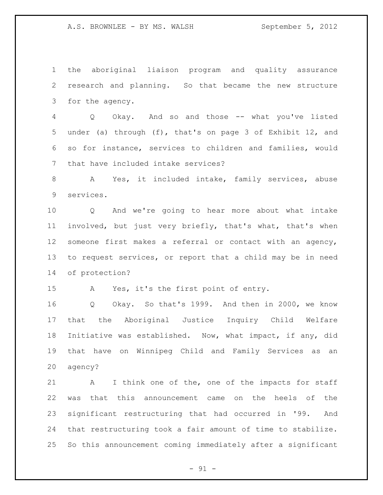the aboriginal liaison program and quality assurance research and planning. So that became the new structure for the agency.

 Q Okay. And so and those -- what you've listed under (a) through (f), that's on page 3 of Exhibit 12, and so for instance, services to children and families, would that have included intake services?

 A Yes, it included intake, family services, abuse services.

 Q And we're going to hear more about what intake involved, but just very briefly, that's what, that's when someone first makes a referral or contact with an agency, to request services, or report that a child may be in need of protection?

A Yes, it's the first point of entry.

 Q Okay. So that's 1999. And then in 2000, we know that the Aboriginal Justice Inquiry Child Welfare Initiative was established. Now, what impact, if any, did that have on Winnipeg Child and Family Services as an agency?

 A I think one of the, one of the impacts for staff was that this announcement came on the heels of the significant restructuring that had occurred in '99. And that restructuring took a fair amount of time to stabilize. So this announcement coming immediately after a significant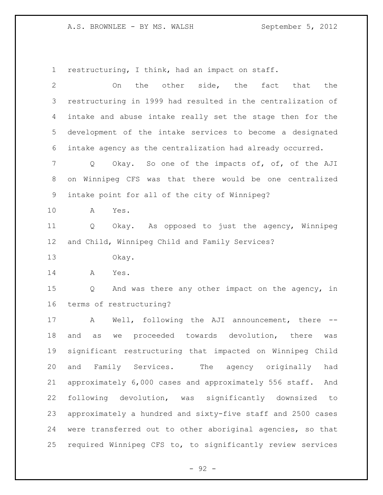restructuring, I think, had an impact on staff.

| $\mathbf{2}$   | the other side, the<br>the<br>fact that<br>On                 |
|----------------|---------------------------------------------------------------|
| 3              | restructuring in 1999 had resulted in the centralization of   |
| 4              | intake and abuse intake really set the stage then for the     |
| 5              | development of the intake services to become a designated     |
| 6              | intake agency as the centralization had already occurred.     |
| $7\phantom{.}$ | Okay. So one of the impacts of, of, of the AJI<br>$Q \qquad$  |
| 8              | on Winnipeg CFS was that there would be one centralized       |
| 9              | intake point for all of the city of Winnipeg?                 |
| 10             | Yes.<br>A                                                     |
| 11             | Okay. As opposed to just the agency, Winnipeg<br>Q            |
| 12             | and Child, Winnipeg Child and Family Services?                |
| 13             | Okay.                                                         |
| 14             | A<br>Yes.                                                     |
| 15             | And was there any other impact on the agency, in<br>Q         |
| 16             | terms of restructuring?                                       |
| 17             | Well, following the AJI announcement, there<br>A              |
| 18             | we proceeded towards devolution, there<br>and<br>as<br>was    |
| 19             | significant restructuring that impacted on Winnipeg Child     |
| 20             | and Family Services.<br>had<br>The agency originally          |
| 21             | approximately 6,000 cases and approximately 556 staff.<br>And |
| 22             | following devolution, was significantly downsized<br>to       |
| 23             | approximately a hundred and sixty-five staff and 2500 cases   |
| 24             | were transferred out to other aboriginal agencies, so that    |
| 25             | required Winnipeg CFS to, to significantly review services    |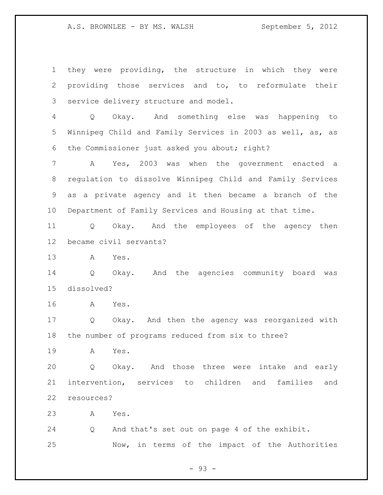they were providing, the structure in which they were providing those services and to, to reformulate their service delivery structure and model. Q Okay. And something else was happening to Winnipeg Child and Family Services in 2003 as well, as, as the Commissioner just asked you about; right? A Yes, 2003 was when the government enacted a regulation to dissolve Winnipeg Child and Family Services as a private agency and it then became a branch of the Department of Family Services and Housing at that time. Q Okay. And the employees of the agency then became civil servants? A Yes. Q Okay. And the agencies community board was dissolved? A Yes. Q Okay. And then the agency was reorganized with the number of programs reduced from six to three? A Yes. Q Okay. And those three were intake and early intervention, services to children and families and resources? A Yes. Q And that's set out on page 4 of the exhibit. Now, in terms of the impact of the Authorities

- 93 -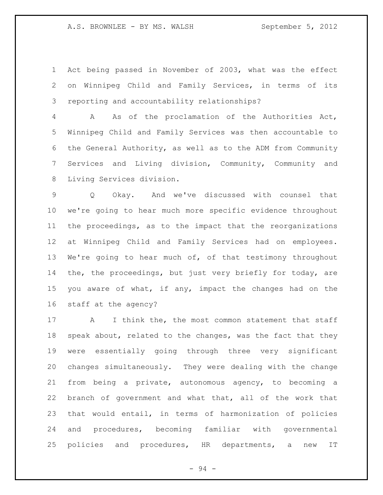Act being passed in November of 2003, what was the effect on Winnipeg Child and Family Services, in terms of its reporting and accountability relationships?

 A As of the proclamation of the Authorities Act, Winnipeg Child and Family Services was then accountable to the General Authority, as well as to the ADM from Community Services and Living division, Community, Community and Living Services division.

 Q Okay. And we've discussed with counsel that we're going to hear much more specific evidence throughout the proceedings, as to the impact that the reorganizations at Winnipeg Child and Family Services had on employees. 13 We're going to hear much of, of that testimony throughout the, the proceedings, but just very briefly for today, are you aware of what, if any, impact the changes had on the staff at the agency?

17 A I think the, the most common statement that staff 18 speak about, related to the changes, was the fact that they were essentially going through three very significant changes simultaneously. They were dealing with the change from being a private, autonomous agency, to becoming a branch of government and what that, all of the work that that would entail, in terms of harmonization of policies and procedures, becoming familiar with governmental policies and procedures, HR departments, a new IT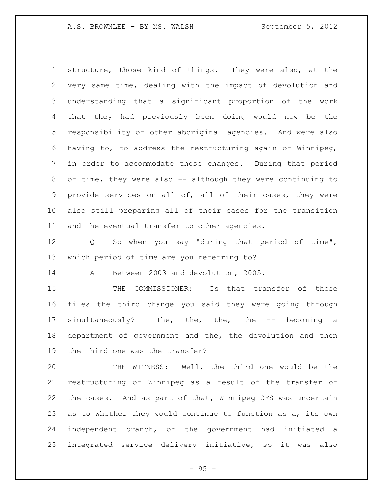structure, those kind of things. They were also, at the very same time, dealing with the impact of devolution and understanding that a significant proportion of the work that they had previously been doing would now be the responsibility of other aboriginal agencies. And were also having to, to address the restructuring again of Winnipeg, in order to accommodate those changes. During that period of time, they were also -- although they were continuing to provide services on all of, all of their cases, they were also still preparing all of their cases for the transition and the eventual transfer to other agencies.

 Q So when you say "during that period of time", which period of time are you referring to?

A Between 2003 and devolution, 2005.

 THE COMMISSIONER: Is that transfer of those files the third change you said they were going through simultaneously? The, the, the, the -- becoming a department of government and the, the devolution and then the third one was the transfer?

 THE WITNESS: Well, the third one would be the restructuring of Winnipeg as a result of the transfer of the cases. And as part of that, Winnipeg CFS was uncertain as to whether they would continue to function as a, its own independent branch, or the government had initiated a integrated service delivery initiative, so it was also

 $- 95 -$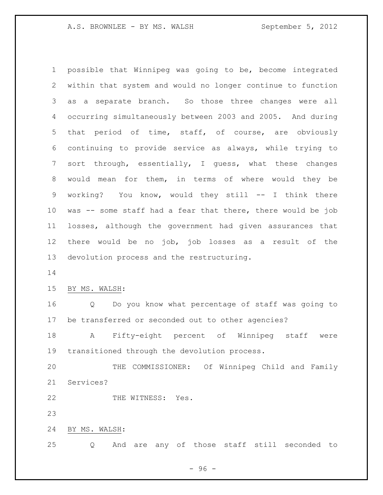possible that Winnipeg was going to be, become integrated within that system and would no longer continue to function as a separate branch. So those three changes were all occurring simultaneously between 2003 and 2005. And during that period of time, staff, of course, are obviously continuing to provide service as always, while trying to sort through, essentially, I guess, what these changes would mean for them, in terms of where would they be working? You know, would they still -- I think there was -- some staff had a fear that there, there would be job losses, although the government had given assurances that there would be no job, job losses as a result of the devolution process and the restructuring.

BY MS. WALSH:

 Q Do you know what percentage of staff was going to be transferred or seconded out to other agencies?

 A Fifty-eight percent of Winnipeg staff were transitioned through the devolution process.

 THE COMMISSIONER: Of Winnipeg Child and Family Services?

22 THE WITNESS: Yes.

BY MS. WALSH:

Q And are any of those staff still seconded to

- 96 -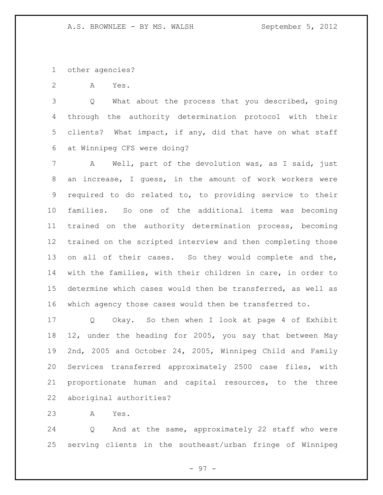other agencies?

A Yes.

 Q What about the process that you described, going through the authority determination protocol with their clients? What impact, if any, did that have on what staff at Winnipeg CFS were doing?

 A Well, part of the devolution was, as I said, just an increase, I guess, in the amount of work workers were required to do related to, to providing service to their families. So one of the additional items was becoming trained on the authority determination process, becoming trained on the scripted interview and then completing those on all of their cases. So they would complete and the, with the families, with their children in care, in order to determine which cases would then be transferred, as well as which agency those cases would then be transferred to.

 Q Okay. So then when I look at page 4 of Exhibit 12, under the heading for 2005, you say that between May 2nd, 2005 and October 24, 2005, Winnipeg Child and Family Services transferred approximately 2500 case files, with proportionate human and capital resources, to the three aboriginal authorities?

A Yes.

 Q And at the same, approximately 22 staff who were serving clients in the southeast/urban fringe of Winnipeg

- 97 -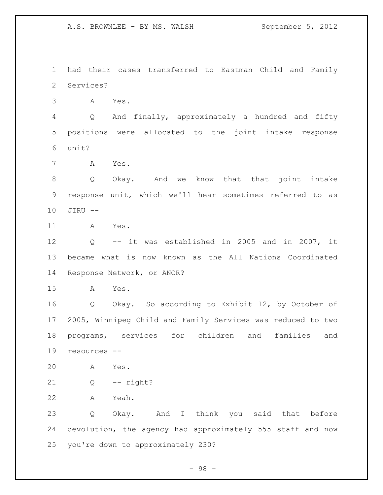had their cases transferred to Eastman Child and Family Services?

A Yes.

 Q And finally, approximately a hundred and fifty positions were allocated to the joint intake response unit?

A Yes.

 Q Okay. And we know that that joint intake response unit, which we'll hear sometimes referred to as JIRU --

A Yes.

 Q -- it was established in 2005 and in 2007, it became what is now known as the All Nations Coordinated Response Network, or ANCR?

A Yes.

 Q Okay. So according to Exhibit 12, by October of 2005, Winnipeg Child and Family Services was reduced to two programs, services for children and families and resources --

A Yes.

Q -- right?

A Yeah.

 Q Okay. And I think you said that before devolution, the agency had approximately 555 staff and now you're down to approximately 230?

- 98 -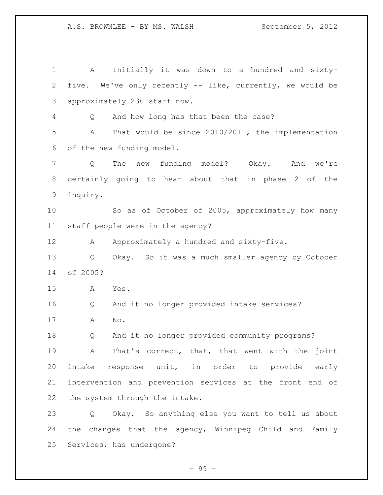A Initially it was down to a hundred and sixty- five. We've only recently -- like, currently, we would be approximately 230 staff now. Q And how long has that been the case? A That would be since 2010/2011, the implementation of the new funding model. Q The new funding model? Okay. And we're certainly going to hear about that in phase 2 of the inquiry. So as of October of 2005, approximately how many staff people were in the agency? 12 A Approximately a hundred and sixty-five. Q Okay. So it was a much smaller agency by October of 2005? A Yes. Q And it no longer provided intake services? A No. Q And it no longer provided community programs? A That's correct, that, that went with the joint intake response unit, in order to provide early intervention and prevention services at the front end of the system through the intake. Q Okay. So anything else you want to tell us about the changes that the agency, Winnipeg Child and Family Services, has undergone?

- 99 -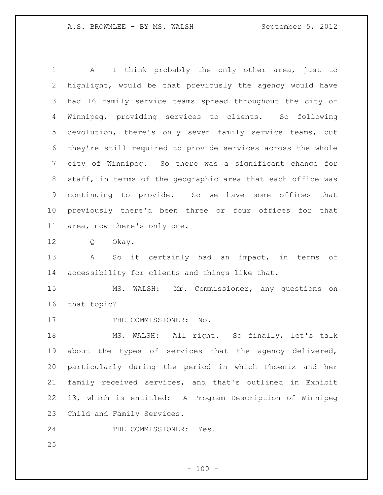1 A I think probably the only other area, just to highlight, would be that previously the agency would have had 16 family service teams spread throughout the city of Winnipeg, providing services to clients. So following devolution, there's only seven family service teams, but they're still required to provide services across the whole city of Winnipeg. So there was a significant change for staff, in terms of the geographic area that each office was continuing to provide. So we have some offices that previously there'd been three or four offices for that area, now there's only one.

Q Okay.

 A So it certainly had an impact, in terms of accessibility for clients and things like that.

 MS. WALSH: Mr. Commissioner, any questions on that topic?

17 THE COMMISSIONER: No.

 MS. WALSH: All right. So finally, let's talk about the types of services that the agency delivered, particularly during the period in which Phoenix and her family received services, and that's outlined in Exhibit 13, which is entitled: A Program Description of Winnipeg Child and Family Services.

24 THE COMMISSIONER: Yes.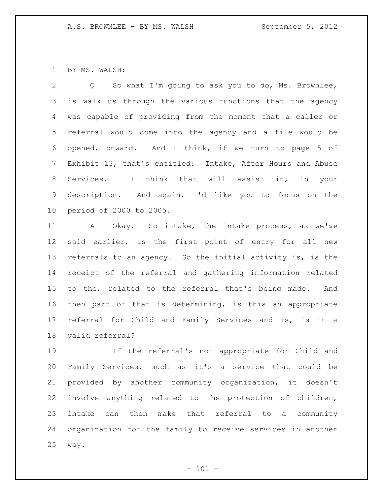BY MS. WALSH:

 Q So what I'm going to ask you to do, Ms. Brownlee, is walk us through the various functions that the agency was capable of providing from the moment that a caller or referral would come into the agency and a file would be opened, onward. And I think, if we turn to page 5 of Exhibit 13, that's entitled: Intake, After Hours and Abuse Services. I think that will assist in, in your description. And again, I'd like you to focus on the period of 2000 to 2005.

 A Okay. So intake, the intake process, as we've said earlier, is the first point of entry for all new referrals to an agency. So the initial activity is, is the receipt of the referral and gathering information related to the, related to the referral that's being made. And then part of that is determining, is this an appropriate referral for Child and Family Services and is, is it a valid referral?

 If the referral's not appropriate for Child and Family Services, such as it's a service that could be provided by another community organization, it doesn't involve anything related to the protection of children, intake can then make that referral to a community organization for the family to receive services in another way.

 $- 101 -$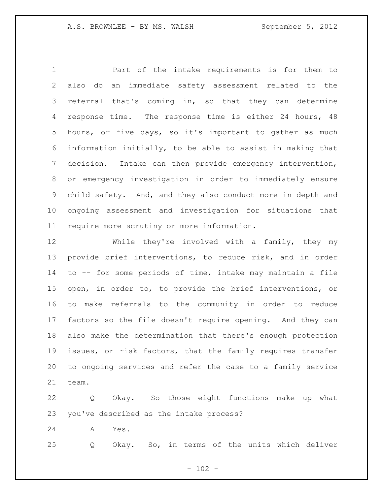Part of the intake requirements is for them to also do an immediate safety assessment related to the referral that's coming in, so that they can determine 4 response time. The response time is either 24 hours, 48 hours, or five days, so it's important to gather as much information initially, to be able to assist in making that decision. Intake can then provide emergency intervention, or emergency investigation in order to immediately ensure child safety. And, and they also conduct more in depth and ongoing assessment and investigation for situations that require more scrutiny or more information.

 While they're involved with a family, they my provide brief interventions, to reduce risk, and in order to -- for some periods of time, intake may maintain a file open, in order to, to provide the brief interventions, or to make referrals to the community in order to reduce factors so the file doesn't require opening. And they can also make the determination that there's enough protection issues, or risk factors, that the family requires transfer to ongoing services and refer the case to a family service team.

 Q Okay. So those eight functions make up what you've described as the intake process?

A Yes.

Q Okay. So, in terms of the units which deliver

 $- 102 -$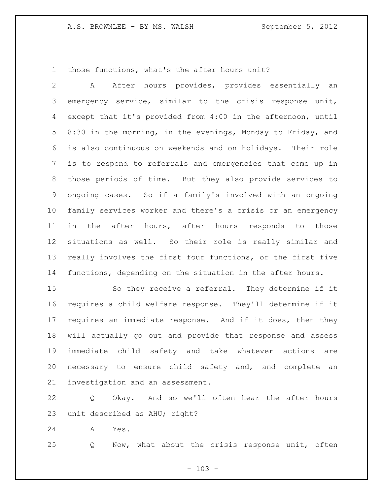those functions, what's the after hours unit?

 A After hours provides, provides essentially an emergency service, similar to the crisis response unit, except that it's provided from 4:00 in the afternoon, until 8:30 in the morning, in the evenings, Monday to Friday, and is also continuous on weekends and on holidays. Their role is to respond to referrals and emergencies that come up in those periods of time. But they also provide services to ongoing cases. So if a family's involved with an ongoing family services worker and there's a crisis or an emergency in the after hours, after hours responds to those situations as well. So their role is really similar and really involves the first four functions, or the first five functions, depending on the situation in the after hours.

 So they receive a referral. They determine if it requires a child welfare response. They'll determine if it requires an immediate response. And if it does, then they will actually go out and provide that response and assess immediate child safety and take whatever actions are necessary to ensure child safety and, and complete an investigation and an assessment.

 Q Okay. And so we'll often hear the after hours unit described as AHU; right?

A Yes.

Q Now, what about the crisis response unit, often

 $- 103 -$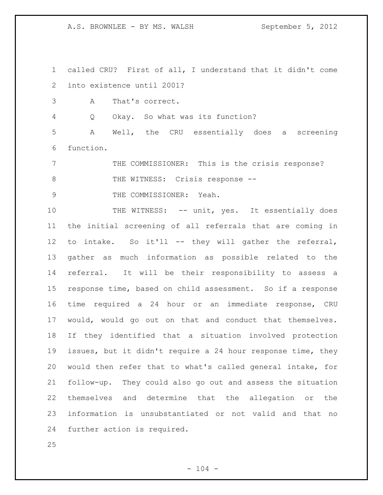called CRU? First of all, I understand that it didn't come into existence until 2001?

A That's correct.

Q Okay. So what was its function?

 A Well, the CRU essentially does a screening function.

 THE COMMISSIONER: This is the crisis response? 8 THE WITNESS: Crisis response --

9 THE COMMISSIONER: Yeah.

10 THE WITNESS: -- unit, yes. It essentially does the initial screening of all referrals that are coming in to intake. So it'll -- they will gather the referral, gather as much information as possible related to the referral. It will be their responsibility to assess a response time, based on child assessment. So if a response time required a 24 hour or an immediate response, CRU would, would go out on that and conduct that themselves. If they identified that a situation involved protection issues, but it didn't require a 24 hour response time, they would then refer that to what's called general intake, for follow-up. They could also go out and assess the situation themselves and determine that the allegation or the information is unsubstantiated or not valid and that no further action is required.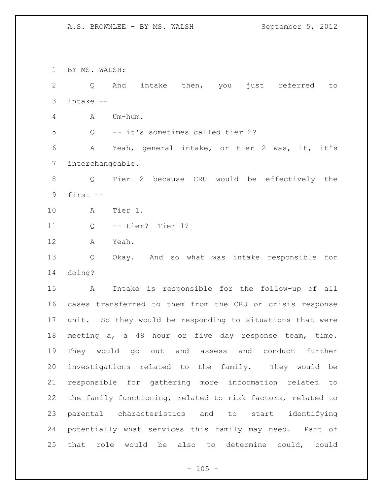BY MS. WALSH: Q And intake then, you just referred to intake -- A Um-hum. Q -- it's sometimes called tier 2? A Yeah, general intake, or tier 2 was, it, it's interchangeable. Q Tier 2 because CRU would be effectively the first -- A Tier 1. Q -- tier? Tier 1? A Yeah. Q Okay. And so what was intake responsible for doing? A Intake is responsible for the follow-up of all cases transferred to them from the CRU or crisis response unit. So they would be responding to situations that were meeting a, a 48 hour or five day response team, time. They would go out and assess and conduct further investigations related to the family. They would be responsible for gathering more information related to the family functioning, related to risk factors, related to parental characteristics and to start identifying potentially what services this family may need. Part of that role would be also to determine could, could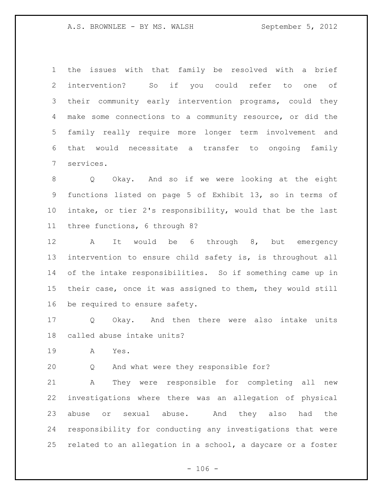the issues with that family be resolved with a brief intervention? So if you could refer to one of their community early intervention programs, could they make some connections to a community resource, or did the family really require more longer term involvement and that would necessitate a transfer to ongoing family services.

 Q Okay. And so if we were looking at the eight functions listed on page 5 of Exhibit 13, so in terms of intake, or tier 2's responsibility, would that be the last three functions, 6 through 8?

 A It would be 6 through 8, but emergency intervention to ensure child safety is, is throughout all of the intake responsibilities. So if something came up in their case, once it was assigned to them, they would still be required to ensure safety.

 Q Okay. And then there were also intake units called abuse intake units?

A Yes.

Q And what were they responsible for?

 A They were responsible for completing all new investigations where there was an allegation of physical abuse or sexual abuse. And they also had the responsibility for conducting any investigations that were related to an allegation in a school, a daycare or a foster

 $- 106 -$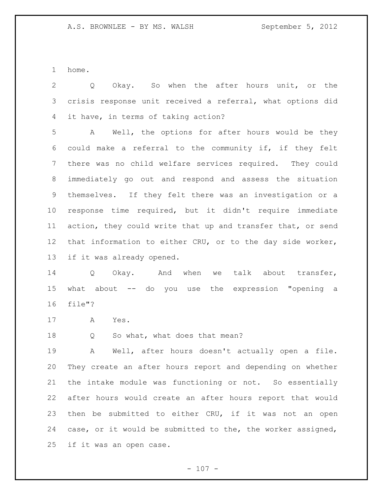home.

 Q Okay. So when the after hours unit, or the crisis response unit received a referral, what options did it have, in terms of taking action?

 A Well, the options for after hours would be they could make a referral to the community if, if they felt there was no child welfare services required. They could immediately go out and respond and assess the situation themselves. If they felt there was an investigation or a response time required, but it didn't require immediate action, they could write that up and transfer that, or send that information to either CRU, or to the day side worker, if it was already opened.

14 Q Okay. And when we talk about transfer, what about -- do you use the expression "opening a file"?

A Yes.

18 Q So what, what does that mean?

 A Well, after hours doesn't actually open a file. They create an after hours report and depending on whether the intake module was functioning or not. So essentially after hours would create an after hours report that would then be submitted to either CRU, if it was not an open case, or it would be submitted to the, the worker assigned, if it was an open case.

 $- 107 -$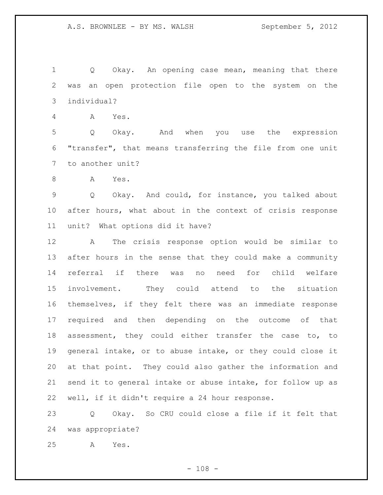1 Q Okay. An opening case mean, meaning that there was an open protection file open to the system on the individual?

A Yes.

 Q Okay. And when you use the expression "transfer", that means transferring the file from one unit to another unit?

A Yes.

 Q Okay. And could, for instance, you talked about after hours, what about in the context of crisis response unit? What options did it have?

 A The crisis response option would be similar to after hours in the sense that they could make a community referral if there was no need for child welfare involvement. They could attend to the situation themselves, if they felt there was an immediate response required and then depending on the outcome of that assessment, they could either transfer the case to, to general intake, or to abuse intake, or they could close it at that point. They could also gather the information and send it to general intake or abuse intake, for follow up as well, if it didn't require a 24 hour response.

 Q Okay. So CRU could close a file if it felt that was appropriate?

A Yes.

 $- 108 -$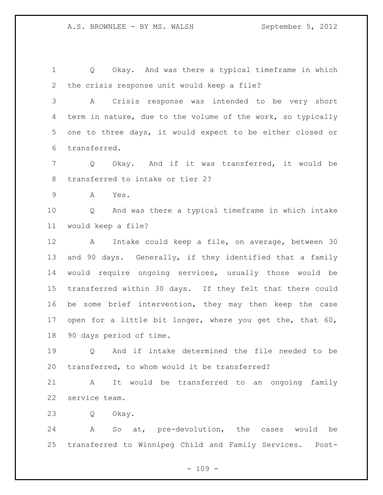Q Okay. And was there a typical timeframe in which the crisis response unit would keep a file?

 A Crisis response was intended to be very short term in nature, due to the volume of the work, so typically one to three days, it would expect to be either closed or transferred.

 Q Okay. And if it was transferred, it would be transferred to intake or tier 2?

A Yes.

 Q And was there a typical timeframe in which intake would keep a file?

 A Intake could keep a file, on average, between 30 and 90 days. Generally, if they identified that a family would require ongoing services, usually those would be transferred within 30 days. If they felt that there could be some brief intervention, they may then keep the case 17 open for a little bit longer, where you get the, that 60, 90 days period of time.

 Q And if intake determined the file needed to be transferred, to whom would it be transferred?

 A It would be transferred to an ongoing family service team.

Q Okay.

 A So at, pre-devolution, the cases would be transferred to Winnipeg Child and Family Services. Post-

 $- 109 -$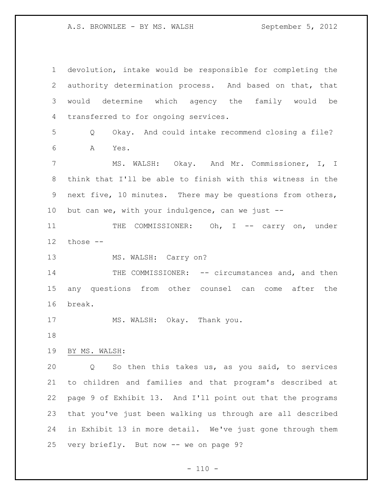A.S. BROWNLEE - BY MS. WALSH September 5, 2012

 devolution, intake would be responsible for completing the authority determination process. And based on that, that would determine which agency the family would be transferred to for ongoing services. Q Okay. And could intake recommend closing a file? A Yes. MS. WALSH: Okay. And Mr. Commissioner, I, I think that I'll be able to finish with this witness in the next five, 10 minutes. There may be questions from others, but can we, with your indulgence, can we just -- 11 THE COMMISSIONER: Oh, I -- carry on, under those -- 13 MS. WALSH: Carry on? 14 THE COMMISSIONER: -- circumstances and, and then any questions from other counsel can come after the break. 17 MS. WALSH: Okay. Thank you. BY MS. WALSH: Q So then this takes us, as you said, to services to children and families and that program's described at page 9 of Exhibit 13. And I'll point out that the programs that you've just been walking us through are all described in Exhibit 13 in more detail. We've just gone through them very briefly. But now -- we on page 9?

 $- 110 -$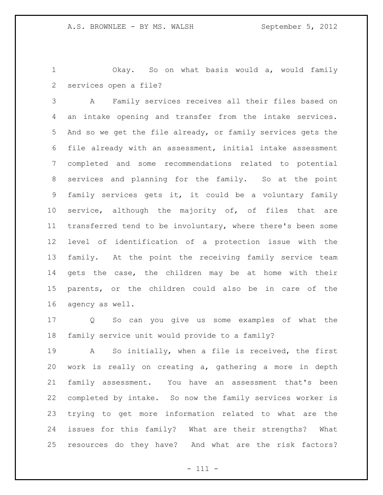Okay. So on what basis would a, would family services open a file?

 A Family services receives all their files based on an intake opening and transfer from the intake services. And so we get the file already, or family services gets the file already with an assessment, initial intake assessment completed and some recommendations related to potential services and planning for the family. So at the point family services gets it, it could be a voluntary family 10 service, although the majority of, of files that are transferred tend to be involuntary, where there's been some level of identification of a protection issue with the family. At the point the receiving family service team gets the case, the children may be at home with their parents, or the children could also be in care of the agency as well.

 Q So can you give us some examples of what the family service unit would provide to a family?

 A So initially, when a file is received, the first work is really on creating a, gathering a more in depth family assessment. You have an assessment that's been completed by intake. So now the family services worker is trying to get more information related to what are the issues for this family? What are their strengths? What resources do they have? And what are the risk factors?

- 111 -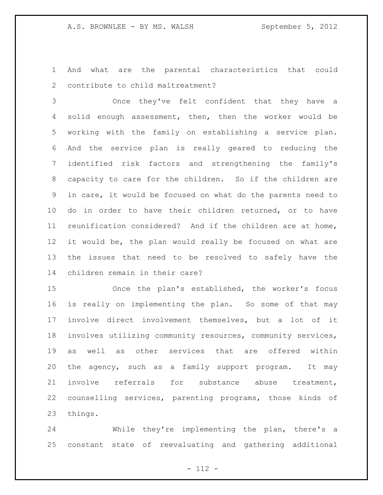And what are the parental characteristics that could contribute to child maltreatment?

 Once they've felt confident that they have a solid enough assessment, then, then the worker would be working with the family on establishing a service plan. And the service plan is really geared to reducing the identified risk factors and strengthening the family's capacity to care for the children. So if the children are in care, it would be focused on what do the parents need to do in order to have their children returned, or to have reunification considered? And if the children are at home, it would be, the plan would really be focused on what are the issues that need to be resolved to safely have the children remain in their care?

 Once the plan's established, the worker's focus is really on implementing the plan. So some of that may involve direct involvement themselves, but a lot of it involves utilizing community resources, community services, as well as other services that are offered within the agency, such as a family support program. It may involve referrals for substance abuse treatment, counselling services, parenting programs, those kinds of things.

 While they're implementing the plan, there's a constant state of reevaluating and gathering additional

- 112 -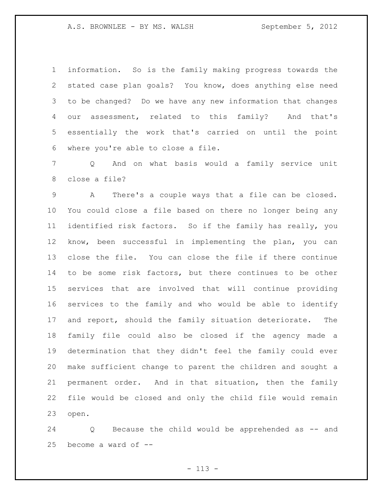information. So is the family making progress towards the stated case plan goals? You know, does anything else need to be changed? Do we have any new information that changes our assessment, related to this family? And that's essentially the work that's carried on until the point where you're able to close a file.

 Q And on what basis would a family service unit close a file?

 A There's a couple ways that a file can be closed. You could close a file based on there no longer being any identified risk factors. So if the family has really, you know, been successful in implementing the plan, you can close the file. You can close the file if there continue to be some risk factors, but there continues to be other services that are involved that will continue providing services to the family and who would be able to identify and report, should the family situation deteriorate. The family file could also be closed if the agency made a determination that they didn't feel the family could ever make sufficient change to parent the children and sought a permanent order. And in that situation, then the family file would be closed and only the child file would remain open.

 Q Because the child would be apprehended as -- and become a ward of --

- 113 -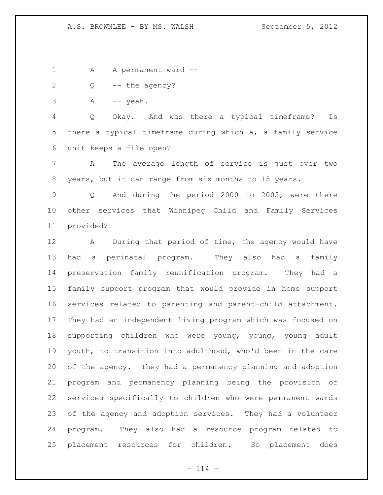1 A A permanent ward --

2 Q -- the agency?

 $3 \qquad A \qquad -- \text{ y}eah.$ 

 Q Okay. And was there a typical timeframe? Is there a typical timeframe during which a, a family service unit keeps a file open?

 A The average length of service is just over two years, but it can range from six months to 15 years.

 Q And during the period 2000 to 2005, were there other services that Winnipeg Child and Family Services provided?

 A During that period of time, the agency would have had a perinatal program. They also had a family preservation family reunification program. They had a family support program that would provide in home support services related to parenting and parent-child attachment. They had an independent living program which was focused on supporting children who were young, young, young adult youth, to transition into adulthood, who'd been in the care of the agency. They had a permanency planning and adoption program and permanency planning being the provision of services specifically to children who were permanent wards of the agency and adoption services. They had a volunteer program. They also had a resource program related to placement resources for children. So placement does

 $- 114 -$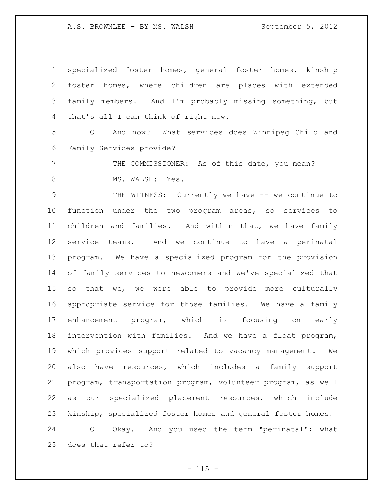A.S. BROWNLEE - BY MS. WALSH September 5, 2012

 specialized foster homes, general foster homes, kinship foster homes, where children are places with extended family members. And I'm probably missing something, but that's all I can think of right now.

 Q And now? What services does Winnipeg Child and Family Services provide?

7 THE COMMISSIONER: As of this date, you mean? 8 MS. WALSH: Yes.

9 THE WITNESS: Currently we have -- we continue to function under the two program areas, so services to children and families. And within that, we have family service teams. And we continue to have a perinatal program. We have a specialized program for the provision of family services to newcomers and we've specialized that so that we, we were able to provide more culturally appropriate service for those families. We have a family enhancement program, which is focusing on early intervention with families. And we have a float program, which provides support related to vacancy management. We also have resources, which includes a family support program, transportation program, volunteer program, as well as our specialized placement resources, which include kinship, specialized foster homes and general foster homes. Q Okay. And you used the term "perinatal"; what

does that refer to?

 $- 115 -$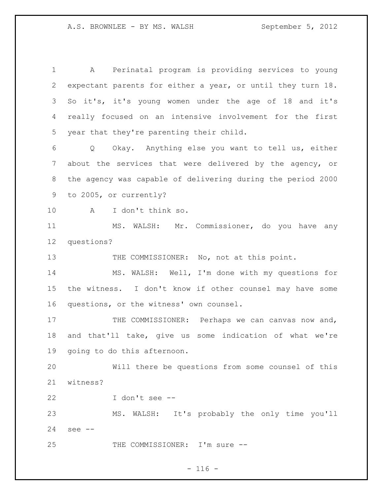A Perinatal program is providing services to young expectant parents for either a year, or until they turn 18. So it's, it's young women under the age of 18 and it's really focused on an intensive involvement for the first year that they're parenting their child. Q Okay. Anything else you want to tell us, either about the services that were delivered by the agency, or the agency was capable of delivering during the period 2000 to 2005, or currently? A I don't think so. MS. WALSH: Mr. Commissioner, do you have any questions? 13 THE COMMISSIONER: No, not at this point. MS. WALSH: Well, I'm done with my questions for the witness. I don't know if other counsel may have some questions, or the witness' own counsel. 17 THE COMMISSIONER: Perhaps we can canvas now and, and that'll take, give us some indication of what we're going to do this afternoon. Will there be questions from some counsel of this witness? I don't see -- MS. WALSH: It's probably the only time you'll see -- 25 THE COMMISSIONER: I'm sure --

## $- 116 -$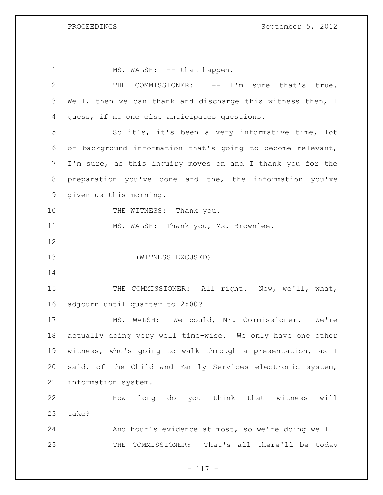| $\mathbf 1$     | MS. WALSH: -- that happen.                                 |
|-----------------|------------------------------------------------------------|
| 2               | COMMISSIONER: -- I'm sure that's true.<br>THE              |
| 3               | Well, then we can thank and discharge this witness then, I |
| 4               | guess, if no one else anticipates questions.               |
| 5               | So it's, it's been a very informative time, lot            |
| 6               | of background information that's going to become relevant, |
| $7\phantom{.0}$ | I'm sure, as this inquiry moves on and I thank you for the |
| 8               | preparation you've done and the, the information you've    |
| 9               | given us this morning.                                     |
| 10              | THE WITNESS: Thank you.                                    |
| 11              | MS. WALSH: Thank you, Ms. Brownlee.                        |
| 12              |                                                            |
| 13              | (WITNESS EXCUSED)                                          |
| 14              |                                                            |
| 15              | THE COMMISSIONER: All right. Now, we'll, what,             |
| 16              | adjourn until quarter to 2:00?                             |
| 17              | MS. WALSH: We could, Mr. Commissioner. We're               |
| 18              | actually doing very well time-wise. We only have one other |
| 19              | witness, who's going to walk through a presentation, as I  |
| 20              | said, of the Child and Family Services electronic system,  |
| 21              |                                                            |
|                 | information system.                                        |
| 22              | How long do you think that witness will                    |
| 23              | take?                                                      |
| 24              | And hour's evidence at most, so we're doing well.          |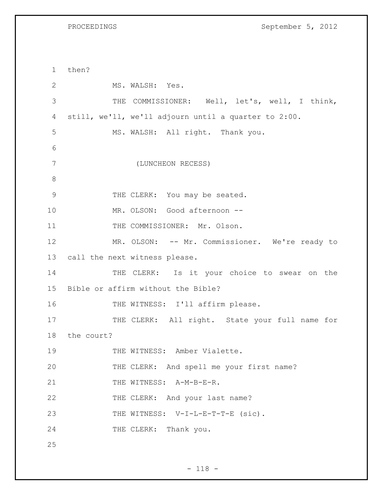PROCEEDINGS September 5, 2012

1 then? 2 MS. WALSH: Yes. 3 THE COMMISSIONER: Well, let's, well, I think, 4 still, we'll, we'll adjourn until a quarter to 2:00. 5 MS. WALSH: All right. Thank you. 6 7 (LUNCHEON RECESS) 8 9 THE CLERK: You may be seated. 10 MR. OLSON: Good afternoon -- 11 THE COMMISSIONER: Mr. Olson. 12 MR. OLSON: -- Mr. Commissioner. We're ready to 13 call the next witness please. 14 THE CLERK: Is it your choice to swear on the 15 Bible or affirm without the Bible? 16 THE WITNESS: I'll affirm please. 17 THE CLERK: All right. State your full name for 18 the court? 19 THE WITNESS: Amber Vialette. 20 THE CLERK: And spell me your first name? 21 THE WITNESS: A-M-B-E-R. 22 THE CLERK: And your last name? 23 THE WITNESS: V-I-L-E-T-T-E (sic). 24 THE CLERK: Thank you. 25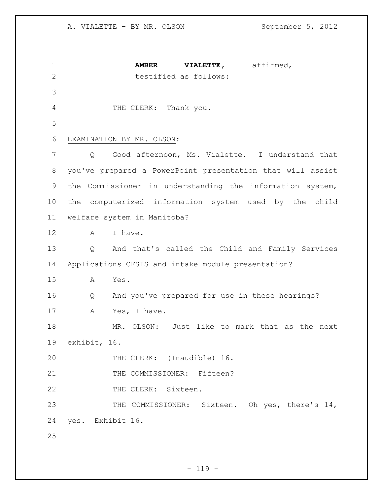**AMBER VIALETTE,** affirmed, testified as follows: THE CLERK: Thank you. EXAMINATION BY MR. OLSON: Q Good afternoon, Ms. Vialette. I understand that you've prepared a PowerPoint presentation that will assist the Commissioner in understanding the information system, the computerized information system used by the child welfare system in Manitoba? A I have. Q And that's called the Child and Family Services Applications CFSIS and intake module presentation? A Yes. Q And you've prepared for use in these hearings? A Yes, I have. MR. OLSON: Just like to mark that as the next exhibit, 16. THE CLERK: (Inaudible) 16. 21 THE COMMISSIONER: Fifteen? 22 THE CLERK: Sixteen. THE COMMISSIONER: Sixteen. Oh yes, there's 14, yes. Exhibit 16.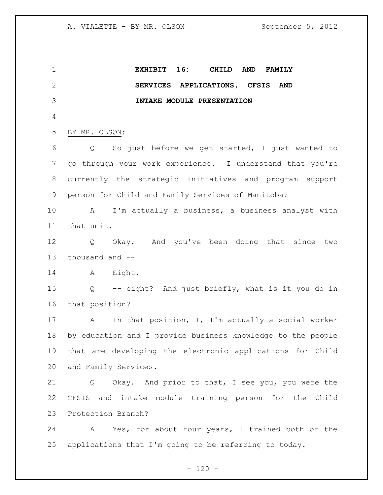**EXHIBIT 16: CHILD AND FAMILY SERVICES APPLICATIONS, CFSIS AND INTAKE MODULE PRESENTATION** BY MR. OLSON: Q So just before we get started, I just wanted to go through your work experience. I understand that you're currently the strategic initiatives and program support person for Child and Family Services of Manitoba? A I'm actually a business, a business analyst with that unit. Q Okay. And you've been doing that since two thousand and -- 14 A Eight. Q -- eight? And just briefly, what is it you do in that position? A In that position, I, I'm actually a social worker by education and I provide business knowledge to the people that are developing the electronic applications for Child and Family Services. Q Okay. And prior to that, I see you, you were the CFSIS and intake module training person for the Child Protection Branch? A Yes, for about four years, I trained both of the applications that I'm going to be referring to today.

 $- 120 -$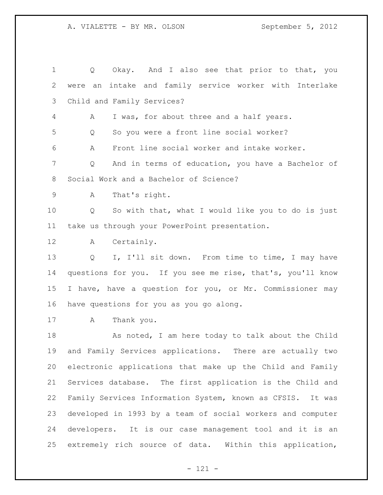Q Okay. And I also see that prior to that, you were an intake and family service worker with Interlake Child and Family Services? A I was, for about three and a half years. Q So you were a front line social worker? A Front line social worker and intake worker. Q And in terms of education, you have a Bachelor of Social Work and a Bachelor of Science? A That's right. Q So with that, what I would like you to do is just take us through your PowerPoint presentation. A Certainly. 13 Q I, I'll sit down. From time to time, I may have questions for you. If you see me rise, that's, you'll know I have, have a question for you, or Mr. Commissioner may have questions for you as you go along. A Thank you. 18 As noted, I am here today to talk about the Child and Family Services applications. There are actually two electronic applications that make up the Child and Family Services database. The first application is the Child and Family Services Information System, known as CFSIS. It was developed in 1993 by a team of social workers and computer developers. It is our case management tool and it is an extremely rich source of data. Within this application,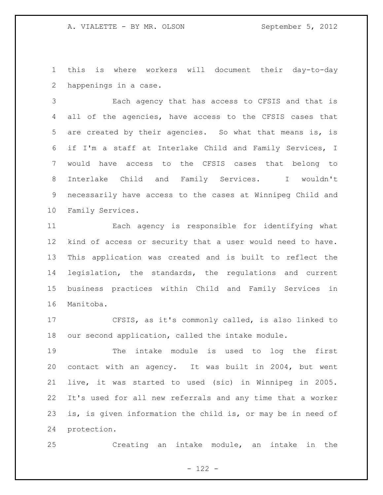this is where workers will document their day-to-day happenings in a case.

 Each agency that has access to CFSIS and that is all of the agencies, have access to the CFSIS cases that are created by their agencies. So what that means is, is if I'm a staff at Interlake Child and Family Services, I would have access to the CFSIS cases that belong to Interlake Child and Family Services. I wouldn't necessarily have access to the cases at Winnipeg Child and Family Services.

 Each agency is responsible for identifying what kind of access or security that a user would need to have. This application was created and is built to reflect the legislation, the standards, the regulations and current business practices within Child and Family Services in Manitoba.

 CFSIS, as it's commonly called, is also linked to our second application, called the intake module.

 The intake module is used to log the first contact with an agency. It was built in 2004, but went live, it was started to used (sic) in Winnipeg in 2005. It's used for all new referrals and any time that a worker is, is given information the child is, or may be in need of protection.

Creating an intake module, an intake in the

 $- 122 -$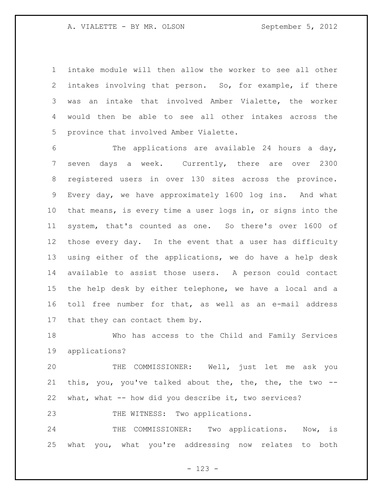intake module will then allow the worker to see all other intakes involving that person. So, for example, if there was an intake that involved Amber Vialette, the worker would then be able to see all other intakes across the province that involved Amber Vialette.

 The applications are available 24 hours a day, seven days a week. Currently, there are over 2300 registered users in over 130 sites across the province. Every day, we have approximately 1600 log ins. And what that means, is every time a user logs in, or signs into the system, that's counted as one. So there's over 1600 of those every day. In the event that a user has difficulty using either of the applications, we do have a help desk available to assist those users. A person could contact the help desk by either telephone, we have a local and a toll free number for that, as well as an e-mail address that they can contact them by.

 Who has access to the Child and Family Services applications?

 THE COMMISSIONER: Well, just let me ask you this, you, you've talked about the, the, the, the two -- what, what -- how did you describe it, two services?

23 THE WITNESS: Two applications.

 THE COMMISSIONER: Two applications. Now, is what you, what you're addressing now relates to both

 $- 123 -$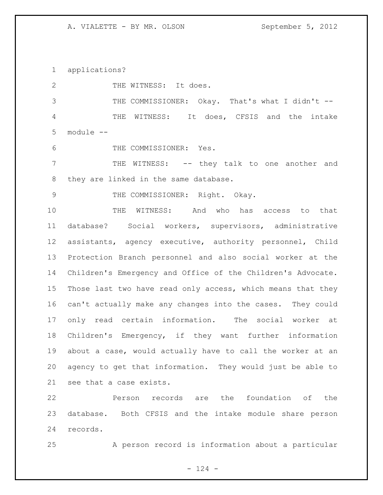applications?

2 THE WITNESS: It does.

3 THE COMMISSIONER: Okay. That's what I didn't -- THE WITNESS: It does, CFSIS and the intake module --

THE COMMISSIONER: Yes.

 THE WITNESS: -- they talk to one another and they are linked in the same database.

9 THE COMMISSIONER: Right. Okay.

 THE WITNESS: And who has access to that database? Social workers, supervisors, administrative assistants, agency executive, authority personnel, Child Protection Branch personnel and also social worker at the Children's Emergency and Office of the Children's Advocate. Those last two have read only access, which means that they can't actually make any changes into the cases. They could only read certain information. The social worker at Children's Emergency, if they want further information about a case, would actually have to call the worker at an agency to get that information. They would just be able to see that a case exists.

 Person records are the foundation of the database. Both CFSIS and the intake module share person records.

A person record is information about a particular

 $- 124 -$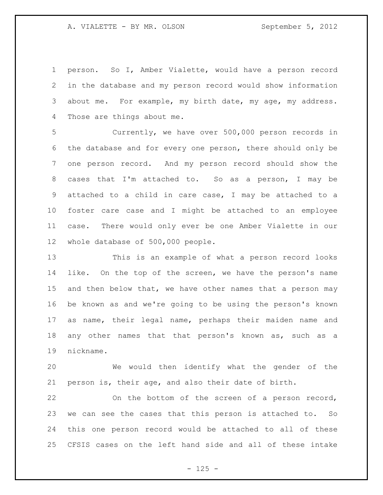person. So I, Amber Vialette, would have a person record in the database and my person record would show information about me. For example, my birth date, my age, my address. Those are things about me.

 Currently, we have over 500,000 person records in the database and for every one person, there should only be one person record. And my person record should show the cases that I'm attached to. So as a person, I may be attached to a child in care case, I may be attached to a foster care case and I might be attached to an employee case. There would only ever be one Amber Vialette in our whole database of 500,000 people.

 This is an example of what a person record looks like. On the top of the screen, we have the person's name 15 and then below that, we have other names that a person may be known as and we're going to be using the person's known as name, their legal name, perhaps their maiden name and any other names that that person's known as, such as a nickname.

 We would then identify what the gender of the person is, their age, and also their date of birth.

 On the bottom of the screen of a person record, we can see the cases that this person is attached to. So this one person record would be attached to all of these CFSIS cases on the left hand side and all of these intake

 $- 125 -$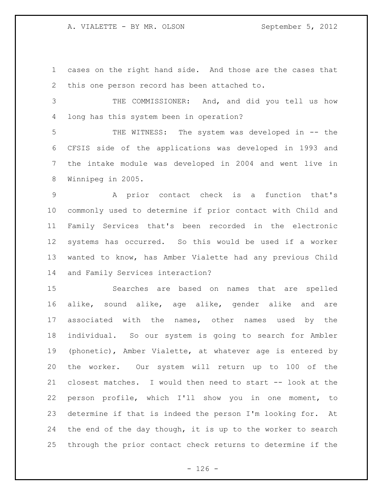A. VIALETTE - BY MR. OLSON September 5, 2012

 cases on the right hand side. And those are the cases that this one person record has been attached to.

 THE COMMISSIONER: And, and did you tell us how long has this system been in operation?

 THE WITNESS: The system was developed in -- the CFSIS side of the applications was developed in 1993 and the intake module was developed in 2004 and went live in Winnipeg in 2005.

 A prior contact check is a function that's commonly used to determine if prior contact with Child and Family Services that's been recorded in the electronic systems has occurred. So this would be used if a worker wanted to know, has Amber Vialette had any previous Child and Family Services interaction?

 Searches are based on names that are spelled alike, sound alike, age alike, gender alike and are associated with the names, other names used by the individual. So our system is going to search for Ambler (phonetic), Amber Vialette, at whatever age is entered by the worker. Our system will return up to 100 of the closest matches. I would then need to start -- look at the person profile, which I'll show you in one moment, to determine if that is indeed the person I'm looking for. At 24 the end of the day though, it is up to the worker to search through the prior contact check returns to determine if the

 $- 126 -$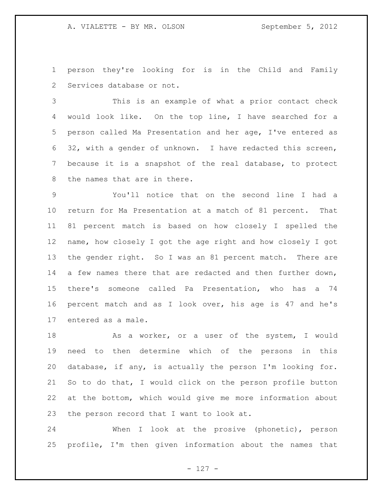person they're looking for is in the Child and Family Services database or not.

 This is an example of what a prior contact check would look like. On the top line, I have searched for a person called Ma Presentation and her age, I've entered as 32, with a gender of unknown. I have redacted this screen, because it is a snapshot of the real database, to protect the names that are in there.

 You'll notice that on the second line I had a return for Ma Presentation at a match of 81 percent. That 81 percent match is based on how closely I spelled the name, how closely I got the age right and how closely I got the gender right. So I was an 81 percent match. There are 14 a few names there that are redacted and then further down, there's someone called Pa Presentation, who has a 74 percent match and as I look over, his age is 47 and he's entered as a male.

18 As a worker, or a user of the system, I would need to then determine which of the persons in this database, if any, is actually the person I'm looking for. So to do that, I would click on the person profile button at the bottom, which would give me more information about the person record that I want to look at.

 When I look at the prosive (phonetic), person profile, I'm then given information about the names that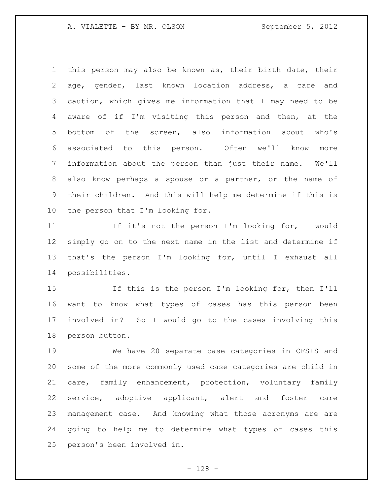this person may also be known as, their birth date, their age, gender, last known location address, a care and caution, which gives me information that I may need to be aware of if I'm visiting this person and then, at the bottom of the screen, also information about who's associated to this person. Often we'll know more information about the person than just their name. We'll also know perhaps a spouse or a partner, or the name of their children. And this will help me determine if this is the person that I'm looking for.

 If it's not the person I'm looking for, I would simply go on to the next name in the list and determine if that's the person I'm looking for, until I exhaust all possibilities.

 If this is the person I'm looking for, then I'll want to know what types of cases has this person been involved in? So I would go to the cases involving this person button.

 We have 20 separate case categories in CFSIS and some of the more commonly used case categories are child in care, family enhancement, protection, voluntary family service, adoptive applicant, alert and foster care management case. And knowing what those acronyms are are going to help me to determine what types of cases this person's been involved in.

- 128 -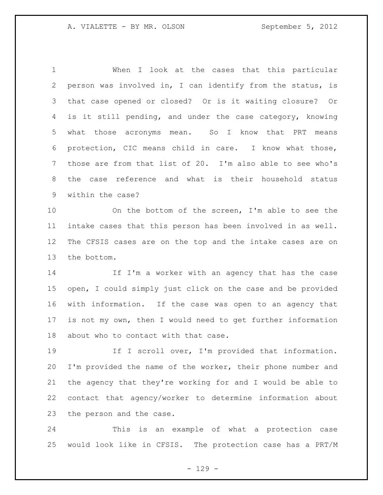When I look at the cases that this particular person was involved in, I can identify from the status, is that case opened or closed? Or is it waiting closure? Or is it still pending, and under the case category, knowing what those acronyms mean. So I know that PRT means protection, CIC means child in care. I know what those, those are from that list of 20. I'm also able to see who's the case reference and what is their household status within the case?

 On the bottom of the screen, I'm able to see the intake cases that this person has been involved in as well. The CFSIS cases are on the top and the intake cases are on the bottom.

 If I'm a worker with an agency that has the case open, I could simply just click on the case and be provided with information. If the case was open to an agency that is not my own, then I would need to get further information about who to contact with that case.

19 19 If I scroll over, I'm provided that information. I'm provided the name of the worker, their phone number and the agency that they're working for and I would be able to contact that agency/worker to determine information about the person and the case.

 This is an example of what a protection case would look like in CFSIS. The protection case has a PRT/M

 $- 129 -$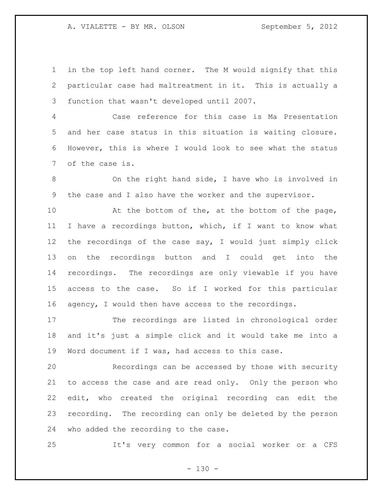A. VIALETTE - BY MR. OLSON September 5, 2012

 in the top left hand corner. The M would signify that this particular case had maltreatment in it. This is actually a function that wasn't developed until 2007.

 Case reference for this case is Ma Presentation and her case status in this situation is waiting closure. However, this is where I would look to see what the status of the case is.

 On the right hand side, I have who is involved in the case and I also have the worker and the supervisor.

 At the bottom of the, at the bottom of the page, I have a recordings button, which, if I want to know what the recordings of the case say, I would just simply click on the recordings button and I could get into the recordings. The recordings are only viewable if you have access to the case. So if I worked for this particular agency, I would then have access to the recordings.

 The recordings are listed in chronological order and it's just a simple click and it would take me into a Word document if I was, had access to this case.

 Recordings can be accessed by those with security to access the case and are read only. Only the person who edit, who created the original recording can edit the recording. The recording can only be deleted by the person who added the recording to the case.

It's very common for a social worker or a CFS

 $- 130 -$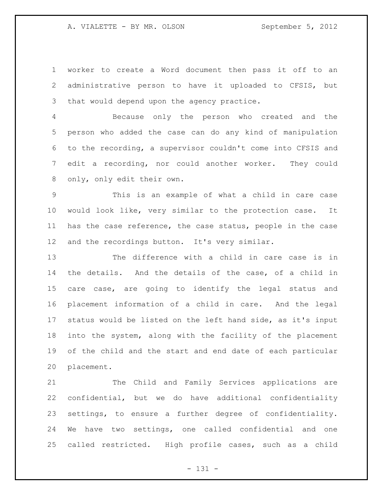worker to create a Word document then pass it off to an administrative person to have it uploaded to CFSIS, but that would depend upon the agency practice.

 Because only the person who created and the person who added the case can do any kind of manipulation to the recording, a supervisor couldn't come into CFSIS and edit a recording, nor could another worker. They could only, only edit their own.

 This is an example of what a child in care case would look like, very similar to the protection case. It has the case reference, the case status, people in the case and the recordings button. It's very similar.

 The difference with a child in care case is in the details. And the details of the case, of a child in care case, are going to identify the legal status and placement information of a child in care. And the legal status would be listed on the left hand side, as it's input into the system, along with the facility of the placement of the child and the start and end date of each particular placement.

 The Child and Family Services applications are confidential, but we do have additional confidentiality settings, to ensure a further degree of confidentiality. We have two settings, one called confidential and one called restricted. High profile cases, such as a child

- 131 -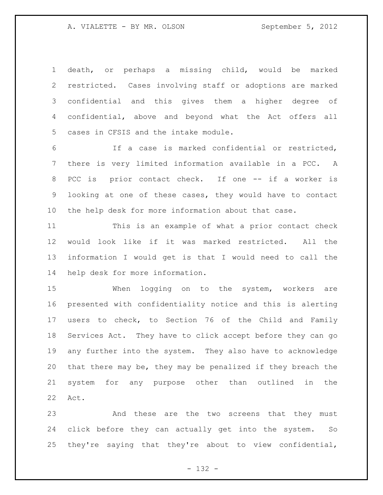death, or perhaps a missing child, would be marked restricted. Cases involving staff or adoptions are marked confidential and this gives them a higher degree of confidential, above and beyond what the Act offers all cases in CFSIS and the intake module.

 If a case is marked confidential or restricted, there is very limited information available in a PCC. A PCC is prior contact check. If one -- if a worker is looking at one of these cases, they would have to contact the help desk for more information about that case.

 This is an example of what a prior contact check would look like if it was marked restricted. All the information I would get is that I would need to call the help desk for more information.

 When logging on to the system, workers are presented with confidentiality notice and this is alerting users to check, to Section 76 of the Child and Family Services Act. They have to click accept before they can go any further into the system. They also have to acknowledge that there may be, they may be penalized if they breach the system for any purpose other than outlined in the Act.

 And these are the two screens that they must click before they can actually get into the system. So they're saying that they're about to view confidential,

- 132 -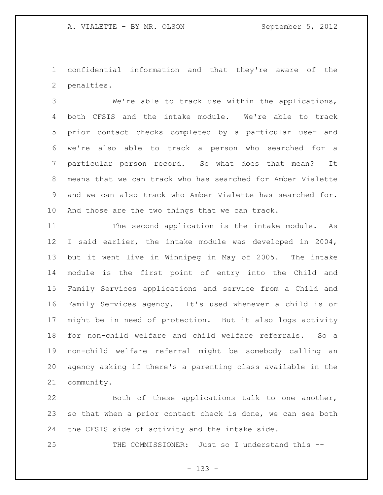confidential information and that they're aware of the penalties.

 We're able to track use within the applications, both CFSIS and the intake module. We're able to track prior contact checks completed by a particular user and we're also able to track a person who searched for a particular person record. So what does that mean? It means that we can track who has searched for Amber Vialette and we can also track who Amber Vialette has searched for. And those are the two things that we can track.

 The second application is the intake module. As I said earlier, the intake module was developed in 2004, but it went live in Winnipeg in May of 2005. The intake module is the first point of entry into the Child and Family Services applications and service from a Child and Family Services agency. It's used whenever a child is or might be in need of protection. But it also logs activity for non-child welfare and child welfare referrals. So a non-child welfare referral might be somebody calling an agency asking if there's a parenting class available in the community.

 Both of these applications talk to one another, 23 so that when a prior contact check is done, we can see both the CFSIS side of activity and the intake side.

THE COMMISSIONER: Just so I understand this --

- 133 -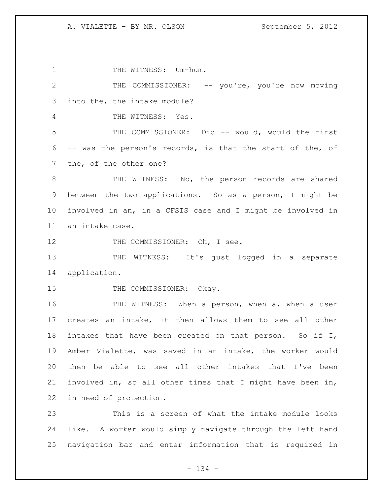1 THE WITNESS: Um-hum. 2 THE COMMISSIONER: -- you're, you're now moving into the, the intake module? THE WITNESS: Yes. THE COMMISSIONER: Did -- would, would the first -- was the person's records, is that the start of the, of the, of the other one? 8 THE WITNESS: No, the person records are shared between the two applications. So as a person, I might be involved in an, in a CFSIS case and I might be involved in an intake case. 12 THE COMMISSIONER: Oh, I see. 13 THE WITNESS: It's just logged in a separate application. 15 THE COMMISSIONER: Okay. 16 THE WITNESS: When a person, when a, when a user creates an intake, it then allows them to see all other intakes that have been created on that person. So if I, Amber Vialette, was saved in an intake, the worker would then be able to see all other intakes that I've been involved in, so all other times that I might have been in, in need of protection. This is a screen of what the intake module looks

 like. A worker would simply navigate through the left hand navigation bar and enter information that is required in

- 134 -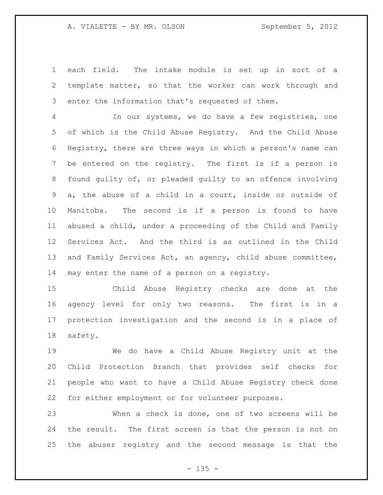## A. VIALETTE - BY MR. OLSON September 5, 2012

 each field. The intake module is set up in sort of a template matter, so that the worker can work through and enter the information that's requested of them.

 In our systems, we do have a few registries, one of which is the Child Abuse Registry. And the Child Abuse Registry, there are three ways in which a person's name can be entered on the registry. The first is if a person is found guilty of, or pleaded guilty to an offence involving a, the abuse of a child in a court, inside or outside of Manitoba. The second is if a person is found to have abused a child, under a proceeding of the Child and Family Services Act. And the third is as outlined in the Child and Family Services Act, an agency, child abuse committee, may enter the name of a person on a registry.

 Child Abuse Registry checks are done at the agency level for only two reasons. The first is in a protection investigation and the second is in a place of safety.

 We do have a Child Abuse Registry unit at the Child Protection Branch that provides self checks for people who want to have a Child Abuse Registry check done for either employment or for volunteer purposes.

 When a check is done, one of two screens will be the result. The first screen is that the person is not on the abuser registry and the second message is that the

 $- 135 -$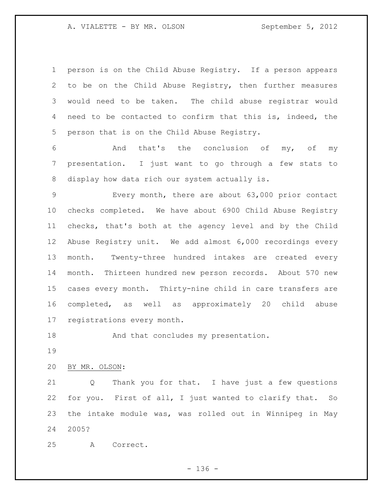A. VIALETTE - BY MR. OLSON September 5, 2012

 person is on the Child Abuse Registry. If a person appears to be on the Child Abuse Registry, then further measures would need to be taken. The child abuse registrar would need to be contacted to confirm that this is, indeed, the person that is on the Child Abuse Registry.

 And that's the conclusion of my, of my presentation. I just want to go through a few stats to display how data rich our system actually is.

 Every month, there are about 63,000 prior contact checks completed. We have about 6900 Child Abuse Registry checks, that's both at the agency level and by the Child Abuse Registry unit. We add almost 6,000 recordings every month. Twenty-three hundred intakes are created every month. Thirteen hundred new person records. About 570 new cases every month. Thirty-nine child in care transfers are completed, as well as approximately 20 child abuse registrations every month.

18 And that concludes my presentation.

BY MR. OLSON:

 Q Thank you for that. I have just a few questions for you. First of all, I just wanted to clarify that. So the intake module was, was rolled out in Winnipeg in May 2005?

A Correct.

- 136 -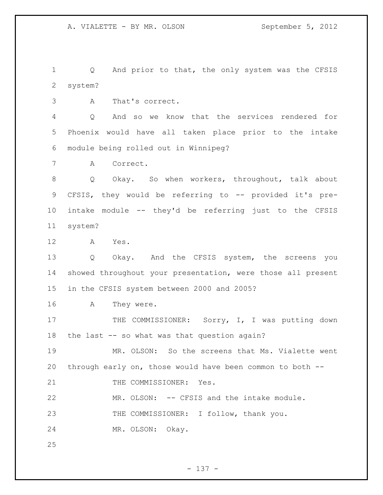1 Q And prior to that, the only system was the CFSIS system?

A That's correct.

 Q And so we know that the services rendered for Phoenix would have all taken place prior to the intake module being rolled out in Winnipeg?

A Correct.

 Q Okay. So when workers, throughout, talk about CFSIS, they would be referring to -- provided it's pre- intake module -- they'd be referring just to the CFSIS system?

A Yes.

 Q Okay. And the CFSIS system, the screens you showed throughout your presentation, were those all present in the CFSIS system between 2000 and 2005?

A They were.

17 THE COMMISSIONER: Sorry, I, I was putting down the last -- so what was that question again?

 MR. OLSON: So the screens that Ms. Vialette went through early on, those would have been common to both --

21 THE COMMISSIONER: Yes.

MR. OLSON: -- CFSIS and the intake module.

THE COMMISSIONER: I follow, thank you.

MR. OLSON: Okay.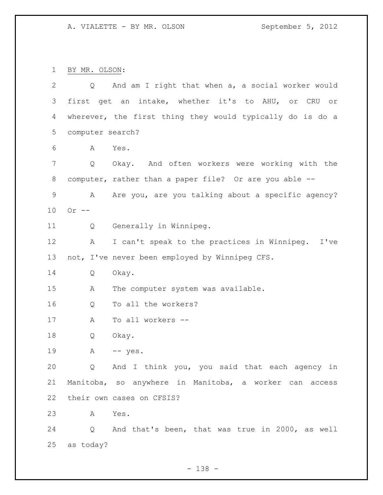BY MR. OLSON:

| $\overline{2}$ | $Q \qquad \qquad$ | And am I right that when a, a social worker would         |
|----------------|-------------------|-----------------------------------------------------------|
| 3              |                   | first get an intake, whether it's to AHU, or CRU or       |
| 4              |                   | wherever, the first thing they would typically do is do a |
| 5              | computer search?  |                                                           |
| 6              | Α                 | Yes.                                                      |
| 7              | Q                 | Okay. And often workers were working with the             |
| 8              |                   | computer, rather than a paper file? Or are you able --    |
| $\mathsf 9$    | А                 | Are you, are you talking about a specific agency?         |
| 10             | Or $--$           |                                                           |
| 11             | Q                 | Generally in Winnipeg.                                    |
| 12             | A                 | I can't speak to the practices in Winnipeg. I've          |
| 13             |                   | not, I've never been employed by Winnipeg CFS.            |
| 14             | Q                 | Okay.                                                     |
| 15             | Α                 | The computer system was available.                        |
| 16             | Q                 | To all the workers?                                       |
| 17             | A                 | To all workers --                                         |
| 18             | Q                 | Okay.                                                     |
| 19             | А                 | $--$ yes.                                                 |
| 20             |                   | Q And I think you, you said that each agency in           |
| 21             |                   | Manitoba, so anywhere in Manitoba, a worker can access    |
| 22             |                   | their own cases on CFSIS?                                 |
| 23             | A                 | Yes.                                                      |
| 24             |                   | Q And that's been, that was true in 2000, as well         |
| 25             | as today?         |                                                           |

- 138 -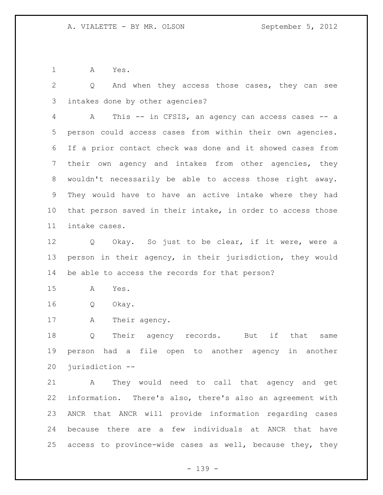A Yes.

 Q And when they access those cases, they can see intakes done by other agencies?

 A This -- in CFSIS, an agency can access cases -- a person could access cases from within their own agencies. If a prior contact check was done and it showed cases from their own agency and intakes from other agencies, they wouldn't necessarily be able to access those right away. They would have to have an active intake where they had that person saved in their intake, in order to access those intake cases.

 Q Okay. So just to be clear, if it were, were a person in their agency, in their jurisdiction, they would be able to access the records for that person?

A Yes.

Q Okay.

17 A Their agency.

 Q Their agency records. But if that same person had a file open to another agency in another jurisdiction --

 A They would need to call that agency and get information. There's also, there's also an agreement with ANCR that ANCR will provide information regarding cases because there are a few individuals at ANCR that have access to province-wide cases as well, because they, they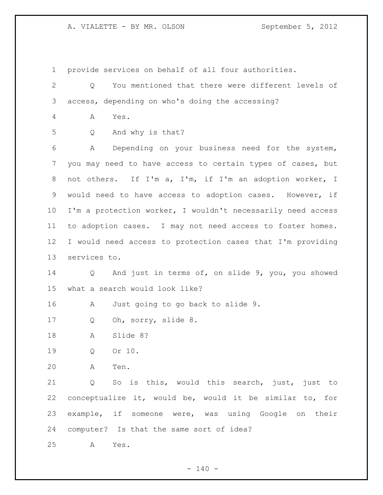A. VIALETTE - BY MR. OLSON September 5, 2012

provide services on behalf of all four authorities.

 Q You mentioned that there were different levels of access, depending on who's doing the accessing? A Yes. Q And why is that? A Depending on your business need for the system, you may need to have access to certain types of cases, but not others. If I'm a, I'm, if I'm an adoption worker, I would need to have access to adoption cases. However, if I'm a protection worker, I wouldn't necessarily need access to adoption cases. I may not need access to foster homes. I would need access to protection cases that I'm providing services to. Q And just in terms of, on slide 9, you, you showed what a search would look like? A Just going to go back to slide 9. 17 Q Oh, sorry, slide 8. A Slide 8? Q Or 10. A Ten. Q So is this, would this search, just, just to conceptualize it, would be, would it be similar to, for example, if someone were, was using Google on their computer? Is that the same sort of idea? A Yes.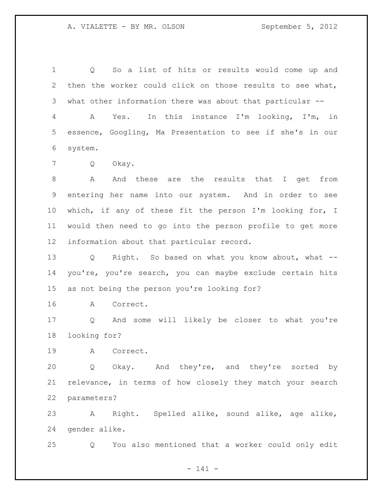Q So a list of hits or results would come up and then the worker could click on those results to see what, what other information there was about that particular --

 A Yes. In this instance I'm looking, I'm, in essence, Googling, Ma Presentation to see if she's in our system.

Q Okay.

 A And these are the results that I get from entering her name into our system. And in order to see which, if any of these fit the person I'm looking for, I would then need to go into the person profile to get more information about that particular record.

 Q Right. So based on what you know about, what -- you're, you're search, you can maybe exclude certain hits as not being the person you're looking for?

A Correct.

 Q And some will likely be closer to what you're looking for?

A Correct.

 Q Okay. And they're, and they're sorted by relevance, in terms of how closely they match your search parameters?

 A Right. Spelled alike, sound alike, age alike, gender alike.

Q You also mentioned that a worker could only edit

- 141 -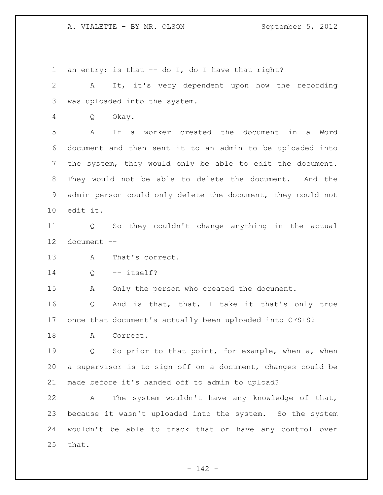1 an entry; is that -- do I, do I have that right? A It, it's very dependent upon how the recording was uploaded into the system. Q Okay. A If a worker created the document in a Word document and then sent it to an admin to be uploaded into the system, they would only be able to edit the document. They would not be able to delete the document. And the admin person could only delete the document, they could not edit it. Q So they couldn't change anything in the actual document -- A That's correct. Q -- itself? A Only the person who created the document. Q And is that, that, I take it that's only true once that document's actually been uploaded into CFSIS? 18 A Correct. Q So prior to that point, for example, when a, when a supervisor is to sign off on a document, changes could be made before it's handed off to admin to upload? A The system wouldn't have any knowledge of that, because it wasn't uploaded into the system. So the system wouldn't be able to track that or have any control over that.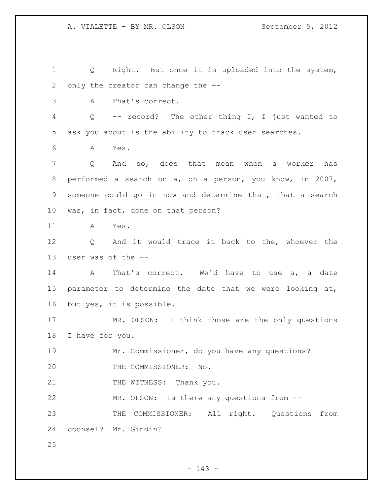Q Right. But once it is uploaded into the system, only the creator can change the -- A That's correct. Q -- record? The other thing I, I just wanted to ask you about is the ability to track user searches. A Yes. Q And so, does that mean when a worker has performed a search on a, on a person, you know, in 2007, someone could go in now and determine that, that a search was, in fact, done on that person? A Yes. Q And it would trace it back to the, whoever the user was of the -- A That's correct. We'd have to use a, a date parameter to determine the date that we were looking at, but yes, it is possible. MR. OLSON: I think those are the only questions I have for you. Mr. Commissioner, do you have any questions? THE COMMISSIONER: No. 21 THE WITNESS: Thank you. MR. OLSON: Is there any questions from -- THE COMMISSIONER: All right. Questions from counsel? Mr. Gindin? 

- 143 -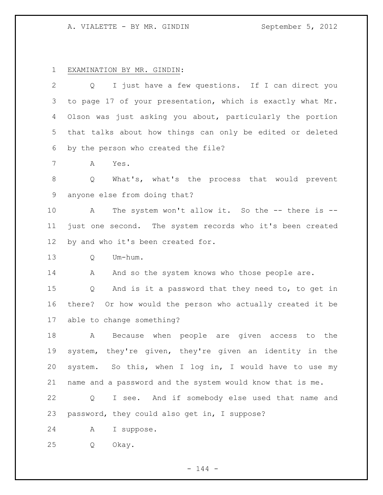# A. VIALETTE - BY MR. GINDIN September 5, 2012

# EXAMINATION BY MR. GINDIN:

| $\overline{2}$  | I just have a few questions. If I can direct you<br>Q      |
|-----------------|------------------------------------------------------------|
| 3               | to page 17 of your presentation, which is exactly what Mr. |
| 4               | Olson was just asking you about, particularly the portion  |
| 5               | that talks about how things can only be edited or deleted  |
| 6               | by the person who created the file?                        |
| $7\phantom{.0}$ | Α<br>Yes.                                                  |
| 8               | What's, what's the process that would prevent<br>Q         |
| 9               | anyone else from doing that?                               |
| 10              | The system won't allow it. So the -- there is --<br>A      |
| 11              | just one second. The system records who it's been created  |
| 12 <sup>°</sup> | by and who it's been created for.                          |
| 13              | Q<br>Um-hum.                                               |
| 14              | And so the system knows who those people are.<br>А         |
| 15              | And is it a password that they need to, to get in<br>Q     |
| 16              | there? Or how would the person who actually created it be  |
| 17              | able to change something?                                  |
| 18              | Because when people are given access to the<br>A           |
| 19              | system, they're given, they're given an identity in the    |
| 20              | system. So this, when I log in, I would have to use my     |
| 21              | name and a password and the system would know that is me.  |
| 22              | I see. And if somebody else used that name and<br>Q        |
| 23              | password, they could also get in, I suppose?               |
|                 |                                                            |
| 24              | I suppose.<br>Α                                            |

- 144 -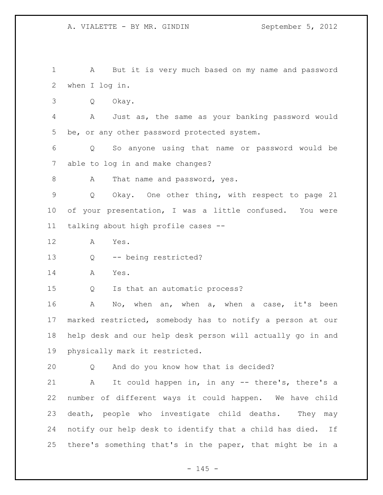A But it is very much based on my name and password when I log in. Q Okay. A Just as, the same as your banking password would be, or any other password protected system. Q So anyone using that name or password would be able to log in and make changes? 8 A That name and password, yes. Q Okay. One other thing, with respect to page 21 of your presentation, I was a little confused. You were talking about high profile cases -- A Yes. Q -- being restricted? A Yes. Q Is that an automatic process? A No, when an, when a, when a case, it's been marked restricted, somebody has to notify a person at our help desk and our help desk person will actually go in and physically mark it restricted. Q And do you know how that is decided? A It could happen in, in any -- there's, there's a number of different ways it could happen. We have child death, people who investigate child deaths. They may notify our help desk to identify that a child has died. If there's something that's in the paper, that might be in a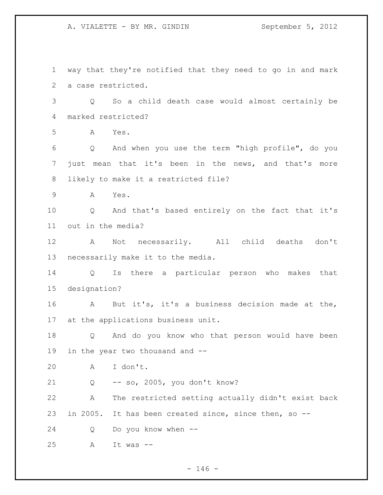A. VIALETTE - BY MR. GINDIN September 5, 2012

 way that they're notified that they need to go in and mark a case restricted. Q So a child death case would almost certainly be marked restricted? A Yes. Q And when you use the term "high profile", do you just mean that it's been in the news, and that's more likely to make it a restricted file? A Yes. Q And that's based entirely on the fact that it's out in the media? A Not necessarily. All child deaths don't necessarily make it to the media. Q Is there a particular person who makes that designation? A But it's, it's a business decision made at the, at the applications business unit. Q And do you know who that person would have been in the year two thousand and -- A I don't. Q -- so, 2005, you don't know? A The restricted setting actually didn't exist back in 2005. It has been created since, since then, so -- Q Do you know when -- A It was --

 $- 146 -$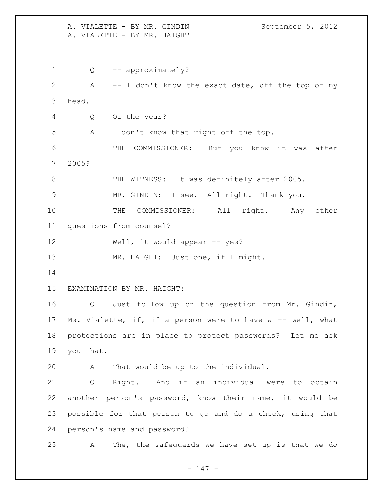A. VIALETTE - BY MR. GINDIN September 5, 2012 A. VIALETTE - BY MR. HAIGHT 1 Q -- approximately? A -- I don't know the exact date, off the top of my head. Q Or the year? A I don't know that right off the top. THE COMMISSIONER: But you know it was after 2005? 8 THE WITNESS: It was definitely after 2005. MR. GINDIN: I see. All right. Thank you. THE COMMISSIONER: All right. Any other questions from counsel? 12 Well, it would appear -- yes? 13 MR. HAIGHT: Just one, if I might. EXAMINATION BY MR. HAIGHT: Q Just follow up on the question from Mr. Gindin, 17 Ms. Vialette, if, if a person were to have a -- well, what protections are in place to protect passwords? Let me ask you that. A That would be up to the individual. Q Right. And if an individual were to obtain another person's password, know their name, it would be possible for that person to go and do a check, using that person's name and password? A The, the safeguards we have set up is that we do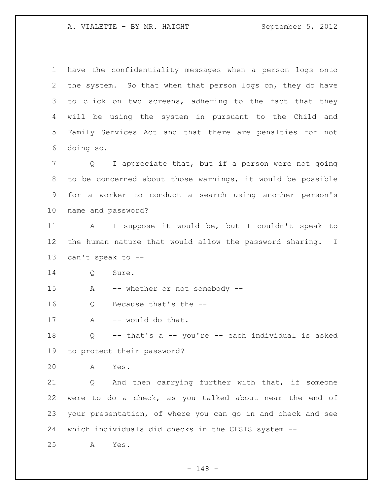have the confidentiality messages when a person logs onto the system. So that when that person logs on, they do have 3 to click on two screens, adhering to the fact that they will be using the system in pursuant to the Child and Family Services Act and that there are penalties for not doing so. Q I appreciate that, but if a person were not going to be concerned about those warnings, it would be possible for a worker to conduct a search using another person's name and password? A I suppose it would be, but I couldn't speak to the human nature that would allow the password sharing. I can't speak to -- Q Sure. A -- whether or not somebody -- Q Because that's the -- 17 A -- would do that. Q -- that's a -- you're -- each individual is asked to protect their password? A Yes. Q And then carrying further with that, if someone were to do a check, as you talked about near the end of your presentation, of where you can go in and check and see which individuals did checks in the CFSIS system -- A Yes.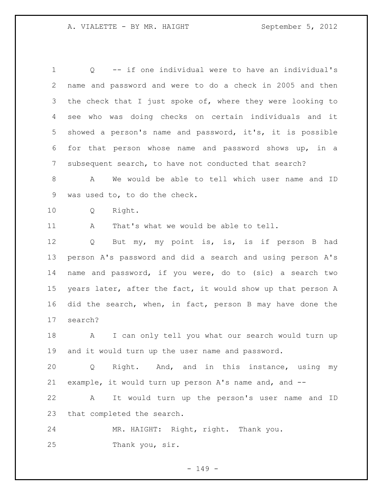Q -- if one individual were to have an individual's name and password and were to do a check in 2005 and then 3 the check that I just spoke of, where they were looking to see who was doing checks on certain individuals and it showed a person's name and password, it's, it is possible for that person whose name and password shows up, in a subsequent search, to have not conducted that search?

 A We would be able to tell which user name and ID was used to, to do the check.

Q Right.

A That's what we would be able to tell.

 Q But my, my point is, is, is if person B had person A's password and did a search and using person A's name and password, if you were, do to (sic) a search two years later, after the fact, it would show up that person A did the search, when, in fact, person B may have done the search?

18 A I can only tell you what our search would turn up and it would turn up the user name and password.

 Q Right. And, and in this instance, using my example, it would turn up person A's name and, and --

 A It would turn up the person's user name and ID that completed the search.

 MR. HAIGHT: Right, right. Thank you. Thank you, sir.

- 149 -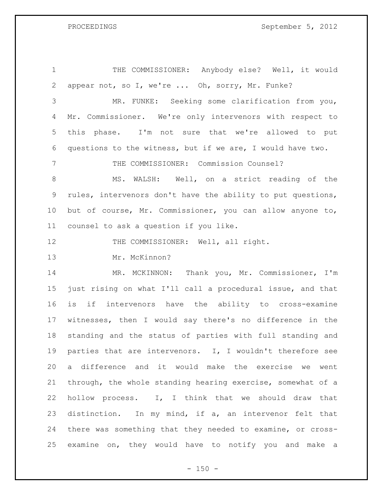PROCEEDINGS September 5, 2012

 THE COMMISSIONER: Anybody else? Well, it would appear not, so I, we're ... Oh, sorry, Mr. Funke? MR. FUNKE: Seeking some clarification from you, Mr. Commissioner. We're only intervenors with respect to this phase. I'm not sure that we're allowed to put questions to the witness, but if we are, I would have two. THE COMMISSIONER: Commission Counsel? 8 MS. WALSH: Well, on a strict reading of the rules, intervenors don't have the ability to put questions, but of course, Mr. Commissioner, you can allow anyone to, counsel to ask a question if you like. 12 THE COMMISSIONER: Well, all right. Mr. McKinnon? MR. MCKINNON: Thank you, Mr. Commissioner, I'm just rising on what I'll call a procedural issue, and that is if intervenors have the ability to cross-examine witnesses, then I would say there's no difference in the standing and the status of parties with full standing and parties that are intervenors. I, I wouldn't therefore see a difference and it would make the exercise we went through, the whole standing hearing exercise, somewhat of a hollow process. I, I think that we should draw that distinction. In my mind, if a, an intervenor felt that there was something that they needed to examine, or cross-examine on, they would have to notify you and make a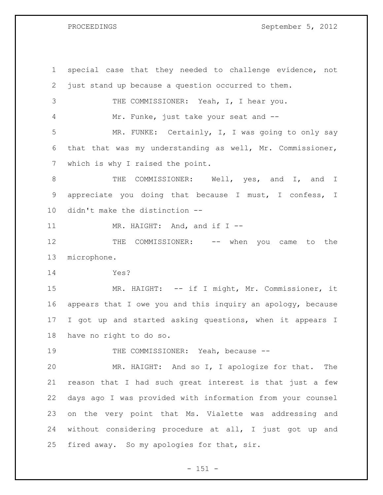PROCEEDINGS September 5, 2012

 special case that they needed to challenge evidence, not just stand up because a question occurred to them. THE COMMISSIONER: Yeah, I, I hear you. Mr. Funke, just take your seat and -- MR. FUNKE: Certainly, I, I was going to only say that that was my understanding as well, Mr. Commissioner, which is why I raised the point. 8 THE COMMISSIONER: Well, yes, and I, and I appreciate you doing that because I must, I confess, I didn't make the distinction -- 11 MR. HAIGHT: And, and if I --12 THE COMMISSIONER: -- when you came to the microphone. Yes? 15 MR. HAIGHT: -- if I might, Mr. Commissioner, it appears that I owe you and this inquiry an apology, because I got up and started asking questions, when it appears I have no right to do so. 19 THE COMMISSIONER: Yeah, because -- MR. HAIGHT: And so I, I apologize for that. The reason that I had such great interest is that just a few days ago I was provided with information from your counsel on the very point that Ms. Vialette was addressing and without considering procedure at all, I just got up and fired away. So my apologies for that, sir.

 $- 151 -$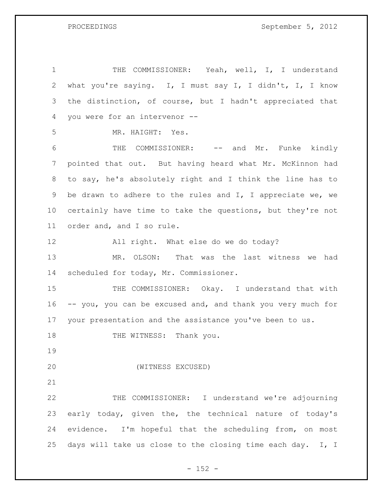PROCEEDINGS September 5, 2012

 THE COMMISSIONER: Yeah, well, I, I understand what you're saying. I, I must say I, I didn't, I, I know the distinction, of course, but I hadn't appreciated that you were for an intervenor -- MR. HAIGHT: Yes. THE COMMISSIONER: -- and Mr. Funke kindly pointed that out. But having heard what Mr. McKinnon had to say, he's absolutely right and I think the line has to be drawn to adhere to the rules and I, I appreciate we, we certainly have time to take the questions, but they're not order and, and I so rule. All right. What else do we do today? MR. OLSON: That was the last witness we had scheduled for today, Mr. Commissioner. 15 THE COMMISSIONER: Okay. I understand that with -- you, you can be excused and, and thank you very much for your presentation and the assistance you've been to us. 18 THE WITNESS: Thank you. (WITNESS EXCUSED) THE COMMISSIONER: I understand we're adjourning early today, given the, the technical nature of today's evidence. I'm hopeful that the scheduling from, on most 25 days will take us close to the closing time each day. I, I